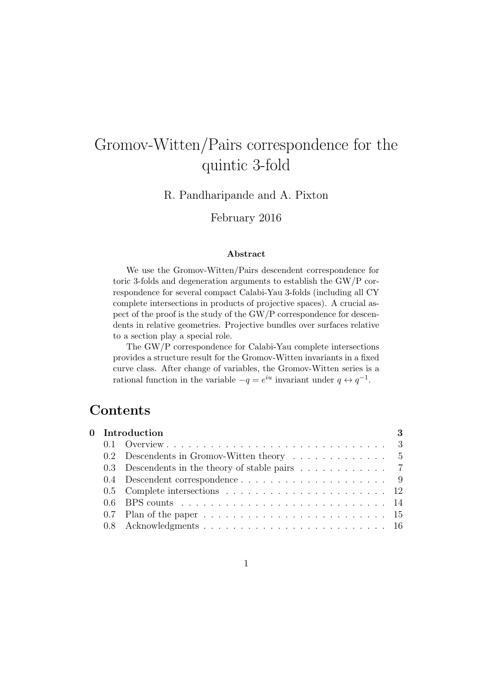# Gromov-Witten/Pairs correspondence for the quintic 3-fold

R. Pandharipande and A. Pixton

February 2016

#### Abstract

We use the Gromov-Witten/Pairs descendent correspondence for toric 3-folds and degeneration arguments to establish the GW/P correspondence for several compact Calabi-Yau 3-folds (including all CY complete intersections in products of projective spaces). A crucial aspect of the proof is the study of the GW/P correspondence for descendents in relative geometries. Projective bundles over surfaces relative to a section play a special role.

The GW/P correspondence for Calabi-Yau complete intersections provides a structure result for the Gromov-Witten invariants in a fixed curve class. After change of variables, the Gromov-Witten series is a rational function in the variable  $-q = e^{iu}$  invariant under  $q \leftrightarrow q^{-1}$ .

# Contents

| 0 Introduction |                                                                                                  |  |  |  |  |
|----------------|--------------------------------------------------------------------------------------------------|--|--|--|--|
|                |                                                                                                  |  |  |  |  |
|                | 0.2 Descendents in Gromov-Witten theory $\dots \dots \dots \dots$                                |  |  |  |  |
|                | 0.3 Descendents in the theory of stable pairs $\ldots \ldots \ldots$ 7                           |  |  |  |  |
|                |                                                                                                  |  |  |  |  |
|                |                                                                                                  |  |  |  |  |
|                |                                                                                                  |  |  |  |  |
|                | 0.7 Plan of the paper $\ldots \ldots \ldots \ldots \ldots \ldots \ldots \ldots \ldots \ldots 15$ |  |  |  |  |
|                |                                                                                                  |  |  |  |  |
|                |                                                                                                  |  |  |  |  |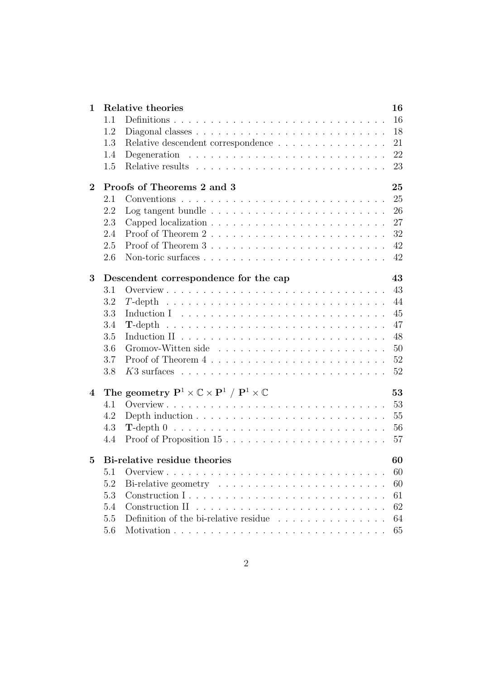| 1.1<br>1.2<br>Relative descendent correspondence<br>1.3<br>Degeneration $\ldots \ldots \ldots \ldots \ldots \ldots \ldots \ldots \ldots$<br>1.4<br>1.5<br>Proofs of Theorems 2 and 3<br>25<br>$\bf{2}$<br>2.1<br>2.2<br>Log tangent bundle $\ldots \ldots \ldots \ldots \ldots \ldots \ldots \ldots$<br>2.3<br>2.4<br>2.5<br>2.6<br>43<br>3<br>Descendent correspondence for the cap<br>3.1<br>3.2<br>$T$ -depth<br>3.3<br>3.4<br>3.5<br>3.6<br>3.7<br>3.8<br>The geometry $\mathbf{P}^1 \times \mathbb{C} \times \mathbf{P}^1 / \mathbf{P}^1 \times \mathbb{C}$<br>53<br>$\overline{4}$<br>53<br>4.1<br>55<br>4.2<br>4.3<br>56<br>Proof of Proposition $15 \ldots \ldots \ldots \ldots \ldots \ldots \ldots$<br>4.4<br>Bi-relative residue theories<br>60<br>$\bf{5}$<br>5.1<br>60<br>5.2<br>60<br>5.3<br>61 | $\mathbf{1}$ |     | Relative theories | 16 |  |  |  |  |
|---------------------------------------------------------------------------------------------------------------------------------------------------------------------------------------------------------------------------------------------------------------------------------------------------------------------------------------------------------------------------------------------------------------------------------------------------------------------------------------------------------------------------------------------------------------------------------------------------------------------------------------------------------------------------------------------------------------------------------------------------------------------------------------------------------------|--------------|-----|-------------------|----|--|--|--|--|
|                                                                                                                                                                                                                                                                                                                                                                                                                                                                                                                                                                                                                                                                                                                                                                                                               |              |     |                   | 16 |  |  |  |  |
|                                                                                                                                                                                                                                                                                                                                                                                                                                                                                                                                                                                                                                                                                                                                                                                                               |              |     |                   | 18 |  |  |  |  |
|                                                                                                                                                                                                                                                                                                                                                                                                                                                                                                                                                                                                                                                                                                                                                                                                               |              |     |                   | 21 |  |  |  |  |
|                                                                                                                                                                                                                                                                                                                                                                                                                                                                                                                                                                                                                                                                                                                                                                                                               |              |     |                   | 22 |  |  |  |  |
|                                                                                                                                                                                                                                                                                                                                                                                                                                                                                                                                                                                                                                                                                                                                                                                                               |              |     |                   | 23 |  |  |  |  |
|                                                                                                                                                                                                                                                                                                                                                                                                                                                                                                                                                                                                                                                                                                                                                                                                               |              |     |                   |    |  |  |  |  |
|                                                                                                                                                                                                                                                                                                                                                                                                                                                                                                                                                                                                                                                                                                                                                                                                               |              |     |                   | 25 |  |  |  |  |
|                                                                                                                                                                                                                                                                                                                                                                                                                                                                                                                                                                                                                                                                                                                                                                                                               |              |     |                   | 26 |  |  |  |  |
|                                                                                                                                                                                                                                                                                                                                                                                                                                                                                                                                                                                                                                                                                                                                                                                                               |              |     |                   | 27 |  |  |  |  |
|                                                                                                                                                                                                                                                                                                                                                                                                                                                                                                                                                                                                                                                                                                                                                                                                               |              |     |                   | 32 |  |  |  |  |
|                                                                                                                                                                                                                                                                                                                                                                                                                                                                                                                                                                                                                                                                                                                                                                                                               |              |     |                   | 42 |  |  |  |  |
|                                                                                                                                                                                                                                                                                                                                                                                                                                                                                                                                                                                                                                                                                                                                                                                                               |              |     |                   | 42 |  |  |  |  |
|                                                                                                                                                                                                                                                                                                                                                                                                                                                                                                                                                                                                                                                                                                                                                                                                               |              |     |                   |    |  |  |  |  |
|                                                                                                                                                                                                                                                                                                                                                                                                                                                                                                                                                                                                                                                                                                                                                                                                               |              |     |                   | 43 |  |  |  |  |
|                                                                                                                                                                                                                                                                                                                                                                                                                                                                                                                                                                                                                                                                                                                                                                                                               |              |     |                   | 44 |  |  |  |  |
|                                                                                                                                                                                                                                                                                                                                                                                                                                                                                                                                                                                                                                                                                                                                                                                                               |              |     |                   | 45 |  |  |  |  |
|                                                                                                                                                                                                                                                                                                                                                                                                                                                                                                                                                                                                                                                                                                                                                                                                               |              |     |                   | 47 |  |  |  |  |
|                                                                                                                                                                                                                                                                                                                                                                                                                                                                                                                                                                                                                                                                                                                                                                                                               |              |     |                   | 48 |  |  |  |  |
|                                                                                                                                                                                                                                                                                                                                                                                                                                                                                                                                                                                                                                                                                                                                                                                                               |              |     |                   | 50 |  |  |  |  |
|                                                                                                                                                                                                                                                                                                                                                                                                                                                                                                                                                                                                                                                                                                                                                                                                               |              |     |                   | 52 |  |  |  |  |
|                                                                                                                                                                                                                                                                                                                                                                                                                                                                                                                                                                                                                                                                                                                                                                                                               |              |     |                   | 52 |  |  |  |  |
|                                                                                                                                                                                                                                                                                                                                                                                                                                                                                                                                                                                                                                                                                                                                                                                                               |              |     |                   |    |  |  |  |  |
|                                                                                                                                                                                                                                                                                                                                                                                                                                                                                                                                                                                                                                                                                                                                                                                                               |              |     |                   |    |  |  |  |  |
|                                                                                                                                                                                                                                                                                                                                                                                                                                                                                                                                                                                                                                                                                                                                                                                                               |              |     |                   |    |  |  |  |  |
|                                                                                                                                                                                                                                                                                                                                                                                                                                                                                                                                                                                                                                                                                                                                                                                                               |              |     |                   |    |  |  |  |  |
|                                                                                                                                                                                                                                                                                                                                                                                                                                                                                                                                                                                                                                                                                                                                                                                                               |              |     |                   | 57 |  |  |  |  |
|                                                                                                                                                                                                                                                                                                                                                                                                                                                                                                                                                                                                                                                                                                                                                                                                               |              |     |                   |    |  |  |  |  |
|                                                                                                                                                                                                                                                                                                                                                                                                                                                                                                                                                                                                                                                                                                                                                                                                               |              |     |                   |    |  |  |  |  |
|                                                                                                                                                                                                                                                                                                                                                                                                                                                                                                                                                                                                                                                                                                                                                                                                               |              |     |                   |    |  |  |  |  |
|                                                                                                                                                                                                                                                                                                                                                                                                                                                                                                                                                                                                                                                                                                                                                                                                               |              |     |                   |    |  |  |  |  |
|                                                                                                                                                                                                                                                                                                                                                                                                                                                                                                                                                                                                                                                                                                                                                                                                               |              | 5.4 |                   | 62 |  |  |  |  |
| Definition of the bi-relative residue $\ldots \ldots \ldots \ldots \ldots$<br>5.5                                                                                                                                                                                                                                                                                                                                                                                                                                                                                                                                                                                                                                                                                                                             |              |     |                   | 64 |  |  |  |  |
| 5.6                                                                                                                                                                                                                                                                                                                                                                                                                                                                                                                                                                                                                                                                                                                                                                                                           |              |     |                   | 65 |  |  |  |  |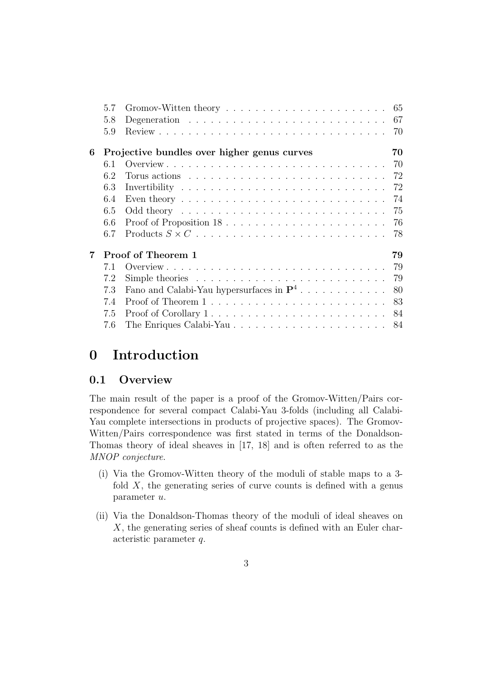|   | 5.7 |                                                                                       | 65 |
|---|-----|---------------------------------------------------------------------------------------|----|
|   | 5.8 |                                                                                       | 67 |
|   | 5.9 |                                                                                       | 70 |
| 6 |     | Projective bundles over higher genus curves                                           | 70 |
|   | 6.1 |                                                                                       | 70 |
|   | 6.2 |                                                                                       | 72 |
|   | 6.3 |                                                                                       | 72 |
|   | 6.4 | Even theory $\dots \dots \dots \dots \dots \dots \dots \dots \dots \dots \dots \dots$ | 74 |
|   | 6.5 |                                                                                       | 75 |
|   | 6.6 | Proof of Proposition $18$                                                             | 76 |
|   | 6.7 |                                                                                       | 78 |
| 7 |     | Proof of Theorem 1                                                                    | 79 |
|   | 7.1 |                                                                                       | 79 |
|   | 7.2 | Simple theories $\ldots \ldots \ldots \ldots \ldots \ldots \ldots \ldots$             | 79 |
|   | 7.3 | Fano and Calabi-Yau hypersurfaces in $\mathbf{P}^4$                                   | 80 |
|   | 7.4 |                                                                                       | 83 |
|   | 7.5 | Proof of Corollary 1                                                                  | 84 |
|   | 7.6 |                                                                                       | 84 |
|   |     |                                                                                       |    |

# 0 Introduction

### 0.1 Overview

The main result of the paper is a proof of the Gromov-Witten/Pairs correspondence for several compact Calabi-Yau 3-folds (including all Calabi-Yau complete intersections in products of projective spaces). The Gromov-Witten/Pairs correspondence was first stated in terms of the Donaldson-Thomas theory of ideal sheaves in [17, 18] and is often referred to as the MNOP conjecture.

- (i) Via the Gromov-Witten theory of the moduli of stable maps to a 3 fold  $X$ , the generating series of curve counts is defined with a genus parameter u.
- (ii) Via the Donaldson-Thomas theory of the moduli of ideal sheaves on X, the generating series of sheaf counts is defined with an Euler characteristic parameter q.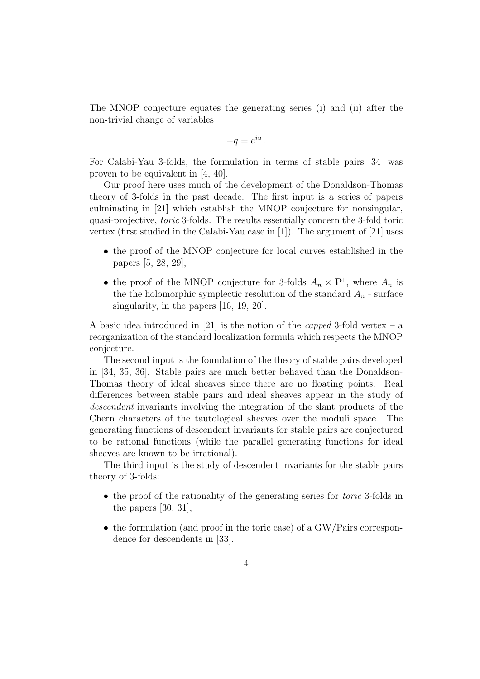The MNOP conjecture equates the generating series (i) and (ii) after the non-trivial change of variables

$$
-q=e^{iu}.
$$

For Calabi-Yau 3-folds, the formulation in terms of stable pairs [34] was proven to be equivalent in [4, 40].

Our proof here uses much of the development of the Donaldson-Thomas theory of 3-folds in the past decade. The first input is a series of papers culminating in [21] which establish the MNOP conjecture for nonsingular, quasi-projective, toric 3-folds. The results essentially concern the 3-fold toric vertex (first studied in the Calabi-Yau case in [1]). The argument of [21] uses

- the proof of the MNOP conjecture for local curves established in the papers [5, 28, 29],
- the proof of the MNOP conjecture for 3-folds  $A_n \times \mathbf{P}^1$ , where  $A_n$  is the the holomorphic symplectic resolution of the standard  $A_n$  - surface singularity, in the papers [16, 19, 20].

A basic idea introduced in [21] is the notion of the *capped* 3-fold vertex – a reorganization of the standard localization formula which respects the MNOP conjecture.

The second input is the foundation of the theory of stable pairs developed in [34, 35, 36]. Stable pairs are much better behaved than the Donaldson-Thomas theory of ideal sheaves since there are no floating points. Real differences between stable pairs and ideal sheaves appear in the study of descendent invariants involving the integration of the slant products of the Chern characters of the tautological sheaves over the moduli space. The generating functions of descendent invariants for stable pairs are conjectured to be rational functions (while the parallel generating functions for ideal sheaves are known to be irrational).

The third input is the study of descendent invariants for the stable pairs theory of 3-folds:

- the proof of the rationality of the generating series for *toric* 3-folds in the papers [30, 31],
- the formulation (and proof in the toric case) of a GW/Pairs correspondence for descendents in [33].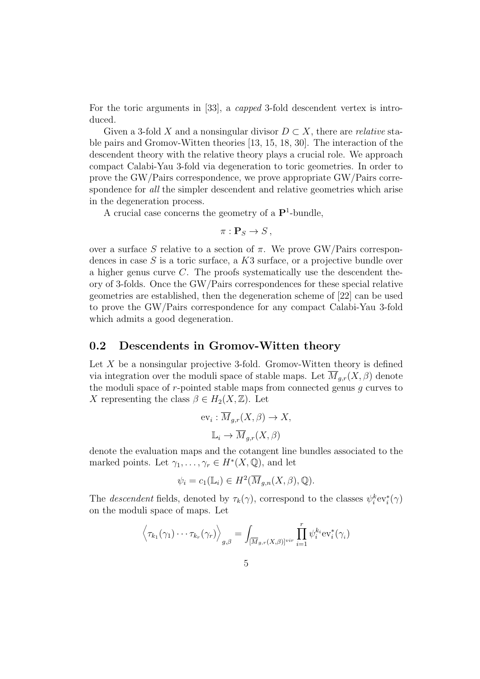For the toric arguments in [33], a capped 3-fold descendent vertex is introduced.

Given a 3-fold X and a nonsingular divisor  $D \subset X$ , there are *relative* stable pairs and Gromov-Witten theories [13, 15, 18, 30]. The interaction of the descendent theory with the relative theory plays a crucial role. We approach compact Calabi-Yau 3-fold via degeneration to toric geometries. In order to prove the GW/Pairs correspondence, we prove appropriate GW/Pairs correspondence for *all* the simpler descendent and relative geometries which arise in the degeneration process.

A crucial case concerns the geometry of a  $\mathbf{P}^1$ -bundle,

$$
\pi: \mathbf{P}_S \to S\,,
$$

over a surface S relative to a section of  $\pi$ . We prove GW/Pairs correspondences in case  $S$  is a toric surface, a  $K3$  surface, or a projective bundle over a higher genus curve C. The proofs systematically use the descendent theory of 3-folds. Once the GW/Pairs correspondences for these special relative geometries are established, then the degeneration scheme of [22] can be used to prove the GW/Pairs correspondence for any compact Calabi-Yau 3-fold which admits a good degeneration.

#### 0.2 Descendents in Gromov-Witten theory

Let  $X$  be a nonsingular projective 3-fold. Gromov-Witten theory is defined via integration over the moduli space of stable maps. Let  $M_{q,r}(X,\beta)$  denote the moduli space of  $r$ -pointed stable maps from connected genus  $g$  curves to X representing the class  $\beta \in H_2(X, \mathbb{Z})$ . Let

$$
ev_i: \overline{M}_{g,r}(X,\beta) \to X,
$$

$$
\mathbb{L}_i \to \overline{M}_{g,r}(X,\beta)
$$

denote the evaluation maps and the cotangent line bundles associated to the marked points. Let  $\gamma_1, \ldots, \gamma_r \in H^*(X, \mathbb{Q})$ , and let

$$
\psi_i = c_1(\mathbb{L}_i) \in H^2(\overline{M}_{g,n}(X,\beta),\mathbb{Q}).
$$

The *descendent* fields, denoted by  $\tau_k(\gamma)$ , correspond to the classes  $\psi_i^k ev_i^*(\gamma)$ on the moduli space of maps. Let

$$
\left\langle \tau_{k_1}(\gamma_1)\cdots\tau_{k_r}(\gamma_r)\right\rangle_{g,\beta}=\int_{[\overline{M}_{g,r}(X,\beta)]^{vir}}\prod_{i=1}^r\psi_i^{k_i}ev_i^*(\gamma_i)
$$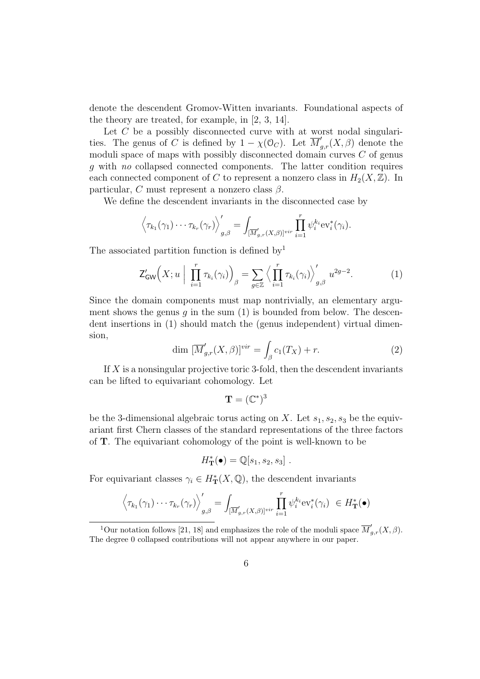denote the descendent Gromov-Witten invariants. Foundational aspects of the theory are treated, for example, in [2, 3, 14].

Let  $C$  be a possibly disconnected curve with at worst nodal singularities. The genus of C is defined by  $1 - \chi(\mathcal{O}_C)$ . Let  $\overline{M}_{g,r}'(X,\beta)$  denote the moduli space of maps with possibly disconnected domain curves  $C$  of genus g with no collapsed connected components. The latter condition requires each connected component of C to represent a nonzero class in  $H_2(X,\mathbb{Z})$ . In particular, C must represent a nonzero class  $\beta$ .

We define the descendent invariants in the disconnected case by

$$
\left\langle \tau_{k_1}(\gamma_1)\cdots\tau_{k_r}(\gamma_r)\right\rangle_{g,\beta}'=\int_{[\overline{M}'_{g,r}(X,\beta)]^{vir}}\prod_{i=1}^r\psi_i^{k_i}\mathrm{ev}_i^*(\gamma_i).
$$

The associated partition function is defined by<sup>1</sup>

$$
\mathsf{Z}_{\mathsf{GW}}'\Big(X; u\Big| \prod_{i=1}^r \tau_{k_i}(\gamma_i)\Big)_{\beta} = \sum_{g \in \mathbb{Z}} \Big\langle \prod_{i=1}^r \tau_{k_i}(\gamma_i) \Big\rangle_{g,\beta}' u^{2g-2}.\tag{1}
$$

Since the domain components must map nontrivially, an elementary argument shows the genus  $g$  in the sum  $(1)$  is bounded from below. The descendent insertions in (1) should match the (genus independent) virtual dimension,

$$
\dim \left[ \overline{M}'_{g,r}(X,\beta) \right]^{vir} = \int_{\beta} c_1(T_X) + r. \tag{2}
$$

If  $X$  is a nonsingular projective toric 3-fold, then the descendent invariants can be lifted to equivariant cohomology. Let

$$
\mathbf{T}=(\mathbb{C}^*)^3
$$

be the 3-dimensional algebraic torus acting on X. Let  $s_1, s_2, s_3$  be the equivariant first Chern classes of the standard representations of the three factors of T. The equivariant cohomology of the point is well-known to be

$$
H_{\mathbf{T}}^*(\bullet) = \mathbb{Q}[s_1, s_2, s_3].
$$

For equivariant classes  $\gamma_i \in H^*_{\mathbf{T}}(X, \mathbb{Q})$ , the descendent invariants

$$
\left\langle \tau_{k_1}(\gamma_1)\cdots\tau_{k_r}(\gamma_r)\right\rangle_{g,\beta}'=\int_{[\overline{M}'_{g,r}(X,\beta)]^{vir}}\prod_{i=1}^r\psi_i^{k_i}\text{ev}_i^*(\gamma_i) \in H_{\mathbf{T}}^*(\bullet)
$$

<sup>&</sup>lt;sup>1</sup>Our notation follows [21, 18] and emphasizes the role of the moduli space  $\overline{M}'_{g,r}(X,\beta)$ . The degree 0 collapsed contributions will not appear anywhere in our paper.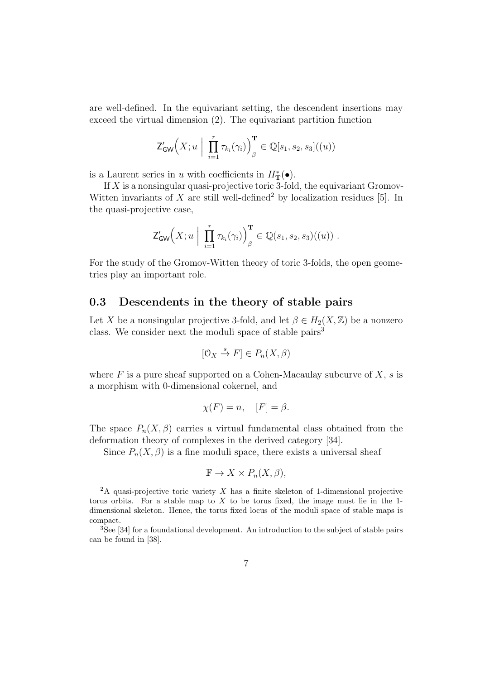are well-defined. In the equivariant setting, the descendent insertions may exceed the virtual dimension (2). The equivariant partition function

$$
\mathsf{Z}_{\mathsf{GW}}'\Bigl(X; u \mid \prod_{i=1}^r \tau_{k_i}(\gamma_i)\Bigr)_{\beta}^{\mathbf{T}} \in \mathbb{Q}[s_1, s_2, s_3]((u))
$$

is a Laurent series in u with coefficients in  $H^*_{\mathbf{T}}(\bullet)$ .

If  $X$  is a nonsingular quasi-projective toric 3-fold, the equivariant Gromov-Witten invariants of X are still well-defined<sup>2</sup> by localization residues [5]. In the quasi-projective case,

$$
\mathsf{Z}_{\mathsf{GW}}'\Bigl(X; u \Bigm| \prod_{i=1}^r \tau_{k_i}(\gamma_i) \Bigr)_{\beta}^{\mathbf{T}} \in \mathbb{Q}(s_1, s_2, s_3)((u)) .
$$

For the study of the Gromov-Witten theory of toric 3-folds, the open geometries play an important role.

#### 0.3 Descendents in the theory of stable pairs

Let X be a nonsingular projective 3-fold, and let  $\beta \in H_2(X, \mathbb{Z})$  be a nonzero class. We consider next the moduli space of stable pairs<sup>3</sup>

$$
[0_X \stackrel{s}{\to} F] \in P_n(X, \beta)
$$

where  $F$  is a pure sheaf supported on a Cohen-Macaulay subcurve of  $X$ , s is a morphism with 0-dimensional cokernel, and

$$
\chi(F) = n, \quad [F] = \beta.
$$

The space  $P_n(X, \beta)$  carries a virtual fundamental class obtained from the deformation theory of complexes in the derived category [34].

Since  $P_n(X, \beta)$  is a fine moduli space, there exists a universal sheaf

$$
\mathbb{F} \to X \times P_n(X, \beta),
$$

 ${}^{2}$ A quasi-projective toric variety X has a finite skeleton of 1-dimensional projective torus orbits. For a stable map to  $X$  to be torus fixed, the image must lie in the 1dimensional skeleton. Hence, the torus fixed locus of the moduli space of stable maps is compact.

<sup>&</sup>lt;sup>3</sup>See [34] for a foundational development. An introduction to the subject of stable pairs can be found in [38].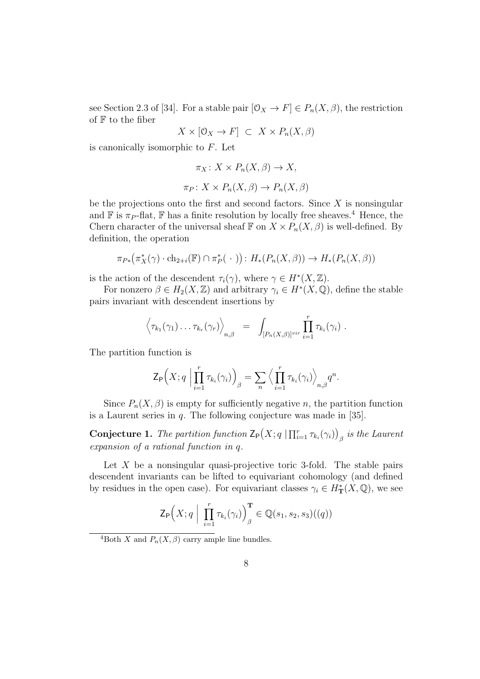see Section 2.3 of [34]. For a stable pair  $[0_X \to F] \in P_n(X, \beta)$ , the restriction of  $F$  to the fiber

$$
X\times [\mathcal{O}_X\to F] \ \subset \ X\times P_n(X,\beta)
$$

is canonically isomorphic to  $F$ . Let

$$
\pi_X \colon X \times P_n(X, \beta) \to X,
$$
  

$$
\pi_P \colon X \times P_n(X, \beta) \to P_n(X, \beta)
$$

be the projections onto the first and second factors. Since  $X$  is nonsingular and  $\mathbb F$  is  $\pi_P$ -flat,  $\mathbb F$  has a finite resolution by locally free sheaves.<sup>4</sup> Hence, the Chern character of the universal sheaf  $\mathbb F$  on  $X \times P_n(X, \beta)$  is well-defined. By definition, the operation

$$
\pi_{P*}(\pi_X^*(\gamma) \cdot \text{ch}_{2+i}(\mathbb{F}) \cap \pi_P^*(\cdot)) : H_*(P_n(X,\beta)) \to H_*(P_n(X,\beta))
$$

is the action of the descendent  $\tau_i(\gamma)$ , where  $\gamma \in H^*(X,\mathbb{Z})$ .

For nonzero  $\beta \in H_2(X, \mathbb{Z})$  and arbitrary  $\gamma_i \in H^*(X, \mathbb{Q})$ , define the stable pairs invariant with descendent insertions by

$$
\left\langle \tau_{k_1}(\gamma_1)\dots\tau_{k_r}(\gamma_r)\right\rangle_{n,\beta} = \int_{[P_n(X,\beta)]^{vir}} \prod_{i=1}^r \tau_{k_i}(\gamma_i) .
$$

The partition function is

$$
\mathsf{Z}_{\mathsf{P}}\Big(X;q\Big|\prod_{i=1}^r\tau_{k_i}(\gamma_i)\Big)_{\beta}=\sum_{n}\Big\langle\prod_{i=1}^r\tau_{k_i}(\gamma_i)\Big\rangle_{n,\beta}q^n.
$$

Since  $P_n(X, \beta)$  is empty for sufficiently negative n, the partition function is a Laurent series in  $q$ . The following conjecture was made in [35].

**Conjecture 1.** The partition function  $\mathsf{Z}_{\mathsf{P}}(X; q \mid \prod_{i=1}^r \tau_{k_i}(\gamma_i))$  $\beta$  is the Laurent expansion of a rational function in q.

Let  $X$  be a nonsingular quasi-projective toric 3-fold. The stable pairs descendent invariants can be lifted to equivariant cohomology (and defined by residues in the open case). For equivariant classes  $\gamma_i \in H^*_{\mathbf{T}}(X, \mathbb{Q})$ , we see

$$
\mathsf{Z}_{\mathsf{P}}\Big(X; q \mid \prod_{i=1}^r \tau_{k_i}(\gamma_i)\Big)_{\beta}^{\mathbf{T}} \in \mathbb{Q}(s_1, s_2, s_3)((q))
$$

<sup>4</sup>Both X and  $P_n(X, \beta)$  carry ample line bundles.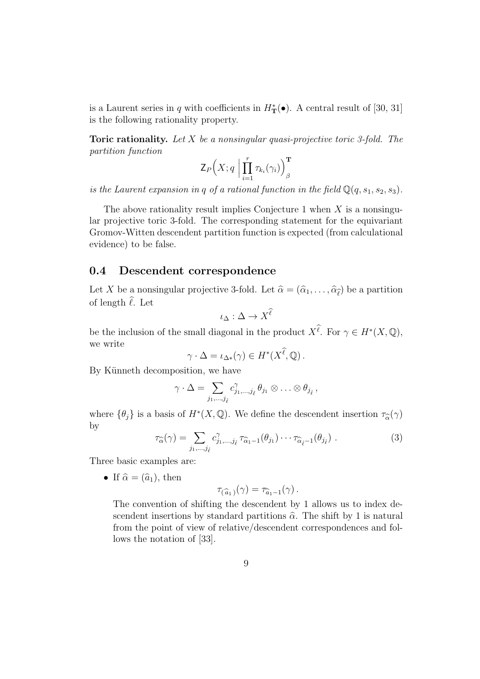is a Laurent series in q with coefficients in  $H^*_{\mathbf{T}}(\bullet)$ . A central result of [30, 31] is the following rationality property.

**Toric rationality.** Let  $X$  be a nonsingular quasi-projective toric 3-fold. The partition function

$$
\mathsf{Z}_{P}\Big(X;q\;\Big|\prod_{i=1}^r\tau_{k_i}(\gamma_i)\Big)_{\beta}^{\mathbf{T}}
$$

is the Laurent expansion in q of a rational function in the field  $\mathbb{Q}(q, s_1, s_2, s_3)$ .

The above rationality result implies Conjecture 1 when  $X$  is a nonsingular projective toric 3-fold. The corresponding statement for the equivariant Gromov-Witten descendent partition function is expected (from calculational evidence) to be false.

#### 0.4 Descendent correspondence

Let X be a nonsingular projective 3-fold. Let  $\hat{\alpha} = (\hat{\alpha}_1, \dots, \hat{\alpha}_{\hat{\ell}})$  be a partition of length  $\hat{\ell}$ . Let

$$
\iota_\Delta:\Delta\to X^\ell
$$

be the inclusion of the small diagonal in the product  $X^{\ell}$ . For  $\gamma \in H^*(X, \mathbb{Q}),$ we write

$$
\gamma \cdot \Delta = \iota_{\Delta^*}(\gamma) \in H^*(X^{\ell}, \mathbb{Q}).
$$

By Künneth decomposition, we have

$$
\gamma \cdot \Delta = \sum_{j_1,\dots,j_{\hat{\ell}}} c_{j_1,\dots,j_{\hat{\ell}}}^{\gamma} \theta_{j_1} \otimes \dots \otimes \theta_{j_{\hat{\ell}}},
$$

where  $\{\theta_j\}$  is a basis of  $H^*(X, \mathbb{Q})$ . We define the descendent insertion  $\tau_{\widehat{\alpha}}(\gamma)$ by

$$
\tau_{\widehat{\alpha}}(\gamma) = \sum_{j_1,\dots,j_{\hat{\ell}}} c^{\gamma}_{j_1,\dots,j_{\hat{\ell}}} \tau_{\widehat{\alpha}_1-1}(\theta_{j_1}) \cdots \tau_{\widehat{\alpha}_{\hat{\ell}}-1}(\theta_{j_{\hat{\ell}}}) . \tag{3}
$$

Three basic examples are:

• If  $\hat{\alpha} = (\hat{a}_1)$ , then

$$
\tau_{(\widehat{a}_1)}(\gamma) = \tau_{\widehat{a}_1-1}(\gamma).
$$

The convention of shifting the descendent by 1 allows us to index descendent insertions by standard partitions  $\hat{\alpha}$ . The shift by 1 is natural from the point of view of relative/descendent correspondences and follows the notation of [33].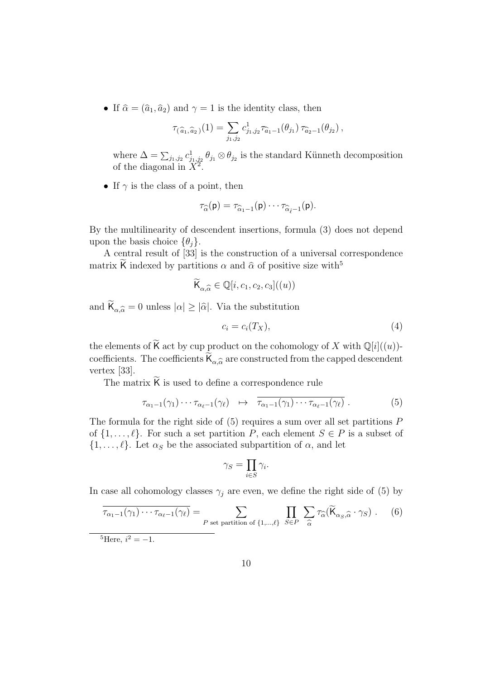• If  $\hat{\alpha} = (\hat{a}_1, \hat{a}_2)$  and  $\gamma = 1$  is the identity class, then

$$
\tau_{(\widehat{a}_1,\widehat{a}_2)}(1) = \sum_{j_1,j_2} c^1_{j_1,j_2} \tau_{\widehat{a}_1-1}(\theta_{j_1}) \tau_{\widehat{a}_2-1}(\theta_{j_2}),
$$

where  $\Delta = \sum_{j_1, j_2} c_{j_1, j_2}^1 \theta_{j_1} \otimes \theta_{j_2}$  is the standard Künneth decomposition of the diagonal in  $\widehat{X}^2$ .

• If  $\gamma$  is the class of a point, then

$$
\tau_{\widehat{\alpha}}(\mathsf{p})=\tau_{\widehat{\alpha}_1-1}(\mathsf{p})\cdots\tau_{\widehat{\alpha}_{\widehat{\ell}}-1}(\mathsf{p}).
$$

By the multilinearity of descendent insertions, formula (3) does not depend upon the basis choice  $\{\theta_i\}.$ 

A central result of [33] is the construction of a universal correspondence matrix K indexed by partitions  $\alpha$  and  $\hat{\alpha}$  of positive size with<sup>5</sup>

$$
\widetilde{\mathsf{K}}_{\alpha,\widehat{\alpha}} \in \mathbb{Q}[i,c_1,c_2,c_3]((u))
$$

and  $\mathsf{K}_{\alpha,\widehat{\alpha}} = 0$  unless  $|\alpha| \geq |\widehat{\alpha}|$ . Via the substitution

$$
c_i = c_i(T_X),\tag{4}
$$

the elements of K act by cup product on the cohomology of X with  $\mathbb{Q}[i]((u))$ coefficients. The coefficients  $K_{\alpha,\widehat{\alpha}}$  are constructed from the capped descendent vertex [33].

The matrix  $K$  is used to define a correspondence rule

$$
\tau_{\alpha_1-1}(\gamma_1)\cdots\tau_{\alpha_\ell-1}(\gamma_\ell) \quad \mapsto \quad \overline{\tau_{\alpha_1-1}(\gamma_1)\cdots\tau_{\alpha_\ell-1}(\gamma_\ell)}\ . \tag{5}
$$

The formula for the right side of  $(5)$  requires a sum over all set partitions  $P$ of  $\{1, \ldots, \ell\}$ . For such a set partition P, each element  $S \in P$  is a subset of  $\{1,\ldots,\ell\}$ . Let  $\alpha_S$  be the associated subpartition of  $\alpha$ , and let

$$
\gamma_S = \prod_{i \in S} \gamma_i.
$$

In case all cohomology classes  $\gamma_i$  are even, we define the right side of (5) by

$$
\overline{\tau_{\alpha_1-1}(\gamma_1)\cdots\tau_{\alpha_\ell-1}(\gamma_\ell)} = \sum_{P \text{ set partition of }\{1,\dots,\ell\}} \prod_{S\in P} \sum_{\widehat{\alpha}} \tau_{\widehat{\alpha}}(\widetilde{\mathsf{K}}_{\alpha_S,\widehat{\alpha}}\cdot\gamma_S).
$$
 (6)

 ${}^{5}$ Here,  $i^2 = -1$ .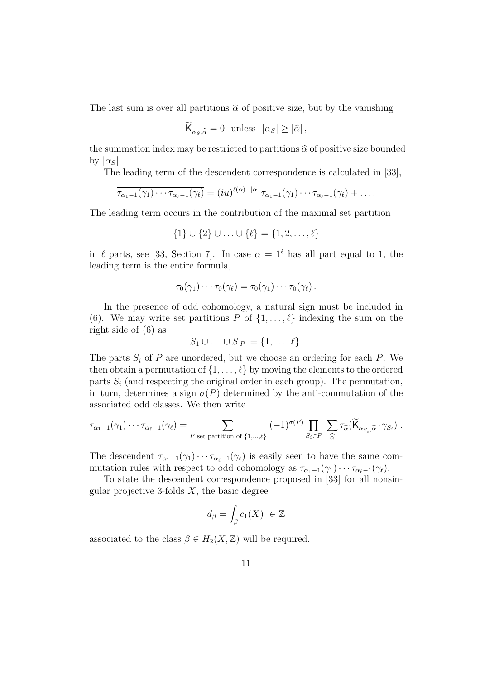The last sum is over all partitions  $\hat{\alpha}$  of positive size, but by the vanishing

$$
\widetilde{\mathsf{K}}_{\alpha_S,\widehat{\alpha}} = 0 \text{ unless } |\alpha_S| \ge |\widehat{\alpha}|,
$$

the summation index may be restricted to partitions  $\hat{\alpha}$  of positive size bounded by  $|\alpha_S|$ .

The leading term of the descendent correspondence is calculated in [33],

$$
\overline{\tau_{\alpha_1-1}(\gamma_1)\cdots\tau_{\alpha_\ell-1}(\gamma_\ell)}=(iu)^{\ell(\alpha)-|\alpha|}\tau_{\alpha_1-1}(\gamma_1)\cdots\tau_{\alpha_\ell-1}(\gamma_\ell)+\ldots.
$$

The leading term occurs in the contribution of the maximal set partition

$$
\{1\} \cup \{2\} \cup \ldots \cup \{\ell\} = \{1, 2, \ldots, \ell\}
$$

in  $\ell$  parts, see [33, Section 7]. In case  $\alpha = 1^{\ell}$  has all part equal to 1, the leading term is the entire formula,

$$
\overline{\tau_0(\gamma_1)\cdots\tau_0(\gamma_\ell)}=\tau_0(\gamma_1)\cdots\tau_0(\gamma_\ell).
$$

In the presence of odd cohomology, a natural sign must be included in (6). We may write set partitions P of  $\{1,\ldots,\ell\}$  indexing the sum on the right side of (6) as

$$
S_1 \cup \ldots \cup S_{|P|} = \{1, \ldots, \ell\}.
$$

The parts  $S_i$  of P are unordered, but we choose an ordering for each P. We then obtain a permutation of  $\{1, \ldots, \ell\}$  by moving the elements to the ordered parts  $S_i$  (and respecting the original order in each group). The permutation, in turn, determines a sign  $\sigma(P)$  determined by the anti-commutation of the associated odd classes. We then write

$$
\overline{\tau_{\alpha_1-1}(\gamma_1)\cdots\tau_{\alpha_\ell-1}(\gamma_\ell)} = \sum_{P \text{ set partition of }\{1,\ldots,\ell\}} (-1)^{\sigma(P)} \prod_{S_i \in P} \sum_{\widehat{\alpha}} \tau_{\widehat{\alpha}}(\widetilde{\mathsf{K}}_{\alpha_{S_i},\widehat{\alpha}}\cdot\gamma_{S_i}) .
$$

The descendent  $\overline{\tau_{\alpha_1-1}(\gamma_1)\cdots\tau_{\alpha_\ell-1}(\gamma_\ell)}$  is easily seen to have the same commutation rules with respect to odd cohomology as  $\tau_{\alpha_1-1}(\gamma_1)\cdots\tau_{\alpha_\ell-1}(\gamma_\ell)$ .

To state the descendent correspondence proposed in [33] for all nonsingular projective 3-folds  $X$ , the basic degree

$$
d_{\beta} = \int_{\beta} c_1(X) \ \in \mathbb{Z}
$$

associated to the class  $\beta \in H_2(X, \mathbb{Z})$  will be required.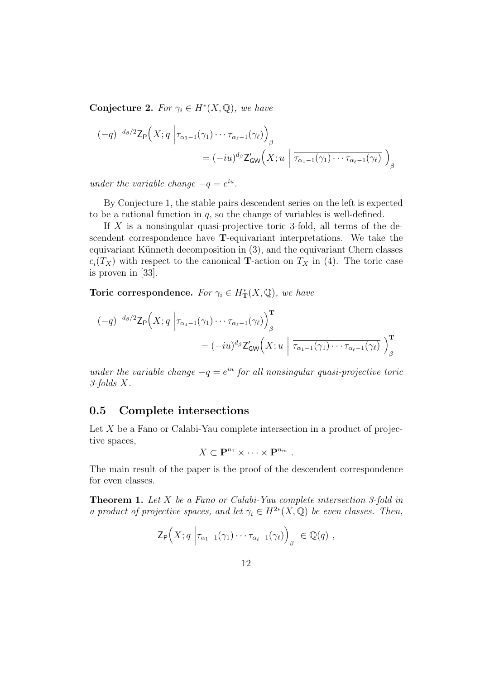Conjecture 2. For  $\gamma_i \in H^*(X, \mathbb{Q})$ , we have

$$
\begin{aligned} (-q)^{-d_{\beta}/2} \mathsf{Z}_{\mathsf{P}}\Big(X; q \, \left| \tau_{\alpha_1 - 1}(\gamma_1) \cdots \tau_{\alpha_\ell - 1}(\gamma_\ell) \right)_{\beta} \\ &= (-iu)^{d_{\beta}} \mathsf{Z}_{\mathsf{GW}}'\Big(X; u \, \left| \, \overline{\tau_{\alpha_1 - 1}(\gamma_1) \cdots \tau_{\alpha_\ell - 1}(\gamma_\ell)} \, \right)_{\beta} \end{aligned}
$$

under the variable change  $-q = e^{iu}$ .

By Conjecture 1, the stable pairs descendent series on the left is expected to be a rational function in  $q$ , so the change of variables is well-defined.

If  $X$  is a nonsingular quasi-projective toric 3-fold, all terms of the descendent correspondence have T-equivariant interpretations. We take the equivariant Künneth decomposition in  $(3)$ , and the equivariant Chern classes  $c_i(T_X)$  with respect to the canonical **T**-action on  $T_X$  in (4). The toric case is proven in [33].

Toric correspondence. For  $\gamma_i \in H^*_{\mathbf{T}}(X, \mathbb{Q})$ , we have

$$
(-q)^{-d_{\beta}/2} \mathsf{Z}_{\mathsf{P}}\Big(X; q \Big| \tau_{\alpha_1 - 1}(\gamma_1) \cdots \tau_{\alpha_\ell - 1}(\gamma_\ell)\Big)_{\beta}^{\mathbf{T}} = (-iu)^{d_{\beta}} \mathsf{Z}_{\mathsf{GW}}'\Big(X; u \Big| \overline{\tau_{\alpha_1 - 1}(\gamma_1) \cdots \tau_{\alpha_\ell - 1}(\gamma_\ell)} \Big)_{\beta}^{\mathbf{T}}
$$

under the variable change  $-q = e^{iu}$  for all nonsingular quasi-projective toric 3-folds X.

#### 0.5 Complete intersections

Let  $X$  be a Fano or Calabi-Yau complete intersection in a product of projective spaces,

$$
X\subset \mathbf{P}^{n_1}\times\cdots\times\mathbf{P}^{n_m}.
$$

The main result of the paper is the proof of the descendent correspondence for even classes.

Theorem 1. Let X be a Fano or Calabi-Yau complete intersection 3-fold in a product of projective spaces, and let  $\gamma_i \in H^{2*}(X, \mathbb{Q})$  be even classes. Then,

$$
\mathsf{Z}_{\mathsf{P}}\Big(X; q \Big| \tau_{\alpha_1 - 1}(\gamma_1) \cdots \tau_{\alpha_\ell - 1}(\gamma_\ell) \Big)_{\beta} \in \mathbb{Q}(q) ,
$$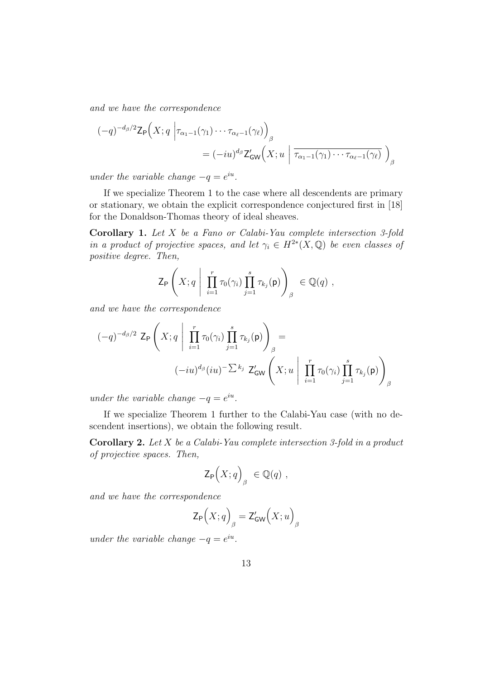and we have the correspondence

$$
(-q)^{-d_{\beta}/2} \mathsf{Z}_{\mathsf{P}}\Big(X; q \Big| \tau_{\alpha_1 - 1}(\gamma_1) \cdots \tau_{\alpha_\ell - 1}(\gamma_\ell) \Big)_{\beta} = (-iu)^{d_{\beta}} \mathsf{Z}_{\mathsf{GW}}'\Big(X; u \Big| \overline{\tau_{\alpha_1 - 1}(\gamma_1) \cdots \tau_{\alpha_\ell - 1}(\gamma_\ell)} \Big)_{\beta}
$$

under the variable change  $-q = e^{iu}$ .

If we specialize Theorem 1 to the case where all descendents are primary or stationary, we obtain the explicit correspondence conjectured first in [18] for the Donaldson-Thomas theory of ideal sheaves.

Corollary 1. Let X be a Fano or Calabi-Yau complete intersection 3-fold in a product of projective spaces, and let  $\gamma_i \in H^{2*}(X, \mathbb{Q})$  be even classes of positive degree. Then,

$$
\mathsf{Z}_{\mathsf{P}}\left(X;q\;\middle|\; \prod_{i=1}^r \tau_0(\gamma_i) \prod_{j=1}^s \tau_{k_j}(\mathsf{p})\right)_{\beta} \in \mathbb{Q}(q) ,
$$

and we have the correspondence

$$
(-q)^{-d_{\beta}/2} \mathsf{Z}_{\mathsf{P}}\left(X; q \mid \prod_{i=1}^{r} \tau_{0}(\gamma_{i}) \prod_{j=1}^{s} \tau_{k_{j}}(\mathsf{p})\right)_{\beta} =
$$

$$
(-iu)^{d_{\beta}}(iu)^{-\sum k_{j}} \mathsf{Z}_{\mathsf{GW}}'\left(X; u \mid \prod_{i=1}^{r} \tau_{0}(\gamma_{i}) \prod_{j=1}^{s} \tau_{k_{j}}(\mathsf{p})\right)_{\beta}
$$

under the variable change  $-q = e^{iu}$ .

If we specialize Theorem 1 further to the Calabi-Yau case (with no descendent insertions), we obtain the following result.

Corollary 2. Let X be a Calabi-Yau complete intersection 3-fold in a product of projective spaces. Then,

$$
\mathsf{Z}_{\mathsf{P}}\Bigl(X;q\Bigr)_{\beta} \in \mathbb{Q}(q) ,
$$

and we have the correspondence

$$
\mathsf{Z}_{\mathsf{P}}\Bigl(X;q\Bigr)_{\beta}=\mathsf{Z}^{\prime}_{\mathsf{GW}}\Bigl(X;u\Bigr)_{\beta}
$$

under the variable change  $-q = e^{iu}$ .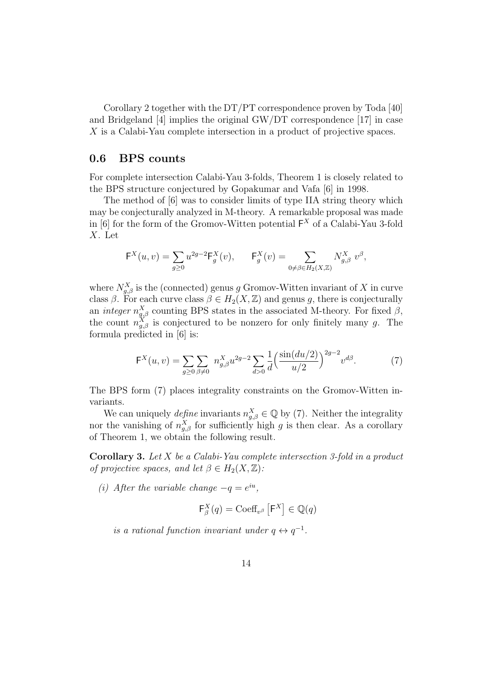Corollary 2 together with the  $DT/PT$  correspondence proven by Toda [40] and Bridgeland [4] implies the original GW/DT correspondence [17] in case X is a Calabi-Yau complete intersection in a product of projective spaces.

#### 0.6 BPS counts

For complete intersection Calabi-Yau 3-folds, Theorem 1 is closely related to the BPS structure conjectured by Gopakumar and Vafa [6] in 1998.

The method of [6] was to consider limits of type IIA string theory which may be conjecturally analyzed in M-theory. A remarkable proposal was made in [6] for the form of the Gromov-Witten potential  $F^X$  of a Calabi-Yau 3-fold X. Let

$$
\mathsf{F}^X(u,v) = \sum_{g \ge 0} u^{2g-2} \mathsf{F}^X_g(v), \qquad \mathsf{F}^X_g(v) = \sum_{0 \ne \beta \in H_2(X,\mathbb{Z})} N^X_{g,\beta} v^{\beta},
$$

where  $N_{g,\beta}^X$  is the (connected) genus g Gromov-Witten invariant of X in curve class  $\beta$ . For each curve class  $\beta \in H_2(X, \mathbb{Z})$  and genus g, there is conjecturally an *integer*  $n_{g,\beta}^X$  counting BPS states in the associated M-theory. For fixed  $\beta$ , the count  $n_{g,\beta}^X$  is conjectured to be nonzero for only finitely many g. The formula predicted in [6] is:

$$
\mathsf{F}^X(u,v) = \sum_{g \ge 0} \sum_{\beta \neq 0} n_{g,\beta}^X u^{2g-2} \sum_{d>0} \frac{1}{d} \left( \frac{\sin(du/2)}{u/2} \right)^{2g-2} v^{d\beta}.
$$
 (7)

The BPS form (7) places integrality constraints on the Gromov-Witten invariants.

We can uniquely *define* invariants  $n_{g,\beta}^X \in \mathbb{Q}$  by (7). Neither the integrality nor the vanishing of  $n_{g,\beta}^X$  for sufficiently high g is then clear. As a corollary of Theorem 1, we obtain the following result.

**Corollary 3.** Let X be a Calabi-Yau complete intersection 3-fold in a product of projective spaces, and let  $\beta \in H_2(X, \mathbb{Z})$ :

(i) After the variable change  $-q = e^{iu}$ ,

$$
\mathsf{F}^X_\beta(q) = \mathrm{Coeff}_{v^\beta}\left[\mathsf{F}^X\right] \in \mathbb{Q}(q)
$$

is a rational function invariant under  $q \leftrightarrow q^{-1}$ .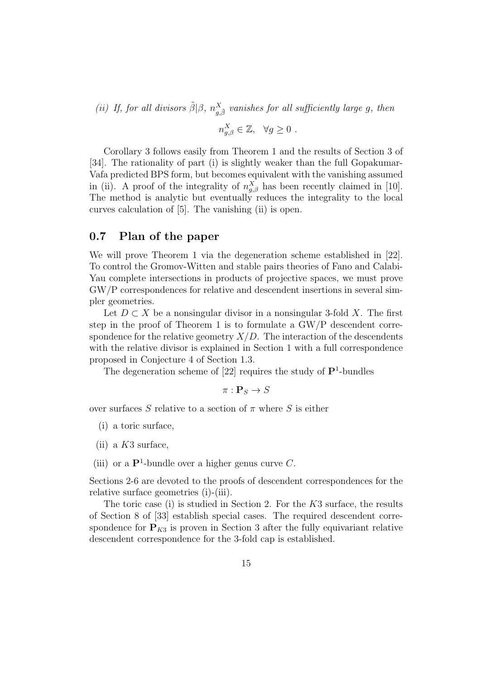(ii) If, for all divisors  $\tilde{\beta}|\beta$ ,  $n_{g,\tilde{\beta}}^X$  vanishes for all sufficiently large g, then

$$
n_{g,\beta}^X \in \mathbb{Z}, \quad \forall g \ge 0 \ .
$$

Corollary 3 follows easily from Theorem 1 and the results of Section 3 of [34]. The rationality of part (i) is slightly weaker than the full Gopakumar-Vafa predicted BPS form, but becomes equivalent with the vanishing assumed in (ii). A proof of the integrality of  $n_{g,\beta}^X$  has been recently claimed in [10]. The method is analytic but eventually reduces the integrality to the local curves calculation of [5]. The vanishing (ii) is open.

#### 0.7 Plan of the paper

We will prove Theorem 1 via the degeneration scheme established in [22]. To control the Gromov-Witten and stable pairs theories of Fano and Calabi-Yau complete intersections in products of projective spaces, we must prove GW/P correspondences for relative and descendent insertions in several simpler geometries.

Let  $D \subset X$  be a nonsingular divisor in a nonsingular 3-fold X. The first step in the proof of Theorem 1 is to formulate a GW/P descendent correspondence for the relative geometry  $X/D$ . The interaction of the descendents with the relative divisor is explained in Section 1 with a full correspondence proposed in Conjecture 4 of Section 1.3.

The degeneration scheme of  $[22]$  requires the study of  $\mathbf{P}^1$ -bundles

$$
\pi: \mathbf{P}_S \to S
$$

over surfaces S relative to a section of  $\pi$  where S is either

- (i) a toric surface,
- (ii) a  $K3$  surface,
- (iii) or a  $\mathbf{P}^1$ -bundle over a higher genus curve C.

Sections 2-6 are devoted to the proofs of descendent correspondences for the relative surface geometries (i)-(iii).

The toric case (i) is studied in Section 2. For the  $K3$  surface, the results of Section 8 of [33] establish special cases. The required descendent correspondence for  $P_{K3}$  is proven in Section 3 after the fully equivariant relative descendent correspondence for the 3-fold cap is established.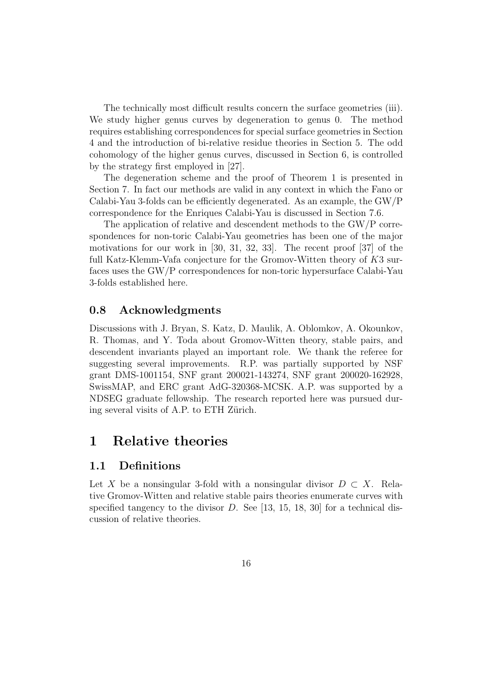The technically most difficult results concern the surface geometries (iii). We study higher genus curves by degeneration to genus 0. The method requires establishing correspondences for special surface geometries in Section 4 and the introduction of bi-relative residue theories in Section 5. The odd cohomology of the higher genus curves, discussed in Section 6, is controlled by the strategy first employed in [27].

The degeneration scheme and the proof of Theorem 1 is presented in Section 7. In fact our methods are valid in any context in which the Fano or Calabi-Yau 3-folds can be efficiently degenerated. As an example, the GW/P correspondence for the Enriques Calabi-Yau is discussed in Section 7.6.

The application of relative and descendent methods to the GW/P correspondences for non-toric Calabi-Yau geometries has been one of the major motivations for our work in [30, 31, 32, 33]. The recent proof [37] of the full Katz-Klemm-Vafa conjecture for the Gromov-Witten theory of K3 surfaces uses the GW/P correspondences for non-toric hypersurface Calabi-Yau 3-folds established here.

#### 0.8 Acknowledgments

Discussions with J. Bryan, S. Katz, D. Maulik, A. Oblomkov, A. Okounkov, R. Thomas, and Y. Toda about Gromov-Witten theory, stable pairs, and descendent invariants played an important role. We thank the referee for suggesting several improvements. R.P. was partially supported by NSF grant DMS-1001154, SNF grant 200021-143274, SNF grant 200020-162928, SwissMAP, and ERC grant AdG-320368-MCSK. A.P. was supported by a NDSEG graduate fellowship. The research reported here was pursued during several visits of A.P. to ETH Zürich.

## 1 Relative theories

#### 1.1 Definitions

Let X be a nonsingular 3-fold with a nonsingular divisor  $D \subset X$ . Relative Gromov-Witten and relative stable pairs theories enumerate curves with specified tangency to the divisor  $D$ . See [13, 15, 18, 30] for a technical discussion of relative theories.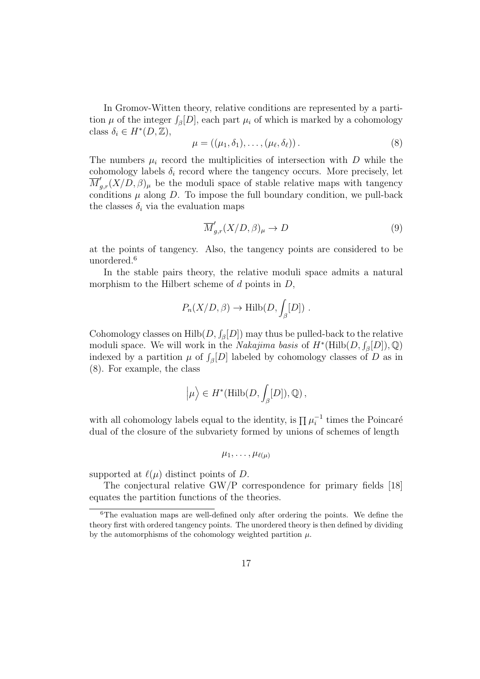In Gromov-Witten theory, relative conditions are represented by a partition  $\mu$  of the integer  $\int_{\beta}[D]$ , each part  $\mu_i$  of which is marked by a cohomology class  $\delta_i \in H^*(D, \mathbb{Z}),$ 

$$
\mu = ((\mu_1, \delta_1), \dots, (\mu_\ell, \delta_\ell)). \tag{8}
$$

The numbers  $\mu_i$  record the multiplicities of intersection with D while the cohomology labels  $\delta_i$  record where the tangency occurs. More precisely, let  $\overline{M}_{g,r}'(X/\overline{D},\beta)_{\mu}$  be the moduli space of stable relative maps with tangency conditions  $\mu$  along  $D$ . To impose the full boundary condition, we pull-back the classes  $\delta_i$  via the evaluation maps

$$
\overline{M}'_{g,r}(X/D,\beta)_{\mu} \to D \tag{9}
$$

at the points of tangency. Also, the tangency points are considered to be unordered.<sup>6</sup>

In the stable pairs theory, the relative moduli space admits a natural morphism to the Hilbert scheme of  $d$  points in  $D$ ,

$$
P_n(X/D, \beta) \to \text{Hilb}(D, \int_{\beta} [D]) .
$$

Cohomology classes on  $\text{Hilb}(D, \int_{\beta}[D])$  may thus be pulled-back to the relative moduli space. We will work in the *Nakajima basis* of  $H^*(\text{Hilb}(D, \mathcal{J}_\beta[D]), \mathbb{Q})$ indexed by a partition  $\mu$  of  $\int_{\beta}[D]$  labeled by cohomology classes of D as in (8). For example, the class

$$
\left|\mu\right\rangle \in H^*(\mathrm{Hilb}(D,\int_\beta [D]),\mathbb{Q})\,,
$$

with all cohomology labels equal to the identity, is  $\prod \mu_i^{-1}$  times the Poincaré dual of the closure of the subvariety formed by unions of schemes of length

$$
\mu_1,\ldots,\mu_{\ell(\mu)}
$$

supported at  $\ell(\mu)$  distinct points of D.

The conjectural relative GW/P correspondence for primary fields [18] equates the partition functions of the theories.

<sup>6</sup>The evaluation maps are well-defined only after ordering the points. We define the theory first with ordered tangency points. The unordered theory is then defined by dividing by the automorphisms of the cohomology weighted partition  $\mu$ .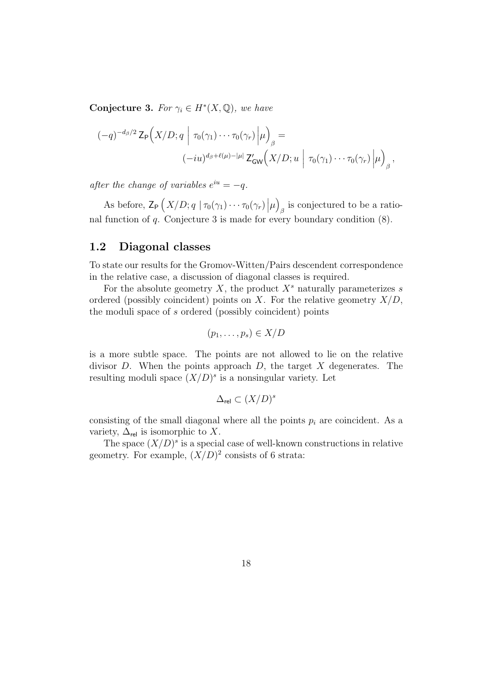Conjecture 3. For  $\gamma_i \in H^*(X, \mathbb{Q})$ , we have

$$
(-q)^{-d_{\beta}/2} \mathsf{Z}_{\mathsf{P}}\Big(X/D; q \mid \tau_0(\gamma_1) \cdots \tau_0(\gamma_r) \Big| \mu \Big)_{\beta} =
$$
  

$$
(-iu)^{d_{\beta}+\ell(\mu)-|\mu|} \mathsf{Z}'_{\mathsf{GW}}\Big(X/D; u \mid \tau_0(\gamma_1) \cdots \tau_0(\gamma_r) \Big| \mu \Big)_{\beta},
$$

after the change of variables  $e^{iu} = -q$ .

As before,  $\mathsf{Z}_{\mathsf{P}}\left(X/D; q \mid \tau_0(\gamma_1)\cdots\tau_0(\gamma_r)\|\mu\right)$  $_{\beta}$  is conjectured to be a rational function of  $q$ . Conjecture 3 is made for every boundary condition  $(8)$ .

#### 1.2 Diagonal classes

To state our results for the Gromov-Witten/Pairs descendent correspondence in the relative case, a discussion of diagonal classes is required.

For the absolute geometry X, the product  $X^s$  naturally parameterizes s ordered (possibly coincident) points on X. For the relative geometry  $X/D$ , the moduli space of s ordered (possibly coincident) points

$$
(p_1,\ldots,p_s)\in X/D
$$

is a more subtle space. The points are not allowed to lie on the relative divisor  $D$ . When the points approach  $D$ , the target  $X$  degenerates. The resulting moduli space  $(X/D)^s$  is a nonsingular variety. Let

$$
\Delta_{\text{rel}} \subset (X/D)^s
$$

consisting of the small diagonal where all the points  $p_i$  are coincident. As a variety,  $\Delta_{\text{rel}}$  is isomorphic to X.

The space  $(X/D)^s$  is a special case of well-known constructions in relative geometry. For example,  $(X/D)^2$  consists of 6 strata: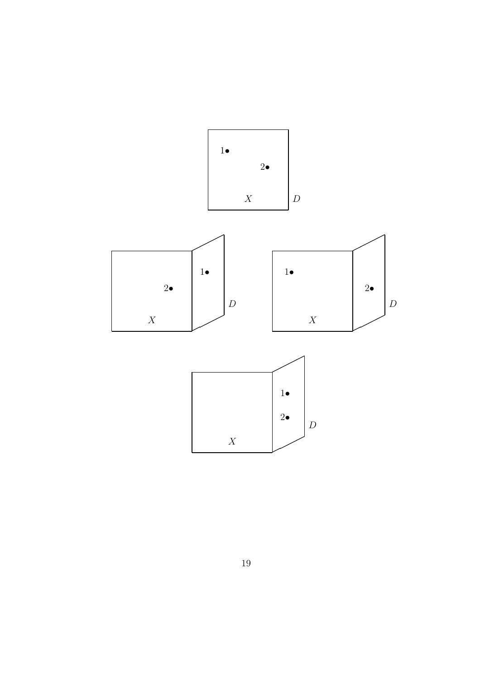

19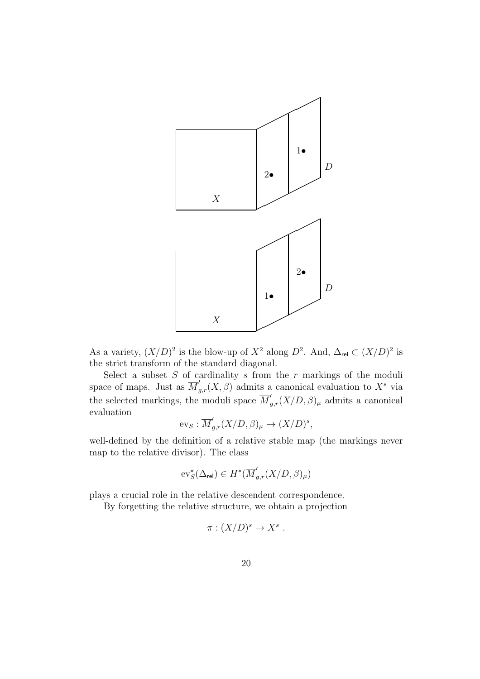

As a variety,  $(X/D)^2$  is the blow-up of  $X^2$  along  $D^2$ . And,  $\Delta_{rel} \subset (X/D)^2$  is the strict transform of the standard diagonal.

Select a subset  $S$  of cardinality  $s$  from the  $r$  markings of the moduli space of maps. Just as  $\overline{M}'_{g,r}(X,\beta)$  admits a canonical evaluation to  $X^s$  via the selected markings, the moduli space  $\overline{M}'_{g,r}(X/D, \beta)_{\mu}$  admits a canonical evaluation

$$
\text{ev}_S: \overline{M}'_{g,r}(X/D, \beta)_{\mu} \to (X/D)^s,
$$

well-defined by the definition of a relative stable map (the markings never map to the relative divisor). The class

$$
\text{ev}_S^*(\Delta_{\text{rel}})\in H^*(\overline{M}'_{g,r}(X/D,\beta)_\mu)
$$

plays a crucial role in the relative descendent correspondence.

By forgetting the relative structure, we obtain a projection

$$
\pi : (X/D)^s \to X^s .
$$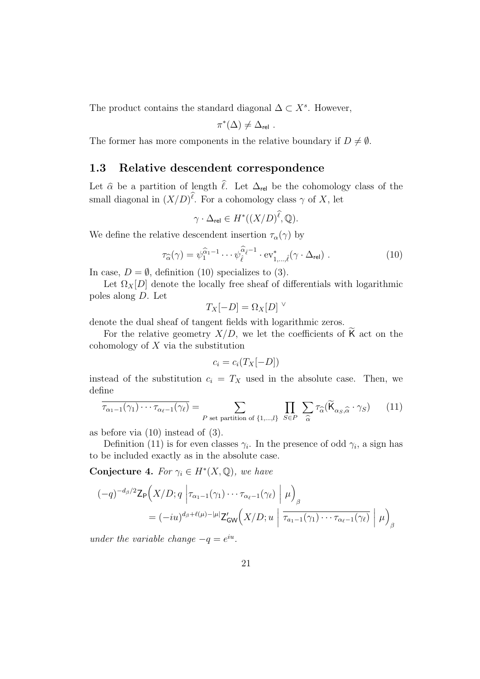The product contains the standard diagonal  $\Delta \subset X^s$ . However,

$$
\pi^*(\Delta) \neq \Delta_{\text{rel}}.
$$

The former has more components in the relative boundary if  $D \neq \emptyset$ .

#### 1.3 Relative descendent correspondence

Let  $\hat{\alpha}$  be a partition of length  $\hat{\ell}$ . Let  $\Delta_{rel}$  be the cohomology class of the small diagonal in  $(X/D)^{\ell}$ . For a cohomology class  $\gamma$  of X, let

$$
\gamma \cdot \Delta_{\text{rel}} \in H^*((X/D)^{\ell}, \mathbb{Q}).
$$

We define the relative descendent insertion  $\tau_{\alpha}(\gamma)$  by

$$
\tau_{\widehat{\alpha}}(\gamma) = \psi_1^{\widehat{\alpha}_1 - 1} \cdots \psi_{\widehat{\ell}}^{\widehat{\alpha}_{\widehat{\ell}} - 1} \cdot \mathrm{ev}_{1,\dots,\widehat{\ell}}^*(\gamma \cdot \Delta_{\mathrm{rel}}) \ . \tag{10}
$$

In case,  $D = \emptyset$ , definition (10) specializes to (3).

Let  $\Omega_X[D]$  denote the locally free sheaf of differentials with logarithmic poles along D. Let

$$
T_X[-D] = \Omega_X[D]^\vee
$$

denote the dual sheaf of tangent fields with logarithmic zeros.

For the relative geometry  $X/D$ , we let the coefficients of K act on the cohomology of  $X$  via the substitution

$$
c_i = c_i(T_X[-D])
$$

instead of the substitution  $c_i = T_X$  used in the absolute case. Then, we define

$$
\tau_{\alpha_1 - 1}(\gamma_1) \cdots \tau_{\alpha_\ell - 1}(\gamma_\ell) = \sum_{P \text{ set partition of } \{1, \dots, l\}} \prod_{S \in P} \sum_{\widehat{\alpha}} \tau_{\widehat{\alpha}}(\widetilde{\mathsf{K}}_{\alpha_S, \widehat{\alpha}} \cdot \gamma_S) \qquad (11)
$$

as before via (10) instead of (3).

Definition (11) is for even classes  $\gamma_i$ . In the presence of odd  $\gamma_i$ , a sign has to be included exactly as in the absolute case.

Conjecture 4. For  $\gamma_i \in H^*(X, \mathbb{Q})$ , we have

$$
(-q)^{-d_{\beta}/2} \mathsf{Z}_{\mathsf{P}}\Big(X/D; q \left|\tau_{\alpha_{1}-1}(\gamma_{1})\cdots\tau_{\alpha_{\ell}-1}(\gamma_{\ell})\right| \mu\Big)_{\beta}
$$
  
=  $(-iu)^{d_{\beta}+\ell(\mu)-|\mu|} \mathsf{Z}_{\mathsf{GW}}'\Big(X/D; u \left|\overline{\tau_{a_{1}-1}(\gamma_{1})\cdots\tau_{\alpha_{\ell}-1}(\gamma_{\ell})}\right| \mu\Big)_{\beta}$ 

under the variable change  $-q = e^{iu}$ .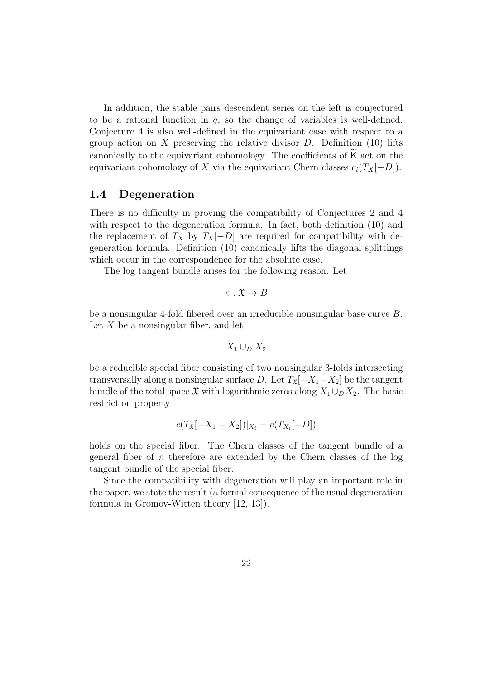In addition, the stable pairs descendent series on the left is conjectured to be a rational function in  $q$ , so the change of variables is well-defined. Conjecture 4 is also well-defined in the equivariant case with respect to a group action on  $X$  preserving the relative divisor  $D$ . Definition (10) lifts canonically to the equivariant cohomology. The coefficients of  $K$  act on the equivariant cohomology of X via the equivariant Chern classes  $c_i(T_X[-D])$ .

#### 1.4 Degeneration

There is no difficulty in proving the compatibility of Conjectures 2 and 4 with respect to the degeneration formula. In fact, both definition (10) and the replacement of  $T_X$  by  $T_X[-D]$  are required for compatibility with degeneration formula. Definition (10) canonically lifts the diagonal splittings which occur in the correspondence for the absolute case.

The log tangent bundle arises for the following reason. Let

$$
\pi:\mathfrak{X}\to B
$$

be a nonsingular 4-fold fibered over an irreducible nonsingular base curve B. Let  $X$  be a nonsingular fiber, and let

$$
X_1 \cup_D X_2
$$

be a reducible special fiber consisting of two nonsingular 3-folds intersecting transversally along a nonsingular surface D. Let  $T_x[-X_1-X_2]$  be the tangent bundle of the total space  $\mathfrak X$  with logarithmic zeros along  $X_1\cup_D X_2$ . The basic restriction property

$$
c(T_{\mathfrak{X}}[-X_1 - X_2])|_{X_i} = c(T_{X_i}[-D])
$$

holds on the special fiber. The Chern classes of the tangent bundle of a general fiber of  $\pi$  therefore are extended by the Chern classes of the log tangent bundle of the special fiber.

Since the compatibility with degeneration will play an important role in the paper, we state the result (a formal consequence of the usual degeneration formula in Gromov-Witten theory [12, 13]).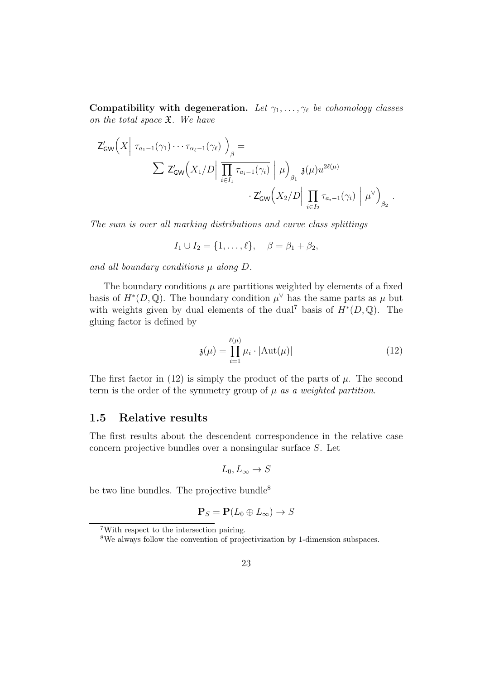Compatibility with degeneration. Let  $\gamma_1, \ldots, \gamma_\ell$  be cohomology classes on the total space  $\mathfrak{X}$ . We have

$$
Z'_{GW}\left(X\left|\overline{\tau_{a_1-1}(\gamma_1)\cdots\tau_{\alpha_\ell-1}(\gamma_\ell)}\right)_{\beta}=\n\sum Z'_{GW}\left(X_1/D\right|\overline{\prod_{i\in I_1}\tau_{a_i-1}(\gamma_i)}\left|\mu\right\rangle_{\beta_1}\mathfrak{z}(\mu)u^{2\ell(\mu)}\n\cdot Z'_{GW}\left(X_2/D\right|\overline{\prod_{i\in I_2}\tau_{a_i-1}(\gamma_i)}\left|\mu^\vee\right\rangle_{\beta_2}.
$$

The sum is over all marking distributions and curve class splittings

$$
I_1 \cup I_2 = \{1, ..., \ell\}, \quad \beta = \beta_1 + \beta_2,
$$

and all boundary conditions  $\mu$  along  $D$ .

The boundary conditions  $\mu$  are partitions weighted by elements of a fixed basis of  $H^*(D, \mathbb{Q})$ . The boundary condition  $\mu^{\vee}$  has the same parts as  $\mu$  but with weights given by dual elements of the dual<sup>7</sup> basis of  $H^*(D, \mathbb{Q})$ . The gluing factor is defined by

$$
\mathfrak{z}(\mu) = \prod_{i=1}^{\ell(\mu)} \mu_i \cdot |\mathrm{Aut}(\mu)| \tag{12}
$$

The first factor in (12) is simply the product of the parts of  $\mu$ . The second term is the order of the symmetry group of  $\mu$  as a weighted partition.

#### 1.5 Relative results

The first results about the descendent correspondence in the relative case concern projective bundles over a nonsingular surface S. Let

$$
L_0, L_\infty \to S
$$

be two line bundles. The projective bundle<sup>8</sup>

$$
\mathbf{P}_S = \mathbf{P}(L_0 \oplus L_\infty) \to S
$$

<sup>7</sup>With respect to the intersection pairing.

<sup>8</sup>We always follow the convention of projectivization by 1-dimension subspaces.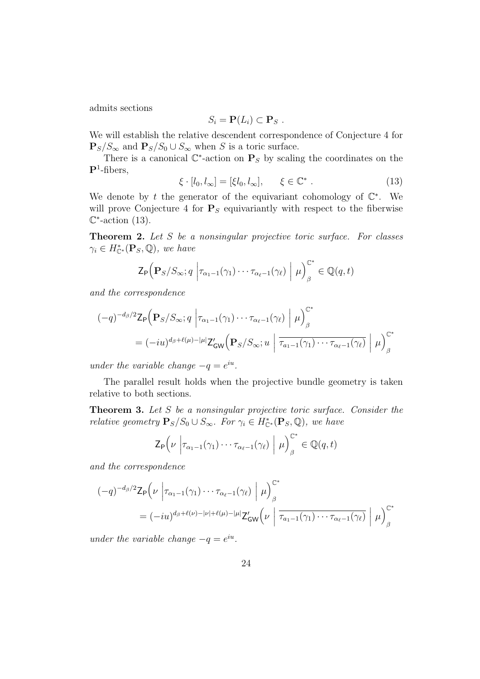admits sections

$$
S_i = \mathbf{P}(L_i) \subset \mathbf{P}_S.
$$

We will establish the relative descendent correspondence of Conjecture 4 for  $\mathbf{P}_S/S_{\infty}$  and  $\mathbf{P}_S/S_0 \cup S_{\infty}$  when S is a toric surface.

There is a canonical  $\mathbb{C}^*$ -action on  $\mathbf{P}_S$  by scaling the coordinates on the  $\mathbf{P}^1$ -fibers,

$$
\xi \cdot [l_0, l_\infty] = [\xi l_0, l_\infty], \qquad \xi \in \mathbb{C}^* \ . \tag{13}
$$

We denote by t the generator of the equivariant cohomology of  $\mathbb{C}^*$ . We will prove Conjecture 4 for  $P<sub>S</sub>$  equivariantly with respect to the fiberwise  $\mathbb{C}^*$ -action (13).

Theorem 2. Let S be a nonsingular projective toric surface. For classes  $\gamma_i \in H_{\mathbb{C}^*}^*(\mathbf{P}_S, \mathbb{Q}),$  we have

$$
\mathsf{Z}_{\mathsf{P}}\Big(\mathbf{P}_{S}/S_{\infty};q\left|\tau_{\alpha_1-1}(\gamma_1)\cdots\tau_{\alpha_\ell-1}(\gamma_\ell)\right|\mu\Big)_{\beta}^{\mathbb{C}^*}\in\mathbb{Q}(q,t)
$$

and the correspondence

$$
(-q)^{-d_{\beta}/2} \mathsf{Z}_{\mathsf{P}}\Big(\mathbf{P}_{S}/S_{\infty}; q \left|\tau_{\alpha_{1}-1}(\gamma_{1})\cdots\tau_{\alpha_{\ell}-1}(\gamma_{\ell})\right| \mu\Big)_{\beta}^{\mathbb{C}^{*}}
$$
  
=  $(-iu)^{d_{\beta}+\ell(\mu)-|\mu|} \mathsf{Z}'_{\mathsf{GW}}\Big(\mathbf{P}_{S}/S_{\infty}; u \left|\overline{\tau_{a_{1}-1}(\gamma_{1})\cdots\tau_{\alpha_{\ell}-1}(\gamma_{\ell})}\right| \mu\Big)_{\beta}^{\mathbb{C}^{*}}$ 

under the variable change  $-q = e^{iu}$ .

The parallel result holds when the projective bundle geometry is taken relative to both sections.

Theorem 3. Let S be a nonsingular projective toric surface. Consider the *relative geometry*  $\mathbf{P}_S/S_0 \cup S_\infty$ . For  $\gamma_i \in H_{\mathbb{C}^*}^*(\mathbf{P}_S,\mathbb{Q})$ , we have

$$
\mathsf{Z}_{\mathsf{P}}\left(\nu \middle| \tau_{\alpha_1-1}(\gamma_1)\cdots\tau_{\alpha_\ell-1}(\gamma_\ell) \middle| \mu\right)_{\beta}^{\mathbb{C}^*} \in \mathbb{Q}(q,t)
$$

and the correspondence

$$
(-q)^{-d_{\beta}/2} \mathsf{Z}_{\mathsf{P}}\left(\nu \left| \tau_{\alpha_{1}-1}(\gamma_{1})\cdots\tau_{\alpha_{\ell}-1}(\gamma_{\ell})\right| \mu\right)_{\beta}^{\mathbb{C}^{*}}
$$
  
=  $(-iu)^{d_{\beta}+\ell(\nu)-|\nu|+\ell(\mu)-|\mu|} \mathsf{Z}_{\mathsf{GW}}'\left(\nu \left| \tau_{\alpha_{1}-1}(\gamma_{1})\cdots\tau_{\alpha_{\ell}-1}(\gamma_{\ell})\right| \mu\right)_{\beta}^{\mathbb{C}^{*}}$ 

under the variable change  $-q = e^{iu}$ .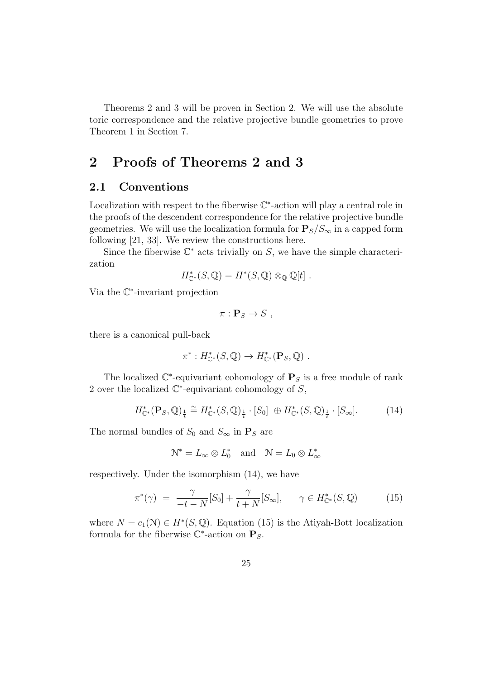Theorems 2 and 3 will be proven in Section 2. We will use the absolute toric correspondence and the relative projective bundle geometries to prove Theorem 1 in Section 7.

# 2 Proofs of Theorems 2 and 3

#### 2.1 Conventions

Localization with respect to the fiberwise  $\mathbb{C}^*$ -action will play a central role in the proofs of the descendent correspondence for the relative projective bundle geometries. We will use the localization formula for  $P_S/S_\infty$  in a capped form following [21, 33]. We review the constructions here.

Since the fiberwise  $\mathbb{C}^*$  acts trivially on S, we have the simple characterization

$$
H_{\mathbb{C}^*}^*(S,\mathbb{Q})=H^*(S,\mathbb{Q})\otimes_{\mathbb{Q}}\mathbb{Q}[t].
$$

Via the C ∗ -invariant projection

$$
\pi: \mathbf{P}_S \to S \ ,
$$

there is a canonical pull-back

$$
\pi^*: H^*_{\mathbb{C}^*}(S,\mathbb{Q}) \to H^*_{\mathbb{C}^*}(\mathbf{P}_S,\mathbb{Q}) .
$$

The localized  $\mathbb{C}^*$ -equivariant cohomology of  $\mathbf{P}_S$  is a free module of rank 2 over the localized  $\mathbb{C}^*$ -equivariant cohomology of  $S$ ,

$$
H_{\mathbb{C}^*}^*(\mathbf{P}_S, \mathbb{Q})_{\frac{1}{t}} \cong H_{\mathbb{C}^*}^*(S, \mathbb{Q})_{\frac{1}{t}} \cdot [S_0] \oplus H_{\mathbb{C}^*}^*(S, \mathbb{Q})_{\frac{1}{t}} \cdot [S_\infty]. \tag{14}
$$

The normal bundles of  $S_0$  and  $S_{\infty}$  in  $\mathbf{P}_S$  are

$$
\mathcal{N}^* = L_\infty \otimes L_0^* \quad \text{and} \quad \mathcal{N} = L_0 \otimes L_\infty^*
$$

respectively. Under the isomorphism (14), we have

$$
\pi^*(\gamma) = \frac{\gamma}{-t - N}[S_0] + \frac{\gamma}{t + N}[S_\infty], \qquad \gamma \in H^*_{\mathbb{C}^*}(S, \mathbb{Q}) \tag{15}
$$

where  $N = c_1(\mathcal{N}) \in H^*(S, \mathbb{Q})$ . Equation (15) is the Atiyah-Bott localization formula for the fiberwise  $\mathbb{C}^*$ -action on  $\mathbf{P}_S$ .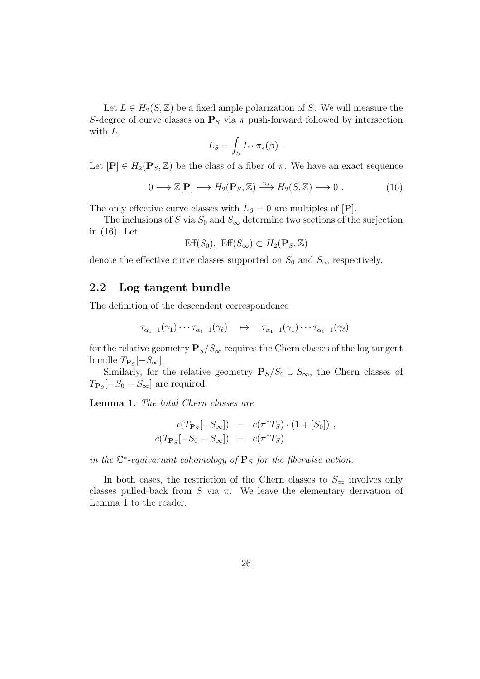Let  $L \in H_2(S, \mathbb{Z})$  be a fixed ample polarization of S. We will measure the S-degree of curve classes on  $P<sub>S</sub>$  via  $\pi$  push-forward followed by intersection with  $L$ ,

$$
L_{\beta} = \int_{S} L \cdot \pi_{*}(\beta) .
$$

Let  $[\mathbf{P}] \in H_2(\mathbf{P}_S, \mathbb{Z})$  be the class of a fiber of  $\pi$ . We have an exact sequence

$$
0 \longrightarrow \mathbb{Z}[\mathbf{P}] \longrightarrow H_2(\mathbf{P}_S, \mathbb{Z}) \xrightarrow{\pi_*} H_2(S, \mathbb{Z}) \longrightarrow 0 . \tag{16}
$$

The only effective curve classes with  $L_\beta = 0$  are multiples of  $[P]$ .

The inclusions of S via  $S_0$  and  $S_{\infty}$  determine two sections of the surjection in (16). Let

$$
\text{Eff}(S_0), \text{ Eff}(S_\infty) \subset H_2(\mathbf{P}_S, \mathbb{Z})
$$

denote the effective curve classes supported on  $S_0$  and  $S_{\infty}$  respectively.

#### 2.2 Log tangent bundle

The definition of the descendent correspondence

$$
\tau_{\alpha_1-1}(\gamma_1)\cdots\tau_{\alpha_\ell-1}(\gamma_\ell) \quad \mapsto \quad \overline{\tau_{\alpha_1-1}(\gamma_1)\cdots\tau_{\alpha_\ell-1}(\gamma_\ell)}
$$

for the relative geometry  $P_S/S_{\infty}$  requires the Chern classes of the log tangent bundle  $T_{\mathbf{P}_S}[-S_\infty]$ .

Similarly, for the relative geometry  $P_S/S_0 \cup S_{\infty}$ , the Chern classes of  $T_{\mathbf{P}_S}[-S_0 - S_{\infty}]$  are required.

Lemma 1. The total Chern classes are

$$
c(T_{\mathbf{P}_S}[-S_{\infty}]) = c(\pi^*T_S) \cdot (1 + [S_0]),
$$
  

$$
c(T_{\mathbf{P}_S}[-S_0 - S_{\infty}]) = c(\pi^*T_S)
$$

in the  $\mathbb{C}^*$ -equivariant cohomology of  $\mathbf{P}_S$  for the fiberwise action.

In both cases, the restriction of the Chern classes to  $S_{\infty}$  involves only classes pulled-back from S via  $\pi$ . We leave the elementary derivation of Lemma 1 to the reader.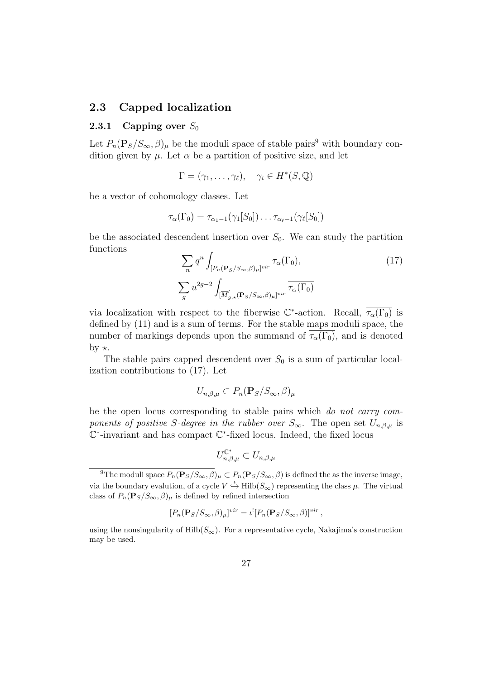#### 2.3 Capped localization

#### 2.3.1 Capping over  $S_0$

Let  $P_n(\mathbf{P}_S/S_\infty, \beta)_\mu$  be the moduli space of stable pairs<sup>9</sup> with boundary condition given by  $\mu$ . Let  $\alpha$  be a partition of positive size, and let

$$
\Gamma = (\gamma_1, \dots, \gamma_\ell), \quad \gamma_i \in H^*(S, \mathbb{Q})
$$

be a vector of cohomology classes. Let

$$
\tau_{\alpha}(\Gamma_0) = \tau_{\alpha_1-1}(\gamma_1[S_0])\ldots\tau_{\alpha_\ell-1}(\gamma_\ell[S_0])
$$

be the associated descendent insertion over  $S_0$ . We can study the partition functions

$$
\sum_{n} q^{n} \int_{[P_{n}(\mathbf{P}_{S}/S_{\infty},\beta)_{\mu}]^{vir}} \tau_{\alpha}(\Gamma_{0}),
$$
\n
$$
\sum_{g} u^{2g-2} \int_{[\overline{M}'_{g,\star}(\mathbf{P}_{S}/S_{\infty},\beta)_{\mu}]^{vir}} \overline{\tau_{\alpha}(\Gamma_{0})}
$$
\n(17)

via localization with respect to the fiberwise  $\mathbb{C}^*$ -action. Recall,  $\overline{\tau_\alpha(\Gamma_0)}$  is defined by (11) and is a sum of terms. For the stable maps moduli space, the number of markings depends upon the summand of  $\tau_{\alpha}(\Gamma_0)$ , and is denoted by  $\star$ .

The stable pairs capped descendent over  $S_0$  is a sum of particular localization contributions to (17). Let

$$
U_{n,\beta,\mu} \subset P_n(\mathbf{P}_S/S_\infty,\beta)_{\mu}
$$

be the open locus corresponding to stable pairs which do not carry components of positive S-degree in the rubber over  $S_{\infty}$ . The open set  $U_{n,\beta,\mu}$  is C ∗ -invariant and has compact C ∗ -fixed locus. Indeed, the fixed locus

$$
U_{n,\beta,\mu}^{\mathbb{C}^*} \subset U_{n,\beta,\mu}
$$

$$
[P_n(\mathbf{P}_S/S_\infty,\beta)_\mu]^{vir} = \iota^! [P_n(\mathbf{P}_S/S_\infty,\beta)]^{vir},
$$

using the nonsingularity of  $\text{Hilb}(S_{\infty})$ . For a representative cycle, Nakajima's construction may be used.

<sup>&</sup>lt;sup>9</sup>The moduli space  $P_n(\mathbf{P}_S/S_\infty, \beta)_\mu \subset P_n(\mathbf{P}_S/S_\infty, \beta)$  is defined the as the inverse image, via the boundary evalution, of a cycle  $V \stackrel{\iota}{\hookrightarrow} \text{Hilb}(S_{\infty})$  representing the class  $\mu$ . The virtual class of  $P_n(\mathbf{P}_S/S_\infty, \beta)_\mu$  is defined by refined intersection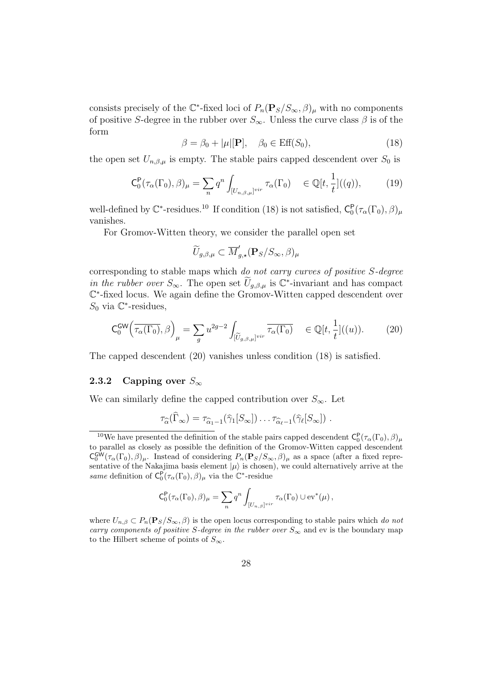consists precisely of the  $\mathbb{C}^*$ -fixed loci of  $P_n(\mathbf{P}_S/S_\infty,\beta)_\mu$  with no components of positive S-degree in the rubber over  $S_{\infty}$ . Unless the curve class  $\beta$  is of the form

$$
\beta = \beta_0 + |\mu|[\mathbf{P}], \quad \beta_0 \in \text{Eff}(S_0), \tag{18}
$$

the open set  $U_{n,\beta,\mu}$  is empty. The stable pairs capped descendent over  $S_0$  is

$$
\mathsf{C}_{0}^{\mathsf{P}}(\tau_{\alpha}(\Gamma_{0}),\beta)_{\mu} = \sum_{n} q^{n} \int_{[U_{n,\beta,\mu}]^{vir}} \tau_{\alpha}(\Gamma_{0}) \in \mathbb{Q}[t,\frac{1}{t}]((q)),\tag{19}
$$

well-defined by  $\mathbb{C}^*$ -residues.<sup>10</sup> If condition (18) is not satisfied,  $C_0^P(\tau_\alpha(\Gamma_0), \beta)_{\mu}$ vanishes.

For Gromov-Witten theory, we consider the parallel open set

$$
\widetilde{U}_{g,\beta,\mu} \subset \overline{M}'_{g,\star}(\mathbf{P}_S/S_{\infty},\beta)_{\mu}
$$

corresponding to stable maps which do not carry curves of positive S-degree in the rubber over  $S_{\infty}$ . The open set  $\tilde{U}_{g,\beta,\mu}$  is  $\mathbb{C}^*$ -invariant and has compact C ∗ -fixed locus. We again define the Gromov-Witten capped descendent over  $S_0$  via  $\mathbb{C}^*$ -residues,

$$
\mathsf{C}_{0}^{\mathsf{GW}}\left(\overline{\tau_{\alpha}(\Gamma_{0})},\beta\right)_{\mu} = \sum_{g} u^{2g-2} \int_{[\widetilde{U}_{g,\beta,\mu}]^{vir}} \overline{\tau_{\alpha}(\Gamma_{0})} \quad \in \mathbb{Q}[t,\frac{1}{t}]((u)).\tag{20}
$$

The capped descendent (20) vanishes unless condition (18) is satisfied.

#### 2.3.2 Capping over  $S_{\infty}$

We can similarly define the capped contribution over  $S_{\infty}$ . Let

$$
\tau_{\widehat{\alpha}}(\widehat{\Gamma}_{\infty}) = \tau_{\widehat{\alpha}_1 - 1}(\widehat{\gamma}_1[S_{\infty}]) \ldots \tau_{\widehat{\alpha}_{\ell} - 1}(\widehat{\gamma}_{\ell}[S_{\infty}]) \ .
$$

$$
C_0^{\mathsf{P}}(\tau_\alpha(\Gamma_0), \beta)_{\mu} = \sum_n q^n \int_{[U_{n,\beta}]^{vir}} \tau_\alpha(\Gamma_0) \cup \text{ev}^*(\mu) ,
$$

where  $U_{n,\beta} \subset P_n(\mathbf{P}_S/S_\infty, \beta)$  is the open locus corresponding to stable pairs which do not carry components of positive S-degree in the rubber over  $S_{\infty}$  and ev is the boundary map to the Hilbert scheme of points of  $S_{\infty}$ .

<sup>&</sup>lt;sup>10</sup>We have presented the definition of the stable pairs capped descendent  $C_0^P(\tau_\alpha(\Gamma_0), \beta)_{\mu}$ to parallel as closely as possible the definition of the Gromov-Witten capped descendent  $\mathsf{C}_0^{\mathsf{GW}}(\tau_\alpha(\Gamma_0),\beta)_\mu$ . Instead of considering  $P_n(\mathbf{P}_S/S_\infty,\beta)_\mu$  as a space (after a fixed representative of the Nakajima basis element  $|\mu\rangle$  is chosen), we could alternatively arrive at the same definition of  $C_0^P(\tau_\alpha(\Gamma_0), \beta)$ <sub>μ</sub> via the  $\mathbb{C}^*$ -residue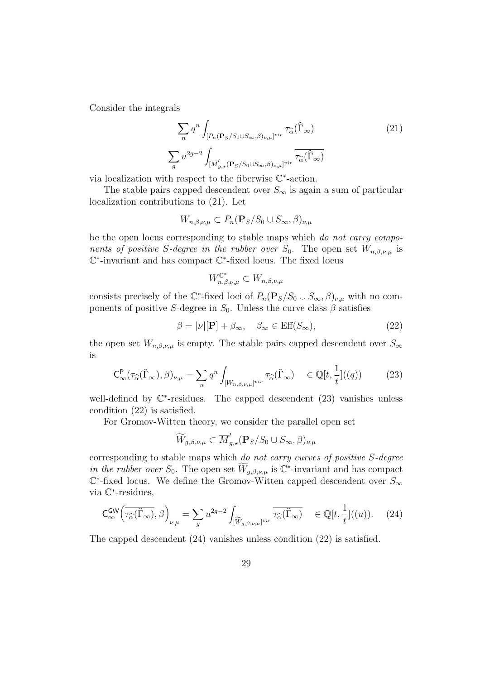Consider the integrals

$$
\sum_{n} q^{n} \int_{[P_{n}(\mathbf{P}_{S}/S_{0}\cup S_{\infty},\beta)_{\nu,\mu}]^{vir}} \tau_{\widehat{\alpha}}(\widehat{\Gamma}_{\infty})
$$
\n
$$
\sum_{g} u^{2g-2} \int_{[\overline{M}'_{g,\star}(\mathbf{P}_{S}/S_{0}\cup S_{\infty},\beta)_{\nu,\mu}]^{vir}} \overline{\tau_{\widehat{\alpha}}(\widehat{\Gamma}_{\infty})}
$$
\n(21)

via localization with respect to the fiberwise  $\mathbb{C}^*$ -action.

The stable pairs capped descendent over  $S_{\infty}$  is again a sum of particular localization contributions to (21). Let

$$
W_{n,\beta,\nu,\mu} \subset P_n(\mathbf{P}_S/S_0 \cup S_{\infty}, \beta)_{\nu,\mu}
$$

be the open locus corresponding to stable maps which do not carry components of positive S-degree in the rubber over  $S_0$ . The open set  $W_{n,\beta,\nu,\mu}$  is C ∗ -invariant and has compact C ∗ -fixed locus. The fixed locus

$$
W_{n,\beta,\nu,\mu}^{\mathbb{C}^*} \subset W_{n,\beta,\nu,\mu}
$$

consists precisely of the  $\mathbb{C}^*$ -fixed loci of  $P_n(\mathbf{P}_S/S_0 \cup S_\infty, \beta)_{\nu,\mu}$  with no components of positive S-degree in  $S_0$ . Unless the curve class  $\beta$  satisfies

$$
\beta = |\nu|[\mathbf{P}] + \beta_{\infty}, \quad \beta_{\infty} \in \text{Eff}(S_{\infty}), \tag{22}
$$

the open set  $W_{n,\beta,\nu,\mu}$  is empty. The stable pairs capped descendent over  $S_{\infty}$ is

$$
\mathsf{C}_{\infty}^{\mathsf{P}}(\tau_{\widehat{\alpha}}(\widehat{\Gamma}_{\infty}),\beta)_{\nu,\mu} = \sum_{n} q^n \int_{[W_{n,\beta,\nu,\mu}]^{vir}} \tau_{\widehat{\alpha}}(\widehat{\Gamma}_{\infty}) \quad \in \mathbb{Q}[t,\frac{1}{t}]((q)) \tag{23}
$$

well-defined by  $\mathbb{C}^*$ -residues. The capped descendent (23) vanishes unless condition (22) is satisfied.

For Gromov-Witten theory, we consider the parallel open set

$$
\widetilde{W}_{g,\beta,\nu,\mu} \subset \overline{M}_{g,\star}'(\mathbf{P}_S/S_0 \cup S_{\infty},\beta)_{\nu,\mu}
$$

corresponding to stable maps which do not carry curves of positive S-degree in the rubber over  $S_0$ . The open set  $\overline{W}_{g,\beta,\nu,\mu}$  is  $\mathbb{C}^*$ -invariant and has compact  $\mathbb{C}^*$ -fixed locus. We define the Gromov-Witten capped descendent over  $S_{\infty}$ via C ∗ -residues,

$$
\mathsf{C}_{\infty}^{\mathsf{GW}}\Big(\overline{\tau_{\widehat{\alpha}}(\widehat{\Gamma}_{\infty})},\beta\Big)_{\nu,\mu} = \sum_{g} u^{2g-2} \int_{[\widetilde{W}_{g,\beta,\nu,\mu}]^{vir}} \overline{\tau_{\widehat{\alpha}}(\widehat{\Gamma}_{\infty})} \quad \in \mathbb{Q}[t,\frac{1}{t}]((u)). \tag{24}
$$

The capped descendent (24) vanishes unless condition (22) is satisfied.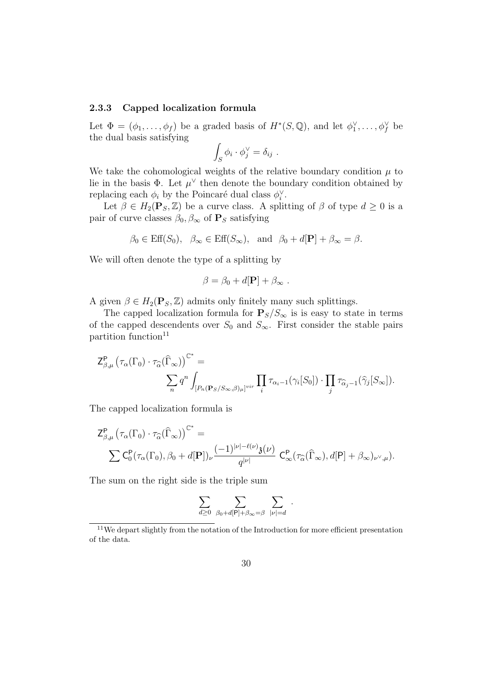#### 2.3.3 Capped localization formula

Let  $\Phi = (\phi_1, \ldots, \phi_f)$  be a graded basis of  $H^*(S, \mathbb{Q})$ , and let  $\phi_1^{\vee}, \ldots, \phi_f^{\vee}$  be the dual basis satisfying

$$
\int_S \phi_i \cdot \phi_j^{\vee} = \delta_{ij} .
$$

We take the cohomological weights of the relative boundary condition  $\mu$  to lie in the basis  $\Phi$ . Let  $\mu^{\vee}$  then denote the boundary condition obtained by replacing each  $\phi_i$  by the Poincaré dual class  $\phi_i^{\vee}$ .

Let  $\beta \in H_2(\mathbf{P}_S, \mathbb{Z})$  be a curve class. A splitting of  $\beta$  of type  $d \geq 0$  is a pair of curve classes  $\beta_0$ ,  $\beta_{\infty}$  of  $\mathbf{P}_S$  satisfying

$$
\beta_0 \in \text{Eff}(S_0), \ \beta_{\infty} \in \text{Eff}(S_{\infty}), \text{ and } \beta_0 + d[\mathbf{P}] + \beta_{\infty} = \beta.
$$

We will often denote the type of a splitting by

$$
\beta = \beta_0 + d[\mathbf{P}] + \beta_{\infty} .
$$

A given  $\beta \in H_2(\mathbf{P}_S, \mathbb{Z})$  admits only finitely many such splittings.

The capped localization formula for  $P_S/S_{\infty}$  is is easy to state in terms of the capped descendents over  $S_0$  and  $S_{\infty}$ . First consider the stable pairs partition function<sup>11</sup>

$$
\begin{split} \mathsf{Z}^\mathsf{P}_{\beta,\mu}\left(\tau_\alpha(\Gamma_0)\cdot\tau_{\widehat{\alpha}}(\widehat{\Gamma}_\infty)\right)^{\mathbb{C}^*} &= \\ &\qquad \qquad \sum_{n} q^n \int_{[P_n(\mathbf{P}_{S}/S_\infty,\beta)_\mu]^{vir}} \prod_{i} \tau_{\alpha_i-1}(\gamma_i[S_0])\cdot \prod_{j} \tau_{\widehat{\alpha}_j-1}(\widehat{\gamma}_j[S_\infty]). \end{split}
$$

The capped localization formula is

$$
\begin{split} \mathsf{Z}^\mathsf{P}_{\beta,\mu}\left(\tau_\alpha(\Gamma_0)\cdot\tau_{\widehat{\alpha}}(\widehat{\Gamma}_\infty)\right)^{\mathbb{C}^*}&=\\ &\quad \sum \mathsf{C}^\mathsf{P}_0(\tau_\alpha(\Gamma_0),\beta_0+d[\mathbf{P}])_\nu \frac{(-1)^{|\nu|-\ell(\nu)}\mathfrak{z}(\nu)}{q^{|\nu|}} \;\mathsf{C}^\mathsf{P}_\infty(\tau_{\widehat{\alpha}}(\widehat{\Gamma}_\infty),d[\mathsf{P}]+\beta_\infty)_{\nu^\vee,\mu}). \end{split}
$$

The sum on the right side is the triple sum

$$
\sum_{d\geq 0}\ \sum_{\beta_0+d[\mathsf{P}]+\beta_\infty=\beta}\ \sum_{|\nu|=d}\ .
$$

<sup>&</sup>lt;sup>11</sup>We depart slightly from the notation of the Introduction for more efficient presentation of the data.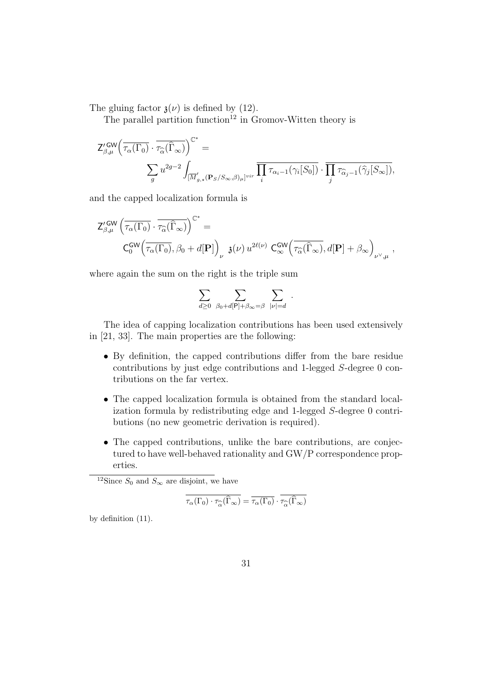The gluing factor  $\mathfrak{z}(\nu)$  is defined by (12).

The parallel partition function<sup>12</sup> in Gromov-Witten theory is

$$
\begin{aligned} \mathsf{Z}^{\prime\operatorname{GW}}_{\beta,\mu}\Big(\overline{\tau_{\alpha}(\Gamma_0)}\cdot\overline{\tau_{\widehat{\alpha}}(\widehat{\Gamma}_\infty)}\Big)^{\mathbb{C}^*} &= \\ &\qquad \sum_g u^{2g-2}\int_{[\overline{M}_{g,\star}^{\prime}(\mathbf{P}_{S}/S_{\infty},\beta)_{\mu}]^{vir}}\overline{\prod_i \tau_{\alpha_i-1}\big(\gamma_i[S_0]\big)}\cdot\overline{\prod_j \tau_{\widehat{\alpha}_j-1}\big(\widehat{\gamma}_j[S_{\infty}]\big)}, \end{aligned}
$$

and the capped localization formula is

$$
\begin{split} \mathsf{Z}^{\prime\,\mathrm{GW}}_{\beta,\mu}\left(\overline{\tau_{\alpha}(\Gamma_0)}\cdot\overline{\tau_{\widehat{\alpha}}(\widehat{\Gamma}_\infty)}\right)^{\mathbb{C}^*} &=\\ \mathsf{C}^{\mathsf{GW}}_0\!\left(\overline{\tau_{\alpha}(\Gamma_0)},\beta_0+d[\mathbf{P}]\right)_{\nu}\,\,\mathfrak{z}(\nu)\,u^{2\ell(\nu)}\,\,\mathsf{C}^{\mathsf{GW}}_\infty\!\left(\overline{\tau_{\widehat{\alpha}}(\widehat{\Gamma}_\infty)},d[\mathbf{P}]+\beta_\infty\right)_{\nu^\vee,\mu}\,, \end{split}
$$

where again the sum on the right is the triple sum

$$
\sum_{d\geq 0} \sum_{\beta_0+d[\mathsf{P}]+\beta_{\infty}=\beta} \sum_{|\nu|=d}.
$$

The idea of capping localization contributions has been used extensively in [21, 33]. The main properties are the following:

- By definition, the capped contributions differ from the bare residue contributions by just edge contributions and 1-legged S-degree 0 contributions on the far vertex.
- The capped localization formula is obtained from the standard localization formula by redistributing edge and 1-legged S-degree 0 contributions (no new geometric derivation is required).
- The capped contributions, unlike the bare contributions, are conjectured to have well-behaved rationality and GW/P correspondence properties.

$$
\tau_{\alpha}(\Gamma_0) \cdot \tau_{\widehat{\alpha}}(\widehat{\Gamma}_{\infty}) = \overline{\tau_{\alpha}(\Gamma_0)} \cdot \tau_{\widehat{\alpha}}(\widehat{\Gamma}_{\infty})
$$

by definition (11).

<sup>&</sup>lt;sup>12</sup>Since  $S_0$  and  $S_{\infty}$  are disjoint, we have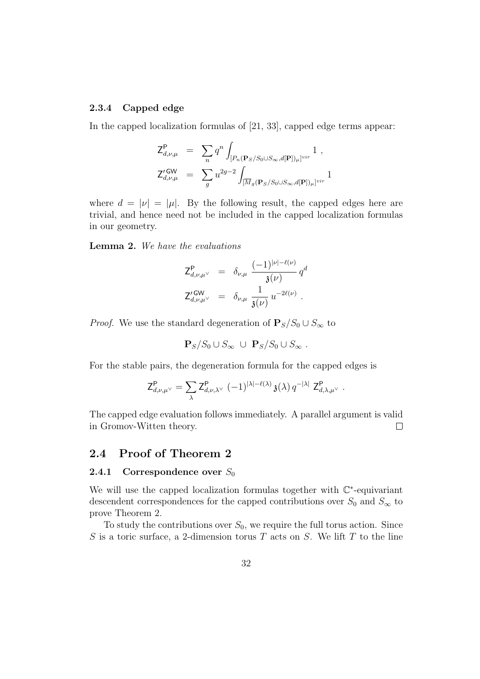#### 2.3.4 Capped edge

In the capped localization formulas of [21, 33], capped edge terms appear:

$$
\begin{array}{rcl} \mathsf{Z}^\mathsf{P}_{d,\nu,\mu} & = & \displaystyle \sum_n q^n \int_{[P_n(\mathbf{P}_S/S_0 \cup S_\infty,d[\mathbf{P}])_\mu]^{vir}} 1 \ , \\ \mathsf{Z}^{\prime \mathsf{GW}}_{d,\nu,\mu} & = & \displaystyle \sum_g u^{2g-2} \int_{[\overline{M}_g(\mathbf{P}_S/S_0 \cup S_\infty,d[\mathbf{P}])_\mu]^{vir}} 1 \end{array}
$$

where  $d = |\nu| = |\mu|$ . By the following result, the capped edges here are trivial, and hence need not be included in the capped localization formulas in our geometry.

Lemma 2. We have the evaluations

$$
Z_{d,\nu,\mu}^{\mathsf{P}} = \delta_{\nu,\mu} \frac{(-1)^{|\nu|-\ell(\nu)}}{\mathfrak{z}(\nu)} q^d
$$
  

$$
Z_{d,\nu,\mu}^{\prime \text{GW}} = \delta_{\nu,\mu} \frac{1}{\mathfrak{z}(\nu)} u^{-2\ell(\nu)}.
$$

*Proof.* We use the standard degeneration of  $P_s/S_0 \cup S_{\infty}$  to

$$
\mathbf{P}_S/S_0 \cup S_\infty \cup \mathbf{P}_S/S_0 \cup S_\infty .
$$

For the stable pairs, the degeneration formula for the capped edges is

$$
\mathsf{Z}^\mathsf{P}_{d,\nu,\mu^\vee} = \sum_\lambda \mathsf{Z}^\mathsf{P}_{d,\nu,\lambda^\vee} \; (-1)^{|\lambda|-\ell(\lambda)} \, \mathfrak{z}(\lambda) \, q^{-|\lambda|} \; \mathsf{Z}^\mathsf{P}_{d,\lambda,\mu^\vee} \; .
$$

The capped edge evaluation follows immediately. A parallel argument is valid in Gromov-Witten theory.  $\Box$ 

#### 2.4 Proof of Theorem 2

#### **2.4.1** Correspondence over  $S_0$

We will use the capped localization formulas together with  $\mathbb{C}^*$ -equivariant descendent correspondences for the capped contributions over  $S_0$  and  $S_{\infty}$  to prove Theorem 2.

To study the contributions over  $S_0$ , we require the full torus action. Since S is a toric surface, a 2-dimension torus T acts on S. We lift T to the line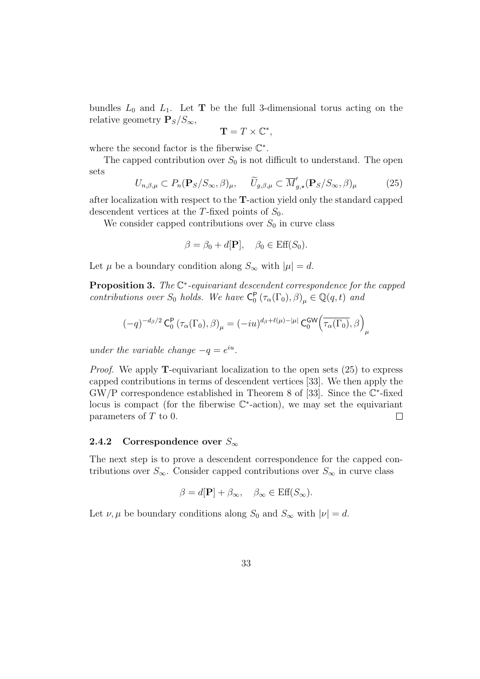bundles  $L_0$  and  $L_1$ . Let **T** be the full 3-dimensional torus acting on the relative geometry  $P_S/S_{\infty}$ ,

$$
\mathbf{T} = T \times \mathbb{C}^*,
$$

where the second factor is the fiberwise  $\mathbb{C}^*$ .

The capped contribution over  $S_0$  is not difficult to understand. The open sets

$$
U_{n,\beta,\mu} \subset P_n(\mathbf{P}_S/S_\infty,\beta)_{\mu}, \quad \widetilde{U}_{g,\beta,\mu} \subset \overline{M}'_{g,\star}(\mathbf{P}_S/S_\infty,\beta)_{\mu} \tag{25}
$$

after localization with respect to the T-action yield only the standard capped descendent vertices at the T-fixed points of  $S_0$ .

We consider capped contributions over  $S_0$  in curve class

$$
\beta = \beta_0 + d[\mathbf{P}], \quad \beta_0 \in \text{Eff}(S_0).
$$

Let  $\mu$  be a boundary condition along  $S_{\infty}$  with  $|\mu|=d$ .

**Proposition 3.** The  $\mathbb{C}^*$ -equivariant descendent correspondence for the capped contributions over  $S_0$  holds. We have  $C_0^P(\tau_\alpha(\Gamma_0), \beta)_{\mu} \in \mathbb{Q}(q, t)$  and

$$
(-q)^{-d_{\beta}/2}\operatorname{C}_{0}^{\mathsf{P}}\left(\tau_{\alpha}(\Gamma_0),\beta\right)_{\mu} = (-iu)^{d_{\beta}+\ell(\mu)-|\mu|}\operatorname{C}_{0}^{\mathsf{GW}}\!\left(\overline{\tau_{\alpha}(\Gamma_0)},\beta\right)_{\mu}
$$

under the variable change  $-q = e^{iu}$ .

*Proof.* We apply **T**-equivariant localization to the open sets  $(25)$  to express capped contributions in terms of descendent vertices [33]. We then apply the  $GW/P$  correspondence established in Theorem 8 of [33]. Since the  $\mathbb{C}^*$ -fixed locus is compact (for the fiberwise C ∗ -action), we may set the equivariant parameters of T to 0.  $\Box$ 

#### 2.4.2 Correspondence over  $S_{\infty}$

The next step is to prove a descendent correspondence for the capped contributions over  $S_{\infty}$ . Consider capped contributions over  $S_{\infty}$  in curve class

$$
\beta = d[\mathbf{P}] + \beta_{\infty}, \quad \beta_{\infty} \in \text{Eff}(S_{\infty}).
$$

Let  $\nu, \mu$  be boundary conditions along  $S_0$  and  $S_{\infty}$  with  $|\nu| = d$ .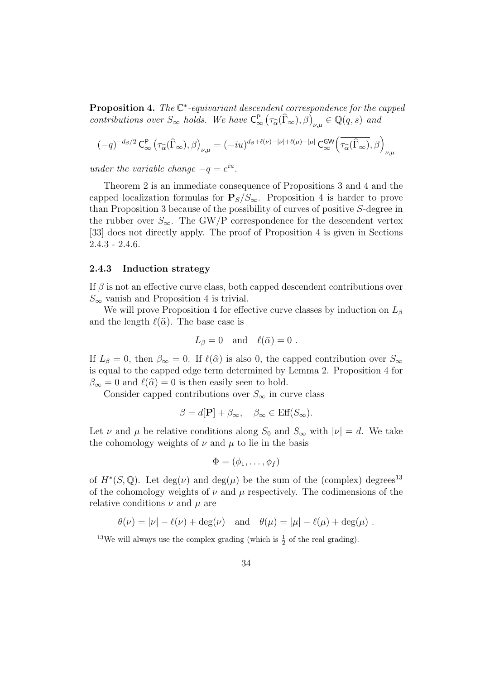**Proposition 4.** The  $\mathbb{C}^*$ -equivariant descendent correspondence for the capped contributions over  $S_{\infty}$  holds. We have  $C_{\infty}^{P}(\tau_{\widehat{\alpha}}(\widehat{\Gamma}_{\infty}), \beta)_{\nu,\mu} \in \mathbb{Q}(q, s)$  and

$$
(-q)^{-d_\beta/2}\operatorname{C}^{\mathbf{P}}_\infty\left(\tau_{\widehat{\alpha}}(\widehat{\Gamma}_\infty),\beta\right)_{\nu,\mu}=(-iu)^{d_\beta+\ell(\nu)-|\nu|+\ell(\mu)-|\mu|}\operatorname{C{}_\infty^{\mathbf{GW}}}\!\left(\overline{\tau_{\widehat{\alpha}}(\widehat{\Gamma}_\infty)},\beta\right)_{\nu,\mu}
$$

under the variable change  $-q = e^{iu}$ .

Theorem 2 is an immediate consequence of Propositions 3 and 4 and the capped localization formulas for  $P_S/S_{\infty}$ . Proposition 4 is harder to prove than Proposition 3 because of the possibility of curves of positive S-degree in the rubber over  $S_{\infty}$ . The GW/P correspondence for the descendent vertex [33] does not directly apply. The proof of Proposition 4 is given in Sections 2.4.3 - 2.4.6.

#### 2.4.3 Induction strategy

If  $\beta$  is not an effective curve class, both capped descendent contributions over  $S_{\infty}$  vanish and Proposition 4 is trivial.

We will prove Proposition 4 for effective curve classes by induction on  $L_{\beta}$ and the length  $\ell(\hat{\alpha})$ . The base case is

$$
L_{\beta} = 0
$$
 and  $\ell(\hat{\alpha}) = 0$ .

If  $L_\beta = 0$ , then  $\beta_\infty = 0$ . If  $\ell(\widehat{\alpha})$  is also 0, the capped contribution over  $S_\infty$ is equal to the capped edge term determined by Lemma 2. Proposition 4 for  $\beta_{\infty} = 0$  and  $\ell(\widehat{\alpha}) = 0$  is then easily seen to hold.

Consider capped contributions over  $S_{\infty}$  in curve class

$$
\beta = d[\mathbf{P}] + \beta_{\infty}, \quad \beta_{\infty} \in \text{Eff}(S_{\infty}).
$$

Let  $\nu$  and  $\mu$  be relative conditions along  $S_0$  and  $S_\infty$  with  $|\nu| = d$ . We take the cohomology weights of  $\nu$  and  $\mu$  to lie in the basis

$$
\Phi=(\phi_1,\ldots,\phi_f)
$$

of  $H^*(S, \mathbb{Q})$ . Let  $\deg(\nu)$  and  $\deg(\mu)$  be the sum of the (complex) degrees<sup>13</sup> of the cohomology weights of  $\nu$  and  $\mu$  respectively. The codimensions of the relative conditions  $\nu$  and  $\mu$  are

$$
\theta(\nu) = |\nu| - \ell(\nu) + \deg(\nu) \quad \text{and} \quad \theta(\mu) = |\mu| - \ell(\mu) + \deg(\mu) .
$$

<sup>&</sup>lt;sup>13</sup>We will always use the complex grading (which is  $\frac{1}{2}$  of the real grading).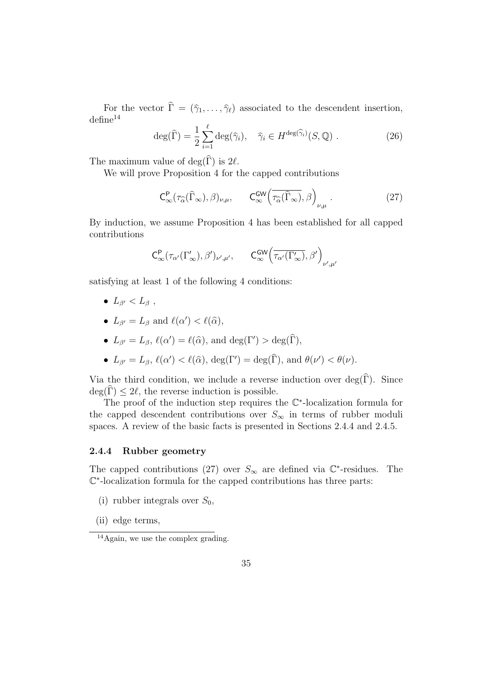For the vector  $\hat{\Gamma} = (\hat{\gamma}_1, \dots, \hat{\gamma}_{\ell})$  associated to the descendent insertion,  $\text{define}^{14}$ 

$$
\deg(\widehat{\Gamma}) = \frac{1}{2} \sum_{i=1}^{\ell} \deg(\widehat{\gamma}_i), \quad \widehat{\gamma}_i \in H^{\deg(\widehat{\gamma}_i)}(S, \mathbb{Q}) . \tag{26}
$$

The maximum value of  $\deg(\widehat{\Gamma})$  is  $2\ell$ .

We will prove Proposition 4 for the capped contributions

$$
\mathsf{C}_{\infty}^{\mathsf{P}}(\tau_{\widehat{\alpha}}(\widehat{\Gamma}_{\infty}),\beta)_{\nu,\mu},\qquad \mathsf{C}_{\infty}^{\mathsf{GW}}\left(\overline{\tau_{\widehat{\alpha}}(\widehat{\Gamma}_{\infty})},\beta\right)_{\nu,\mu}.\tag{27}
$$

By induction, we assume Proposition 4 has been established for all capped contributions

$$
C^{\mathsf{P}}_{\infty}(\tau_{\alpha'}(\Gamma'_{\infty}),\beta')_{\nu',\mu'},\qquad C^{\mathsf{GW}}_{\infty}\Big(\overline{\tau_{\alpha'}(\Gamma'_{\infty})},\beta'\Big)_{\nu',\mu'}
$$

satisfying at least 1 of the following 4 conditions:

- $L_{\beta'} < L_{\beta}$ ,
- $L_{\beta'} = L_{\beta}$  and  $\ell(\alpha') < \ell(\widehat{\alpha}),$
- $L_{\beta'} = L_{\beta}, \ell(\alpha') = \ell(\widehat{\alpha}), \text{ and } \deg(\Gamma') > \deg(\widehat{\Gamma}),$
- $L_{\beta'} = L_{\beta}, \ell(\alpha') < \ell(\widehat{\alpha}), \deg(\Gamma') = \deg(\widehat{\Gamma}), \text{ and } \theta(\nu') < \theta(\nu).$

Via the third condition, we include a reverse induction over  $\deg(\widehat{\Gamma})$ . Since  $deg(\Gamma) \leq 2\ell$ , the reverse induction is possible.

The proof of the induction step requires the  $\mathbb{C}^*$ -localization formula for the capped descendent contributions over  $S_{\infty}$  in terms of rubber moduli spaces. A review of the basic facts is presented in Sections 2.4.4 and 2.4.5.

#### 2.4.4 Rubber geometry

The capped contributions (27) over  $S_{\infty}$  are defined via  $\mathbb{C}^*$ -residues. The C ∗ -localization formula for the capped contributions has three parts:

- (i) rubber integrals over  $S_0$ ,
- (ii) edge terms,

 $14$ Again, we use the complex grading.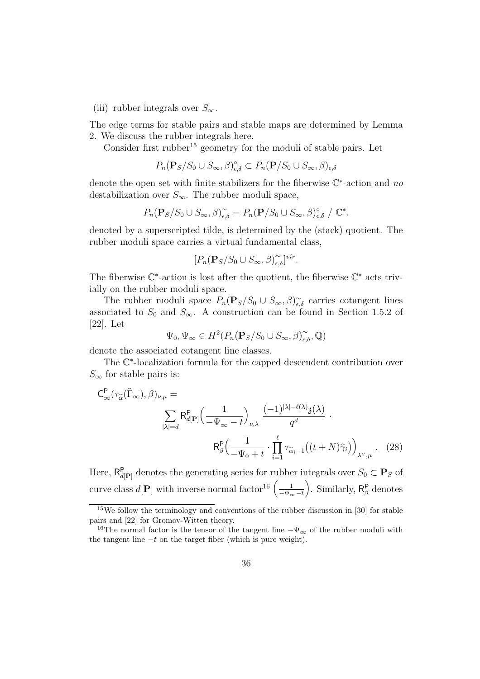(iii) rubber integrals over  $S_{\infty}$ .

The edge terms for stable pairs and stable maps are determined by Lemma 2. We discuss the rubber integrals here.

Consider first rubber<sup>15</sup> geometry for the moduli of stable pairs. Let

$$
P_n(\mathbf{P}_S/S_0 \cup S_{\infty}, \beta)_{\epsilon,\delta}^{\circ} \subset P_n(\mathbf{P}/S_0 \cup S_{\infty}, \beta)_{\epsilon,\delta}
$$

denote the open set with finite stabilizers for the fiberwise  $\mathbb{C}^*$ -action and no destabilization over  $S_{\infty}$ . The rubber moduli space,

$$
P_n(\mathbf{P}_S/S_0 \cup S_{\infty}, \beta)_{\epsilon,\delta}^{\sim} = P_n(\mathbf{P}/S_0 \cup S_{\infty}, \beta)_{\epsilon,\delta}^{\circ} / \mathbb{C}^*,
$$

denoted by a superscripted tilde, is determined by the (stack) quotient. The rubber moduli space carries a virtual fundamental class,

$$
[P_n(\mathbf{P}_S/S_0\cup S_{\infty},\beta)_{\epsilon,\delta}^{\sim}]^{vir}.
$$

The fiberwise  $\mathbb{C}^*$ -action is lost after the quotient, the fiberwise  $\mathbb{C}^*$  acts trivially on the rubber moduli space.

The rubber moduli space  $P_n(\mathbf{P}_S/S_0 \cup S_\infty, \beta)_{\epsilon,\delta}^{\sim}$  carries cotangent lines associated to  $S_0$  and  $S_{\infty}$ . A construction can be found in Section 1.5.2 of [22]. Let

$$
\Psi_0, \Psi_{\infty} \in H^2(P_n(\mathbf{P}_S/S_0 \cup S_{\infty}, \beta)_{\epsilon, \delta}^{\sim}, \mathbb{Q})
$$

denote the associated cotangent line classes.

The  $\mathbb{C}^*$ -localization formula for the capped descendent contribution over  $S_{\infty}$  for stable pairs is:

$$
C_{\infty}^{P}(\tau_{\widehat{\alpha}}(\widehat{\Gamma}_{\infty}),\beta)_{\nu,\mu} = \sum_{|\lambda|=d} R_{d[P]}^{P} \Big(\frac{1}{-\Psi_{\infty}-t}\Big)_{\nu,\lambda} \frac{(-1)^{|\lambda|-\ell(\lambda)}\mathfrak{z}(\lambda)}{q^{d}}.
$$

$$
R_{\beta}^{P} \Big(\frac{1}{-\Psi_{0}+t} \cdot \prod_{i=1}^{\ell} \tau_{\widehat{\alpha}_{i}-1} \Big((t+N)\widehat{\gamma}_{i}\Big)\Big)_{\lambda^{\vee},\mu}.
$$
(28)

Here,  $\mathsf{R}_{d[\mathbf{P}]}^{\mathsf{P}}$  denotes the generating series for rubber integrals over  $S_0 \subset \mathbf{P}_S$  of curve class  $d[\mathbf{P}]$  with inverse normal factor<sup>16</sup>  $\left(\frac{1}{\sqrt{M}}\right)$  $-\Psi_{\infty}-t$ ). Similarly,  $R^P_\beta$  denotes

<sup>&</sup>lt;sup>15</sup>We follow the terminology and conventions of the rubber discussion in [30] for stable pairs and [22] for Gromov-Witten theory.

<sup>&</sup>lt;sup>16</sup>The normal factor is the tensor of the tangent line  $-\Psi_{\infty}$  of the rubber moduli with the tangent line  $-t$  on the target fiber (which is pure weight).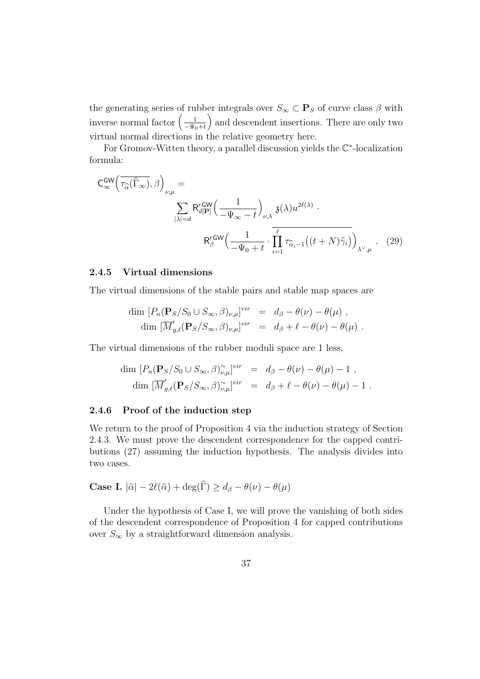the generating series of rubber integrals over  $S_{\infty} \subset \mathbf{P}_S$  of curve class  $\beta$  with inverse normal factor  $\left(\frac{1}{-w}\right)$  $-\Psi_0+t$ ã and descendent insertions. There are only two virtual normal directions in the relative geometry here.

For Gromov-Witten theory, a parallel discussion yields the C ∗ -localization formula:

$$
C_{\infty}^{GW}\left(\overline{\tau_{\widehat{\alpha}}(\widehat{\Gamma}_{\infty})},\beta\right)_{\nu,\mu} = \sum_{|\lambda|=d} R'_{d[\mathbf{P}]} \left(\frac{1}{-\Psi_{\infty}-t}\right)_{\nu,\lambda} \mathfrak{z}(\lambda) u^{2\ell(\lambda)} \cdot R'_{\beta}^{\text{GW}}\left(\frac{1}{-\Psi_{0}+t} \cdot \prod_{i=1}^{\ell} \tau_{\widehat{\alpha}_{i}-1}((t+N)\widehat{\gamma}_{i})\right)_{\lambda^{\vee},\mu} .
$$
 (29)

#### 2.4.5 Virtual dimensions

The virtual dimensions of the stable pairs and stable map spaces are

$$
\dim [P_n(\mathbf{P}_S/S_0 \cup S_{\infty}, \beta)_{\nu,\mu}]^{vir} = d_{\beta} - \theta(\nu) - \theta(\mu) ,
$$
  

$$
\dim [\overline{M}'_{g,\ell}(\mathbf{P}_S/S_{\infty}, \beta)_{\nu,\mu}]^{vir} = d_{\beta} + \ell - \theta(\nu) - \theta(\mu) .
$$

The virtual dimensions of the rubber moduli space are 1 less,

$$
\dim [P_n(\mathbf{P}_S/S_0 \cup S_\infty, \beta)_{\nu,\mu}^{\sim}]^{vir} = d_\beta - \theta(\nu) - \theta(\mu) - 1,
$$
  

$$
\dim [\overline{M}'_{g,\ell}(\mathbf{P}_S/S_\infty, \beta)_{\nu,\mu}^{\sim}]^{vir} = d_\beta + \ell - \theta(\nu) - \theta(\mu) - 1.
$$

#### 2.4.6 Proof of the induction step

We return to the proof of Proposition 4 via the induction strategy of Section 2.4.3. We must prove the descendent correspondence for the capped contributions (27) assuming the induction hypothesis. The analysis divides into two cases.

Case I. 
$$
|\hat{\alpha}| - 2\ell(\hat{\alpha}) + \deg(\hat{\Gamma}) \ge d_{\beta} - \theta(\nu) - \theta(\mu)
$$

Under the hypothesis of Case I, we will prove the vanishing of both sides of the descendent correspondence of Proposition 4 for capped contributions over  $S_{\infty}$  by a straightforward dimension analysis.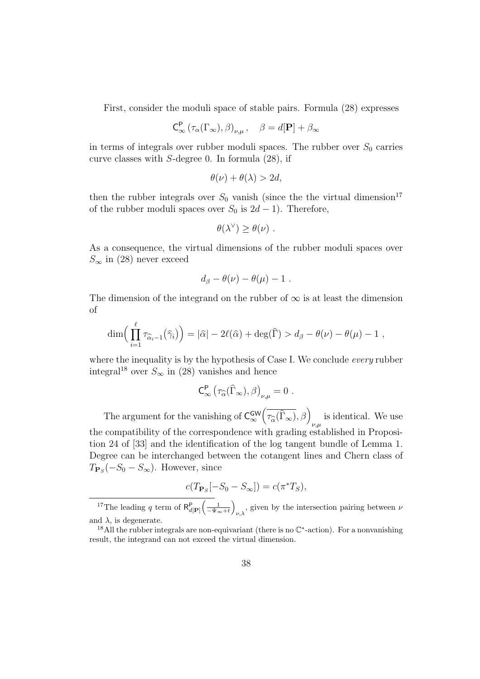First, consider the moduli space of stable pairs. Formula (28) expresses

$$
\mathsf{C}_{\infty}^{\mathsf{P}}\left(\tau_{\alpha}(\Gamma_{\infty}),\beta\right)_{\nu,\mu}, \quad \beta = d[\mathbf{P}] + \beta_{\infty}
$$

in terms of integrals over rubber moduli spaces. The rubber over  $S_0$  carries curve classes with S-degree 0. In formula (28), if

$$
\theta(\nu) + \theta(\lambda) > 2d,
$$

then the rubber integrals over  $S_0$  vanish (since the the virtual dimension<sup>17</sup> of the rubber moduli spaces over  $S_0$  is  $2d-1$ ). Therefore,

$$
\theta(\lambda^{\vee}) \geq \theta(\nu) \ .
$$

As a consequence, the virtual dimensions of the rubber moduli spaces over  $S_{\infty}$  in (28) never exceed

$$
d_{\beta} - \theta(\nu) - \theta(\mu) - 1.
$$

The dimension of the integrand on the rubber of  $\infty$  is at least the dimension of

$$
\dim\Big(\prod_{i=1}^{\ell} \tau_{\widehat{\alpha}_i-1}(\widehat{\gamma}_i)\Big)=|\widehat{\alpha}|-2\ell(\widehat{\alpha})+\deg(\widehat{\Gamma})>d_{\beta}-\theta(\nu)-\theta(\mu)-1,
$$

where the inequality is by the hypothesis of Case I. We conclude every rubber integral<sup>18</sup> over  $S_{\infty}$  in (28) vanishes and hence

$$
\mathsf{C}_\infty^\mathsf{P} \left( \tau_{\widehat{\alpha}}(\widehat{\Gamma}_\infty), \beta \right)_{\nu,\mu} = 0 \ .
$$

The argument for the vanishing of  $C_{\infty}^{\text{GW}}$  $\left(\overline{\tau_{\widehat{\alpha}}(\widehat{\Gamma}_{\infty})},\beta\right)_{\nu,\mu}$  is identical. We use the compatibility of the correspondence with grading established in Proposition 24 of [33] and the identification of the log tangent bundle of Lemma 1. Degree can be interchanged between the cotangent lines and Chern class of  $T_{\mathbf{P}_S}(-S_0 - S_{\infty})$ . However, since

$$
c(T_{\mathbf{P}_S}[-S_0 - S_{\infty}]) = c(\pi^*T_S),
$$

<sup>17</sup>The leading q term of  $R_{d[\mathbf{P}]}^{\mathbf{P}}$  $\left(\frac{1}{-\Psi_{\infty}+t}\right)$  $\overline{ }$  $v_{\mu\lambda}$ , given by the intersection pairing between  $\nu$ and  $\lambda$ , is degenerate.

<sup>&</sup>lt;sup>18</sup>All the rubber integrals are non-equivariant (there is no  $\mathbb{C}^*$ -action). For a nonvanishing result, the integrand can not exceed the virtual dimension.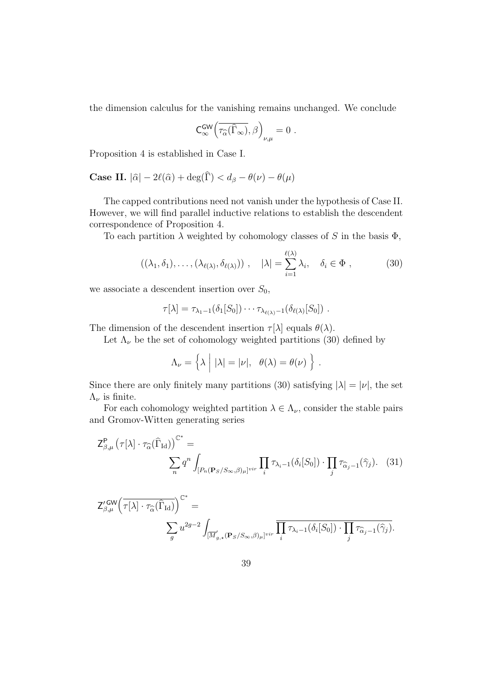the dimension calculus for the vanishing remains unchanged. We conclude

$$
\mathsf{C}_\infty^{\mathsf{GW}}\Big(\overline{\tau_{\widehat{\alpha}}(\widehat{\Gamma}_\infty)},\beta\Big)_{\nu,\mu}=0\ .
$$

Proposition 4 is established in Case I.

**Case II.**  $|\hat{\alpha}| - 2\ell(\hat{\alpha}) + \deg(\hat{\Gamma}) < d_{\beta} - \theta(\nu) - \theta(\mu)$ 

The capped contributions need not vanish under the hypothesis of Case II. However, we will find parallel inductive relations to establish the descendent correspondence of Proposition 4.

To each partition  $\lambda$  weighted by cohomology classes of S in the basis  $\Phi$ ,

$$
((\lambda_1, \delta_1), \dots, (\lambda_{\ell(\lambda)}, \delta_{\ell(\lambda)})) , \quad |\lambda| = \sum_{i=1}^{\ell(\lambda)} \lambda_i, \quad \delta_i \in \Phi , \tag{30}
$$

we associate a descendent insertion over  $S_0$ ,

$$
\tau[\lambda] = \tau_{\lambda_1-1}(\delta_1[S_0]) \cdots \tau_{\lambda_{\ell(\lambda)}-1}(\delta_{\ell(\lambda)}[S_0]) .
$$

The dimension of the descendent insertion  $\tau[\lambda]$  equals  $\theta(\lambda)$ .

Let  $\Lambda_{\nu}$  be the set of cohomology weighted partitions (30) defined by

$$
\Lambda_{\nu} = \left\{ \lambda \mid |\lambda| = |\nu|, \ \theta(\lambda) = \theta(\nu) \right\}.
$$

Since there are only finitely many partitions (30) satisfying  $|\lambda| = |\nu|$ , the set  $\Lambda_{\nu}$  is finite.

For each cohomology weighted partition  $\lambda \in \Lambda_{\nu}$ , consider the stable pairs and Gromov-Witten generating series

$$
\mathsf{Z}_{\beta,\mu}^{\mathsf{P}}\left(\tau[\lambda]\cdot\tau_{\widehat{\alpha}}(\widehat{\Gamma}_{\mathrm{Id}})\right)^{\mathbb{C}^{*}} = \sum_{n} q^{n} \int_{[P_{n}(\mathbf{P}_{S}/S_{\infty},\beta)\mu]^{\mathrm{vir}}} \prod_{i} \tau_{\lambda_{i}-1}(\delta_{i}[S_{0}]) \cdot \prod_{j} \tau_{\widehat{\alpha}_{j}-1}(\widehat{\gamma}_{j}). \tag{31}
$$

$$
\begin{split} \mathsf{Z}^{\prime\operatorname{\mathsf{GW}}}_{\beta,\mu}\Big(\overline{\tau[\lambda]\cdot\tau_{\widehat{\alpha}}(\widehat{\Gamma}_{\operatorname{Id}})}\Big)^{\mathbb{C}^*} &=\\ &\qquad \qquad \sum_g u^{2g-2}\int_{[\overline{M}'_{g,\star}(\mathbf{P}_S/S_\infty,\beta)_\mu]^{vir}}\prod_i\overline{\tau_{\lambda_i-1}(\delta_i[S_0])\cdot\prod_j\tau_{\widehat{\alpha}_j-1}(\widehat{\gamma}_j)}.\end{split}
$$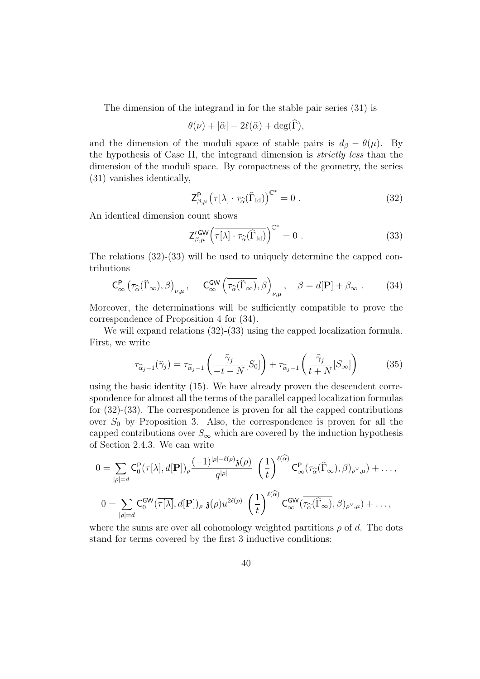The dimension of the integrand in for the stable pair series (31) is

$$
\theta(\nu) + |\widehat{\alpha}| - 2\ell(\widehat{\alpha}) + \deg(\widehat{\Gamma}),
$$

and the dimension of the moduli space of stable pairs is  $d_{\beta} - \theta(\mu)$ . By the hypothesis of Case II, the integrand dimension is strictly less than the dimension of the moduli space. By compactness of the geometry, the series (31) vanishes identically,

$$
\mathsf{Z}_{\beta,\mu}^{\mathsf{P}}\left(\tau[\lambda]\cdot\tau_{\widehat{\alpha}}(\widehat{\Gamma}_{\mathrm{Id}})\right)^{\mathbb{C}^*}=0\ .\tag{32}
$$

An identical dimension count shows

$$
Z_{\beta,\mu}^{\prime\,\text{GW}}\left(\overline{\tau[\lambda]\cdot\tau_{\widehat{\alpha}}(\widehat{\Gamma}_{\text{Id}})}\right)^{\mathbb{C}^*}=0\ .\tag{33}
$$

The relations (32)-(33) will be used to uniquely determine the capped contributions

$$
\mathsf{C}_{\infty}^{\mathsf{P}}\left(\tau_{\widehat{\alpha}}(\widehat{\Gamma}_{\infty}),\beta\right)_{\nu,\mu},\qquad \mathsf{C}_{\infty}^{\mathsf{GW}}\left(\overline{\tau_{\widehat{\alpha}}(\widehat{\Gamma}_{\infty})},\beta\right)_{\nu,\mu},\quad \beta=d[\mathbf{P}]+\beta_{\infty}.
$$
 (34)

Moreover, the determinations will be sufficiently compatible to prove the correspondence of Proposition 4 for (34).

We will expand relations  $(32)-(33)$  using the capped localization formula. First, we write

$$
\tau_{\widehat{\alpha}_j - 1}(\widehat{\gamma}_j) = \tau_{\widehat{\alpha}_j - 1}\left(\frac{\widehat{\gamma}_j}{-t - N}[S_0]\right) + \tau_{\widehat{\alpha}_j - 1}\left(\frac{\widehat{\gamma}_j}{t + N}[S_\infty]\right) \tag{35}
$$

using the basic identity (15). We have already proven the descendent correspondence for almost all the terms of the parallel capped localization formulas for (32)-(33). The correspondence is proven for all the capped contributions over  $S_0$  by Proposition 3. Also, the correspondence is proven for all the capped contributions over  $S_{\infty}$  which are covered by the induction hypothesis of Section 2.4.3. We can write

$$
0 = \sum_{|\rho|=d} C_0^{\mathsf{P}}(\tau[\lambda], d[\mathbf{P}])_{\rho} \frac{(-1)^{|\rho|-\ell(\rho)} \mathfrak{z}(\rho)}{q^{|\rho|}} \left(\frac{1}{t}\right)^{\ell(\alpha)} C_{\infty}^{\mathsf{P}}(\tau_{\widehat{\alpha}}(\widehat{\Gamma}_{\infty}), \beta)_{\rho^{\vee}, \mu}) + \dots,
$$
  

$$
0 = \sum_{|\rho|=d} C_0^{\mathsf{GW}}(\overline{\tau[\lambda]}, d[\mathbf{P}])_{\rho} \mathfrak{z}(\rho) u^{2\ell(\rho)} \left(\frac{1}{t}\right)^{\ell(\widehat{\alpha})} C_{\infty}^{\mathsf{GW}}(\overline{\tau_{\widehat{\alpha}}(\widehat{\Gamma}_{\infty})}, \beta)_{\rho^{\vee}, \mu}) + \dots,
$$

where the sums are over all cohomology weighted partitions  $\rho$  of d. The dots stand for terms covered by the first 3 inductive conditions: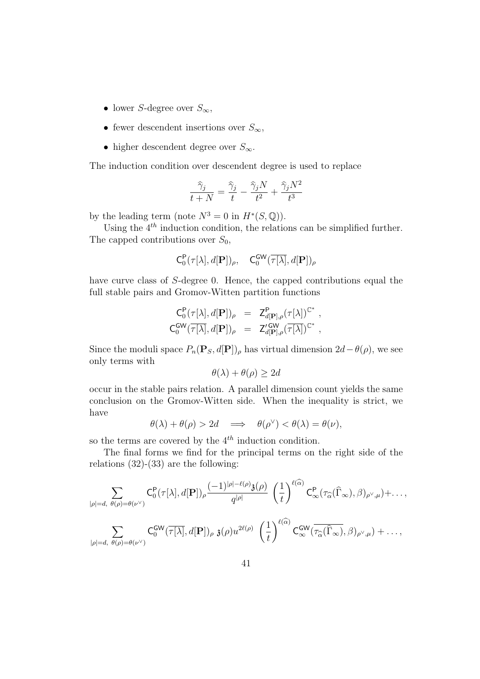- lower S-degree over  $S_{\infty}$ ,
- fewer descendent insertions over  $S_{\infty}$ ,
- higher descendent degree over  $S_{\infty}$ .

The induction condition over descendent degree is used to replace

$$
\frac{\hat{\gamma}_j}{t+N} = \frac{\hat{\gamma}_j}{t} - \frac{\hat{\gamma}_j N}{t^2} + \frac{\hat{\gamma}_j N^2}{t^3}
$$

by the leading term (note  $N^3 = 0$  in  $H^*(S, \mathbb{Q})$ ).

Using the  $4^{th}$  induction condition, the relations can be simplified further. The capped contributions over  $S_0$ ,

$$
\mathsf{C}_0^{\mathsf{P}}(\tau[\lambda], d[\mathbf{P}])_\rho, \quad \mathsf{C}_0^{\mathsf{GW}}(\overline{\tau[\lambda]}, d[\mathbf{P}])_\rho
$$

have curve class of S-degree 0. Hence, the capped contributions equal the full stable pairs and Gromov-Witten partition functions

$$
\begin{array}{rcl}\nC_0^{\mathsf{P}}(\tau[\lambda],d[\mathbf{P}])_{\rho} & = & \mathsf{Z}_{d[\mathbf{P}],\rho}^{\mathsf{P}}(\tau[\lambda])^{\mathbb{C}^*} ,\\
C_0^{\mathsf{GW}}(\overline{\tau[\lambda]},d[\mathbf{P}])_{\rho} & = & \mathsf{Z}_{d[\mathbf{P}],\rho}'(\overline{\tau[\lambda]})^{\mathbb{C}^*} ,\n\end{array}
$$

Since the moduli space  $P_n(\mathbf{P}_S, d[\mathbf{P}])_\rho$  has virtual dimension  $2d-\theta(\rho)$ , we see only terms with

$$
\theta(\lambda) + \theta(\rho) \ge 2d
$$

occur in the stable pairs relation. A parallel dimension count yields the same conclusion on the Gromov-Witten side. When the inequality is strict, we have

$$
\theta(\lambda) + \theta(\rho) > 2d \implies \theta(\rho^{\vee}) < \theta(\lambda) = \theta(\nu),
$$

so the terms are covered by the  $4^{th}$  induction condition.

The final forms we find for the principal terms on the right side of the relations  $(32)-(33)$  are the following:

$$
\sum_{|\rho|=d,\ \theta(\rho)=\theta(\nu^{\vee})} C_{0}^{\mathsf{P}}(\tau[\lambda],d[\mathbf{P}])_{\rho} \frac{(-1)^{|\rho|-\ell(\rho)}\mathfrak{z}(\rho)}{q^{|\rho|}} \left(\frac{1}{t}\right)^{\ell(\widehat{\alpha})} C_{\infty}^{\mathsf{P}}(\tau_{\widehat{\alpha}}(\widehat{\Gamma}_{\infty}),\beta)_{\rho^{\vee},\mu}) + \dots,
$$
\n
$$
\sum_{|\rho|=d,\ \theta(\rho)=\theta(\nu^{\vee})} C_{0}^{\mathsf{GW}}(\overline{\tau[\lambda]},d[\mathbf{P}])_{\rho}\ \mathfrak{z}(\rho) u^{2\ell(\rho)} \left(\frac{1}{t}\right)^{\ell(\widehat{\alpha})} C_{\infty}^{\mathsf{GW}}(\overline{\tau_{\widehat{\alpha}}(\widehat{\Gamma}_{\infty})},\beta)_{\rho^{\vee},\mu}) + \dots,
$$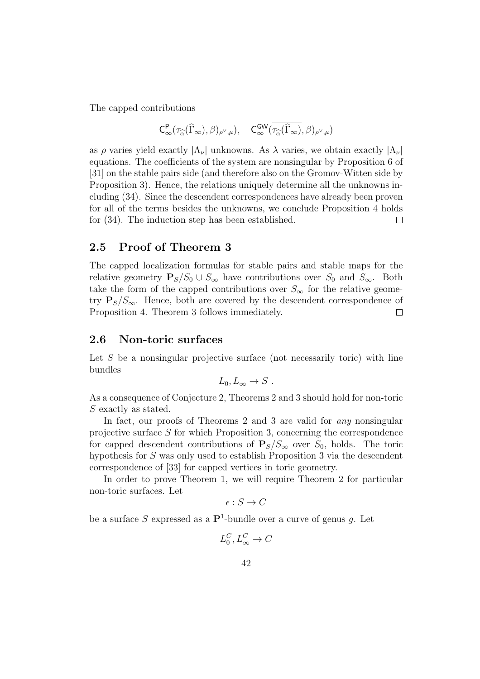The capped contributions

$$
C^{\mathsf{P}}_{\infty}(\tau_{\widehat{\alpha}}(\widehat{\Gamma}_{\infty}),\beta)_{\rho^{\vee},\mu}), \quad C^{\mathsf{GW}}_{\infty}(\overline{\tau_{\widehat{\alpha}}(\widehat{\Gamma}_{\infty})},\beta)_{\rho^{\vee},\mu})
$$

as  $\rho$  varies yield exactly  $|\Lambda_{\nu}|$  unknowns. As  $\lambda$  varies, we obtain exactly  $|\Lambda_{\nu}|$ equations. The coefficients of the system are nonsingular by Proposition 6 of [31] on the stable pairs side (and therefore also on the Gromov-Witten side by Proposition 3). Hence, the relations uniquely determine all the unknowns including (34). Since the descendent correspondences have already been proven for all of the terms besides the unknowns, we conclude Proposition 4 holds for (34). The induction step has been established.  $\Box$ 

#### 2.5 Proof of Theorem 3

The capped localization formulas for stable pairs and stable maps for the relative geometry  $P_S/S_0 \cup S_{\infty}$  have contributions over  $S_0$  and  $S_{\infty}$ . Both take the form of the capped contributions over  $S_{\infty}$  for the relative geometry  $P_{S}/S_{\infty}$ . Hence, both are covered by the descendent correspondence of Proposition 4. Theorem 3 follows immediately.  $\Box$ 

#### 2.6 Non-toric surfaces

Let  $S$  be a nonsingular projective surface (not necessarily toric) with line bundles

$$
L_0, L_{\infty} \to S .
$$

As a consequence of Conjecture 2, Theorems 2 and 3 should hold for non-toric S exactly as stated.

In fact, our proofs of Theorems 2 and 3 are valid for *any* nonsingular projective surface S for which Proposition 3, concerning the correspondence for capped descendent contributions of  $P_S/S_{\infty}$  over  $S_0$ , holds. The toric hypothesis for S was only used to establish Proposition 3 via the descendent correspondence of [33] for capped vertices in toric geometry.

In order to prove Theorem 1, we will require Theorem 2 for particular non-toric surfaces. Let

$$
\epsilon: S \to C
$$

be a surface S expressed as a  $\mathbf{P}^1$ -bundle over a curve of genus g. Let

$$
L_0^C, L_\infty^C \to C
$$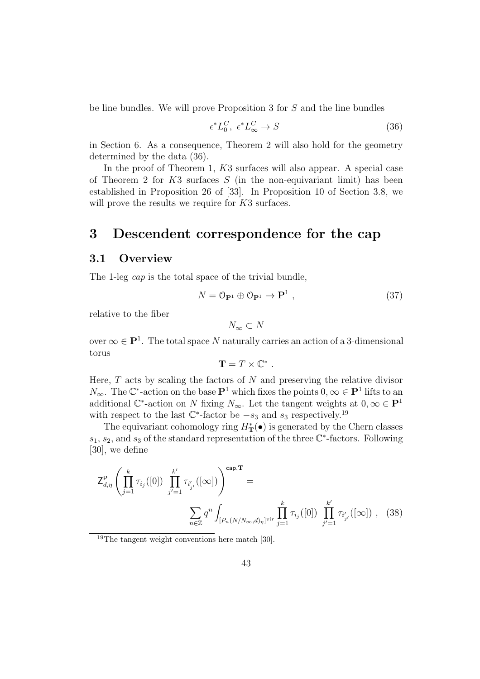be line bundles. We will prove Proposition 3 for S and the line bundles

$$
\epsilon^* L_0^C, \ \epsilon^* L_\infty^C \to S \tag{36}
$$

in Section 6. As a consequence, Theorem 2 will also hold for the geometry determined by the data (36).

In the proof of Theorem 1, K3 surfaces will also appear. A special case of Theorem 2 for  $K3$  surfaces  $S$  (in the non-equivariant limit) has been established in Proposition 26 of [33]. In Proposition 10 of Section 3.8, we will prove the results we require for K3 surfaces.

# 3 Descendent correspondence for the cap

#### 3.1 Overview

The 1-leg *cap* is the total space of the trivial bundle,

$$
N = 0_{\mathbf{P}^1} \oplus 0_{\mathbf{P}^1} \to \mathbf{P}^1 \,, \tag{37}
$$

relative to the fiber

$$
N_{\infty} \subset N
$$

over  $\infty \in \mathbf{P}^1$ . The total space N naturally carries an action of a 3-dimensional torus

$$
\mathbf{T}=T\times\mathbb{C}^*
$$

.

Here,  $T$  acts by scaling the factors of  $N$  and preserving the relative divisor  $N_{\infty}$ . The  $\mathbb{C}^*$ -action on the base  $\mathbf{P}^1$  which fixes the points  $0, \infty \in \mathbf{P}^1$  lifts to an additional  $\mathbb{C}^*$ -action on N fixing  $N_{\infty}$ . Let the tangent weights at  $0, \infty \in \mathbb{P}^1$ with respect to the last  $\mathbb{C}^*$ -factor be  $-s_3$  and  $s_3$  respectively.<sup>19</sup>

The equivariant cohomology ring  $H^*_{\mathbf{T}}(\bullet)$  is generated by the Chern classes  $s_1, s_2$ , and  $s_3$  of the standard representation of the three  $\mathbb{C}^*$ -factors. Following [30], we define

$$
Z_{d,\eta}^{\mathbf{P}} \left( \prod_{j=1}^{k} \tau_{i_j}([0]) \prod_{j'=1}^{k'} \tau_{i'_{j'}}([\infty]) \right)^{\text{cap},\mathbf{T}} = \sum_{n \in \mathbb{Z}} q^n \int_{[P_n(N/N_\infty,d)_\eta]^{\text{vir}}} \prod_{j=1}^{k} \tau_{i_j}([0]) \prod_{j'=1}^{k'} \tau_{i'_{j'}}([\infty]), \quad (38)
$$

<sup>19</sup>The tangent weight conventions here match [30].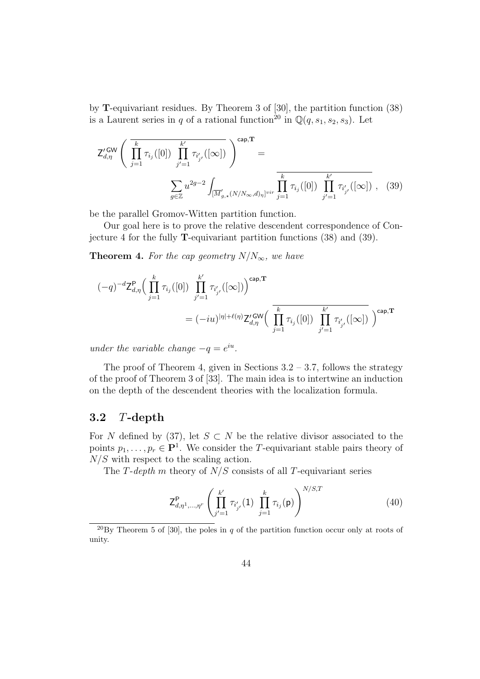by T-equivariant residues. By Theorem 3 of [30], the partition function (38) is a Laurent series in q of a rational function<sup>20</sup> in  $\mathbb{Q}(q, s_1, s_2, s_3)$ . Let

$$
Z_{d,\eta}^{\prime GW} \left( \overline{\prod_{j=1}^{k} \tau_{i_j}([0]) \prod_{j'=1}^{k'} \tau_{i'_{j'}}([\infty])} \right)^{cap,T} = \frac{\sum_{g \in \mathbb{Z}} u^{2g-2} \int_{[\overline{M}'_{g,\star}(N/N_{\infty},d)_\eta]^{vir}} \overline{\prod_{j=1}^{k} \tau_{i_j}([0]) \prod_{j'=1}^{k'} \tau_{i'_{j'}}([\infty])},
$$
(39)

be the parallel Gromov-Witten partition function.

Our goal here is to prove the relative descendent correspondence of Conjecture 4 for the fully T-equivariant partition functions (38) and (39).

**Theorem 4.** For the cap geometry  $N/N_{\infty}$ , we have

$$
\begin{split} (-q)^{-d} \mathsf{Z}^{\mathsf{P}}_{d,\eta} \Big( \prod_{j=1}^{k} \tau_{i_j}([0]) \prod_{j'=1}^{k'} \tau_{i'_{j'}}([\infty]) \Big)^{\mathsf{cap},\mathbf{T}} \\ = (-iu)^{|\eta| + \ell(\eta)} \mathsf{Z}^{\prime \, \mathsf{GW}}_{d,\eta} \Big( \prod_{j=1}^{k} \tau_{i_j}([0]) \prod_{j'=1}^{k'} \tau_{i'_{j'}}([\infty]) \Big)^{\mathsf{cap},\mathbf{T}} \end{split}
$$

under the variable change  $-q = e^{iu}$ .

The proof of Theorem 4, given in Sections  $3.2 - 3.7$ , follows the strategy of the proof of Theorem 3 of [33]. The main idea is to intertwine an induction on the depth of the descendent theories with the localization formula.

## 3.2 T-depth

For N defined by (37), let  $S \subset N$  be the relative divisor associated to the points  $p_1, \ldots, p_r \in \mathbf{P}^1$ . We consider the T-equivariant stable pairs theory of  $N/S$  with respect to the scaling action.

The T-depth m theory of  $N/S$  consists of all T-equivariant series

$$
Z_{d,\eta^1,\dots,\eta^r}^{\mathbf{P}}\left(\prod_{j'=1}^{k'}\tau_{i'_{j'}}(1)\prod_{j=1}^k\tau_{i_j}(\mathbf{p})\right)^{N/S,T}
$$
(40)

<sup>20</sup>By Theorem 5 of [30], the poles in q of the partition function occur only at roots of unity.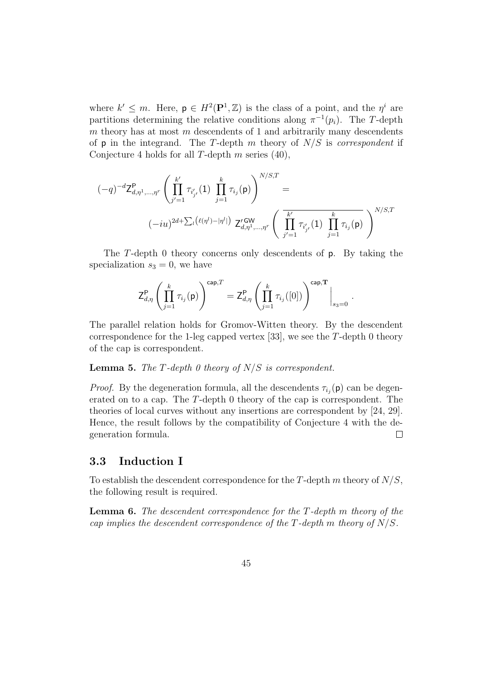where  $k' \leq m$ . Here,  $p \in H^2(\mathbf{P}^1, \mathbb{Z})$  is the class of a point, and the  $\eta^i$  are partitions determining the relative conditions along  $\pi^{-1}(p_i)$ . The T-depth  $m$  theory has at most  $m$  descendents of 1 and arbitrarily many descendents of  $p$  in the integrand. The T-depth m theory of  $N/S$  is *correspondent* if Conjecture 4 holds for all T-depth  $m$  series (40),

$$
\begin{aligned} (-q)^{-d} \mathsf{Z}^\mathsf{P}_{d,\eta^1,\ldots,\eta^r} \left( \prod_{j'=1}^{k'} \tau_{i'_{j'}}(1) \prod_{j=1}^{k} \tau_{i_j}(\mathsf{p}) \right)^{N/S,T} = \\ & (-iu)^{2d+\sum_l \left( \ell(\eta^l)-|\eta^l| \right)} \; \mathsf{Z}'^\mathsf{GW}_{d,\eta^1,\ldots,\eta^r} \left( \; \overline{\prod_{j'=1}^{k'} \tau_{i'_{j'}}(1) \prod_{j=1}^{k} \tau_{i_j}(\mathsf{p})} \; \right)^{N/S,T} \end{aligned}
$$

The T-depth 0 theory concerns only descendents of p. By taking the specialization  $s_3 = 0$ , we have

$$
\mathsf{Z}_{d,\eta}^{\mathsf{P}}\left(\prod_{j=1}^k\tau_{i_j}(\mathsf{p})\right)^{\mathsf{cap},T}=\mathsf{Z}_{d,\eta}^{\mathsf{P}}\left(\prod_{j=1}^k\tau_{i_j}([0])\right)^{\mathsf{cap},\mathbf{T}}\bigg|_{s_3=0}
$$

.

The parallel relation holds for Gromov-Witten theory. By the descendent correspondence for the 1-leg capped vertex [33], we see the  $T$ -depth 0 theory of the cap is correspondent.

**Lemma 5.** The T-depth 0 theory of  $N/S$  is correspondent.

*Proof.* By the degeneration formula, all the descendents  $\tau_{i_j}(\mathbf{p})$  can be degenerated on to a cap. The T-depth 0 theory of the cap is correspondent. The theories of local curves without any insertions are correspondent by [24, 29]. Hence, the result follows by the compatibility of Conjecture 4 with the degeneration formula.  $\Box$ 

## 3.3 Induction I

To establish the descendent correspondence for the  $T$ -depth  $m$  theory of  $N/S$ , the following result is required.

**Lemma 6.** The descendent correspondence for the  $T$ -depth m theory of the cap implies the descendent correspondence of the T-depth m theory of  $N/S$ .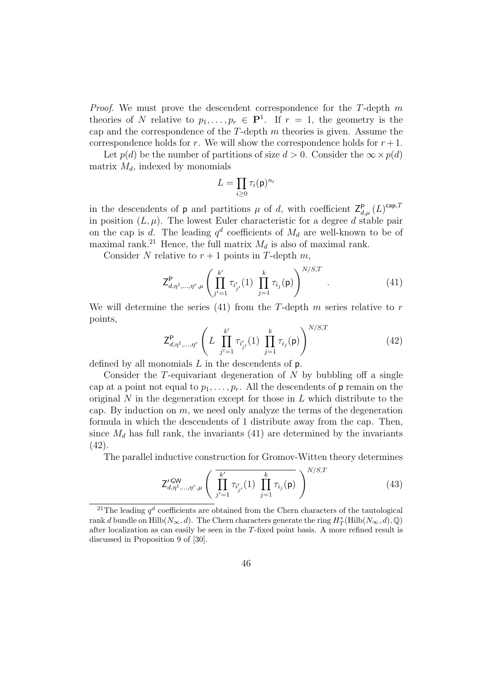*Proof.* We must prove the descendent correspondence for the T-depth  $m$ theories of N relative to  $p_1, \ldots, p_r \in \mathbf{P}^1$ . If  $r = 1$ , the geometry is the cap and the correspondence of the  $T$ -depth  $m$  theories is given. Assume the correspondence holds for r. We will show the correspondence holds for  $r + 1$ .

Let  $p(d)$  be the number of partitions of size  $d > 0$ . Consider the  $\infty \times p(d)$ matrix  $M_d$ , indexed by monomials

$$
L=\prod_{i\geq 0}\tau_i(\mathsf{p})^{n_i}
$$

in the descendents of **p** and partitions  $\mu$  of d, with coefficient  $Z_{d,\mu}^{\mathsf{P}}(L)^{\text{cap},T}$ in position  $(L, \mu)$ . The lowest Euler characteristic for a degree d stable pair on the cap is d. The leading  $q^d$  coefficients of  $M_d$  are well-known to be of maximal rank.<sup>21</sup> Hence, the full matrix  $M_d$  is also of maximal rank.

Consider N relative to  $r + 1$  points in T-depth m,

$$
Z_{d,\eta^1,\dots,\eta^r,\mu}^P\left(\prod_{j'=1}^{k'}\tau_{i'_{j'}}(1)\prod_{j=1}^k\tau_{i_j}(p)\right)^{N/S,T}.
$$
 (41)

We will determine the series (41) from the T-depth  $m$  series relative to  $r$ points,

$$
Z_{d,\eta^1,\dots,\eta^r}^{\mathbf{P}}\left(L\prod_{j'=1}^{k'}\tau_{i'_{j'}}(1)\prod_{j=1}^{k}\tau_{i_j}(\mathbf{p})\right)^{N/S,T}
$$
(42)

defined by all monomials  $L$  in the descendents of  $p$ .

Consider the  $T$ -equivariant degeneration of  $N$  by bubbling off a single cap at a point not equal to  $p_1, \ldots, p_r$ . All the descendents of **p** remain on the original  $N$  in the degeneration except for those in  $L$  which distribute to the cap. By induction on  $m$ , we need only analyze the terms of the degeneration formula in which the descendents of 1 distribute away from the cap. Then, since  $M_d$  has full rank, the invariants (41) are determined by the invariants (42).

The parallel inductive construction for Gromov-Witten theory determines

$$
Z'_{d,\eta^1,\dots,\eta^r,\mu}^{GW} \left( \prod_{j'=1}^{k'} \tau_{i'_{j'}}(1) \prod_{j=1}^k \tau_{i_j}(p) \right)^{N/S,T}
$$
(43)

<sup>&</sup>lt;sup>21</sup>The leading  $q<sup>d</sup>$  coefficients are obtained from the Chern characters of the tautological rank d bundle on  $\text{Hilb}(N_{\infty}, d)$ . The Chern characters generate the ring  $H^*_T(\text{Hilb}(N_{\infty}, d), \mathbb{Q})$ after localization as can easily be seen in the T-fixed point basis. A more refined result is discussed in Proposition 9 of [30].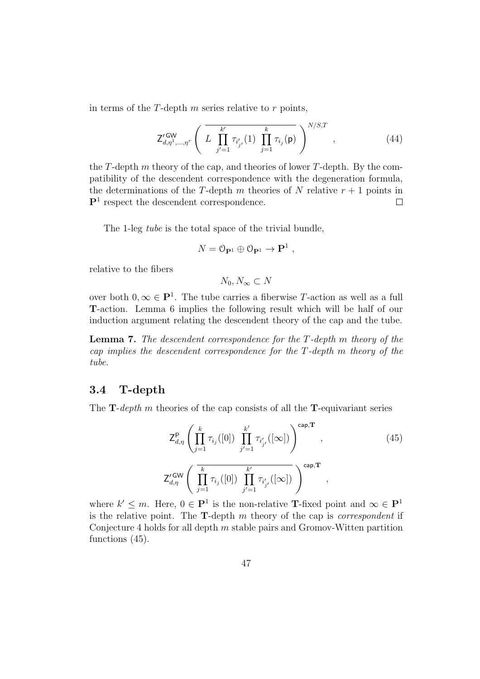in terms of the  $T$ -depth  $m$  series relative to  $r$  points,

$$
Z_{d,\eta^{1},..., \eta^{r}}^{\prime \text{GW}} \left( L \prod_{j'=1}^{k'} \tau_{i'_{j'}}(1) \prod_{j=1}^{k} \tau_{i_{j}}(\mathsf{p}) \right)^{N/S,T}, \qquad (44)
$$

,

the T-depth m theory of the cap, and theories of lower T-depth. By the compatibility of the descendent correspondence with the degeneration formula, the determinations of the T-depth m theories of N relative  $r + 1$  points in  $\mathbf{P}^1$  respect the descendent correspondence.  $\Box$ 

The 1-leg tube is the total space of the trivial bundle,

$$
N=\mathbb{O}_{\mathbf{P}^1}\oplus\mathbb{O}_{\mathbf{P}^1}\to\mathbf{P}^1
$$

relative to the fibers

 $N_0, N_{\infty} \subset N$ 

over both  $0, \infty \in \mathbf{P}^1$ . The tube carries a fiberwise T-action as well as a full T-action. Lemma 6 implies the following result which will be half of our induction argument relating the descendent theory of the cap and the tube.

Lemma 7. The descendent correspondence for the T-depth m theory of the cap implies the descendent correspondence for the T-depth m theory of the tube.

#### 3.4 T-depth

The  $\mathbf{T}\text{-}depth$  m theories of the cap consists of all the  $\mathbf{T}\text{-}equivariant$  series

$$
Z_{d,\eta}^{\mathsf{P}}\left(\prod_{j=1}^{k} \tau_{i_j}([0]) \prod_{j'=1}^{k'} \tau_{i'_{j'}}([\infty])\right)^{\text{cap,T}},
$$
\n
$$
Z_{d,\eta}^{\prime \text{GW}}\left(\overline{\prod_{j=1}^{k} \tau_{i_j}([0]) \prod_{j'=1}^{k'} \tau_{i'_{j'}}([\infty])}\right)^{\text{cap,T}},
$$
\n(45)

where  $k' \leq m$ . Here,  $0 \in \mathbf{P}^1$  is the non-relative **T**-fixed point and  $\infty \in \mathbf{P}^1$ is the relative point. The  $\mathbf{T}$ -depth m theory of the cap is *correspondent* if Conjecture 4 holds for all depth  $m$  stable pairs and Gromov-Witten partition functions (45).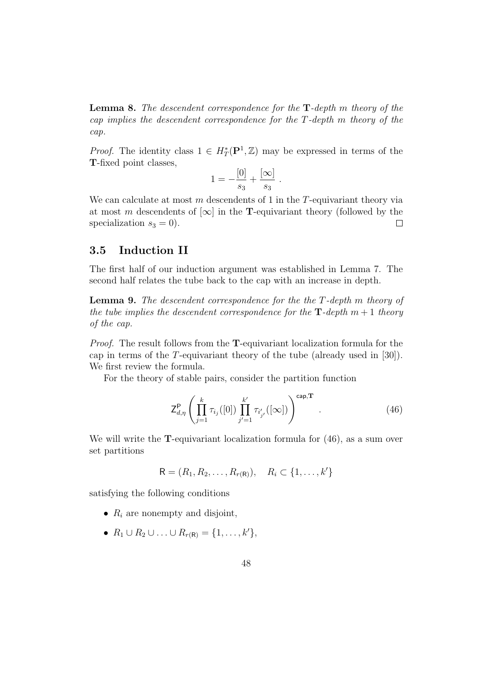**Lemma 8.** The descendent correspondence for the  $T$ -depth m theory of the cap implies the descendent correspondence for the T-depth m theory of the cap.

*Proof.* The identity class  $1 \in H^*_T(\mathbf{P}^1, \mathbb{Z})$  may be expressed in terms of the T-fixed point classes,

$$
1 = -\frac{[0]}{s_3} + \frac{[\infty]}{s_3}.
$$

We can calculate at most  $m$  descendents of 1 in the  $T$ -equivariant theory via at most m descendents of  $[\infty]$  in the **T**-equivariant theory (followed by the specialization  $s_3 = 0$ ).  $\Box$ 

## 3.5 Induction II

The first half of our induction argument was established in Lemma 7. The second half relates the tube back to the cap with an increase in depth.

Lemma 9. The descendent correspondence for the the T-depth m theory of the tube implies the descendent correspondence for the  $\mathbf{T}\text{-depth}$  m + 1 theory of the cap.

Proof. The result follows from the **T**-equivariant localization formula for the cap in terms of the T-equivariant theory of the tube (already used in [30]). We first review the formula.

For the theory of stable pairs, consider the partition function

$$
Z_{d,\eta}^{\mathsf{P}} \left( \prod_{j=1}^{k} \tau_{i_j}([0]) \prod_{j'=1}^{k'} \tau_{i'_{j'}}([0]) \right)^{\text{cap},\mathbf{T}} . \tag{46}
$$

We will write the **T**-equivariant localization formula for  $(46)$ , as a sum over set partitions

$$
\mathsf{R} = (R_1, R_2, \dots, R_{r(\mathsf{R})}), \quad R_i \subset \{1, \dots, k'\}
$$

satisfying the following conditions

- $R_i$  are nonempty and disjoint,
- $R_1 \cup R_2 \cup \ldots \cup R_{r(R)} = \{1, \ldots, k'\},\$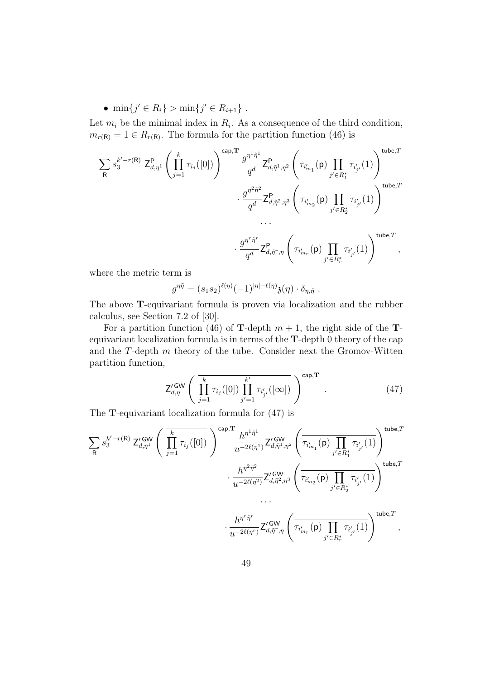•  $\min\{j' \in R_i\} > \min\{j' \in R_{i+1}\}\$ .

Let  $m_i$  be the minimal index in  $R_i$ . As a consequence of the third condition,  $m_{r(R)} = 1 \in R_{r(R)}$ . The formula for the partition function (46) is

$$
\begin{split} \sum_{\mathsf{R}} s_3^{k'-r(\mathsf{R})} \; \mathsf{Z}^{\mathsf{P}}_{d,\eta^1} \left( \prod_{j=1}^k \tau_{i_j}([0]) \right)^{\mathsf{cap},\mathbf{T}} & \; \frac{g^{\eta^1\tilde{\eta}^1}}{q^d} \mathsf{Z}^{\mathsf{P}}_{d,\tilde{\eta}^1,\eta^2} \left( \tau_{i'_{m_1}}(\mathsf{p}) \prod_{j'\in R_1^*} \tau_{i'_{j'}}(1) \right)^{\mathsf{tube},T} \\ & \qquad \qquad \cdot \; \frac{g^{\eta^2\tilde{\eta}^2}}{q^d} \mathsf{Z}^{\mathsf{P}}_{d,\tilde{\eta}^2,\eta^3} \left( \tau_{i'_{m_2}}(\mathsf{p}) \prod_{j'\in R_2^*} \tau_{i'_{j'}}(1) \right)^{\mathsf{tube},T} \\ & \qquad \qquad \cdot \; \cdot \\ & \qquad \qquad \cdot \; \frac{g^{\eta^r\tilde{\eta}^r}}{q^d} \mathsf{Z}^{\mathsf{P}}_{d,\tilde{\eta}^r,\eta} \left( \tau_{i'_{m_r}}(\mathsf{p}) \prod_{j'\in R_r^*} \tau_{i'_{j'}}(1) \right)^{\mathsf{tube},T} \; , \end{split}
$$

where the metric term is

$$
g^{\eta\tilde{\eta}} = (s_1s_2)^{\ell(\eta)}(-1)^{|\eta|-\ell(\eta)}\mathfrak{z}(\eta)\cdot \delta_{\eta,\tilde{\eta}}.
$$

The above T-equivariant formula is proven via localization and the rubber calculus, see Section 7.2 of [30].

For a partition function (46) of **T**-depth  $m + 1$ , the right side of the **T**equivariant localization formula is in terms of the T-depth 0 theory of the cap and the  $T$ -depth  $m$  theory of the tube. Consider next the Gromov-Witten partition function,

$$
Z_{d,\eta}^{\prime GW} \left( \overline{\prod_{j=1}^{k} \tau_{i_j}([0]) \prod_{j'=1}^{k'} \tau_{i'_{j'}}([\infty])} \right)^{cap,\mathbf{T}} . \qquad (47)
$$

The T-equivariant localization formula for (47) is

$$
\sum_{\mathsf{R}} s_3^{k'-r(\mathsf{R})} \mathsf{Z}_{d,\eta^1}^{\prime \mathsf{GW}} \left( \overrightarrow{\prod_{j=1}^k \tau_{i_j}([0])} \right)^{\mathsf{cap},\mathbf{T}} \overrightarrow{h^{\eta^1\tilde{\eta}^1}} \mathsf{Z}_{d,\tilde{\eta}^1,\eta^2}^{\prime \mathsf{GW}} \left( \overrightarrow{\tau_{i_{m_1}}(\mathsf{p}) \prod_{j' \in R_1^*} \tau_{i'_{j'}}(1)} \right)^{\mathsf{tube},T} \\ \cdot \frac{h^{\eta^2\tilde{\eta}^2}}{u^{-2\ell(\eta^2)}} \mathsf{Z}_{d,\tilde{\eta}^2,\eta^3}^{\prime \mathsf{GW}} \left( \overrightarrow{\tau_{i_{m_2}}(\mathsf{p}) \prod_{j' \in R_2^*} \tau_{i'_{j'}}(1)} \right)^{\mathsf{tube},T} \\ \cdots \\ \cdot \frac{h^{\eta^r\tilde{\eta}^r}}{u^{-2\ell(\eta^r)}} \mathsf{Z}_{d,\tilde{\eta}^r,\eta}^{\prime \mathsf{GW}} \left( \overrightarrow{\tau_{i_{m_r}'}(\mathsf{p}) \prod_{j' \in R_r^*} \tau_{i'_{j'}}(1)} \right)^{\mathsf{tube},T},
$$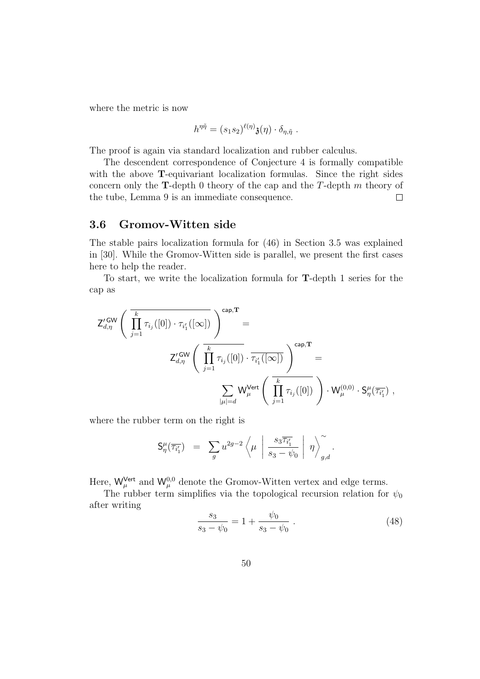where the metric is now

$$
h^{\eta\tilde{\eta}} = (s_1s_2)^{\ell(\eta)}\mathfrak{z}(\eta) \cdot \delta_{\eta,\tilde{\eta}}.
$$

The proof is again via standard localization and rubber calculus.

The descendent correspondence of Conjecture 4 is formally compatible with the above **T**-equivariant localization formulas. Since the right sides concern only the **T**-depth 0 theory of the cap and the  $T$ -depth  $m$  theory of the tube, Lemma 9 is an immediate consequence.  $\Box$ 

# 3.6 Gromov-Witten side

The stable pairs localization formula for (46) in Section 3.5 was explained in [30]. While the Gromov-Witten side is parallel, we present the first cases here to help the reader.

To start, we write the localization formula for T-depth 1 series for the cap as

$$
Z_{d,\eta}^{\prime GW} \left( \overrightarrow{\prod_{j=1}^{k} \tau_{i_j}([0]) \cdot \tau_{i'_1}([\infty])} \right)^{cap,T} =
$$
  

$$
Z_{d,\eta}^{\prime GW} \left( \overrightarrow{\prod_{j=1}^{k} \tau_{i_j}([0])} \cdot \overrightarrow{\tau_{i'_1}([0])} \right)^{cap,T} =
$$
  

$$
\sum_{|\mu|=d} W_{\mu}^{\text{Vert}} \left( \overrightarrow{\prod_{j=1}^{k} \tau_{i_j}([0])} \right) \cdot W_{\mu}^{(0,0)} \cdot S_{\eta}^{\mu}(\overrightarrow{\tau_{i'_1}}) ,
$$

where the rubber term on the right is

$$
\mathsf{S}^\mu_\eta(\overline{\tau_{i_1'}}) \;\; = \;\; \sum_g u^{2g-2} \left\langle \mu \; \left| \; \frac{s_3 \overline{\tau_{i_1'}}}{s_3 - \psi_0} \; \right| \; \eta \right\rangle^\sim_{g,d}.
$$

Here,  $W_{\mu}^{\text{Vert}}$  and  $W_{\mu}^{0,0}$  denote the Gromov-Witten vertex and edge terms.

The rubber term simplifies via the topological recursion relation for  $\psi_0$ after writing

$$
\frac{s_3}{s_3 - \psi_0} = 1 + \frac{\psi_0}{s_3 - \psi_0} \tag{48}
$$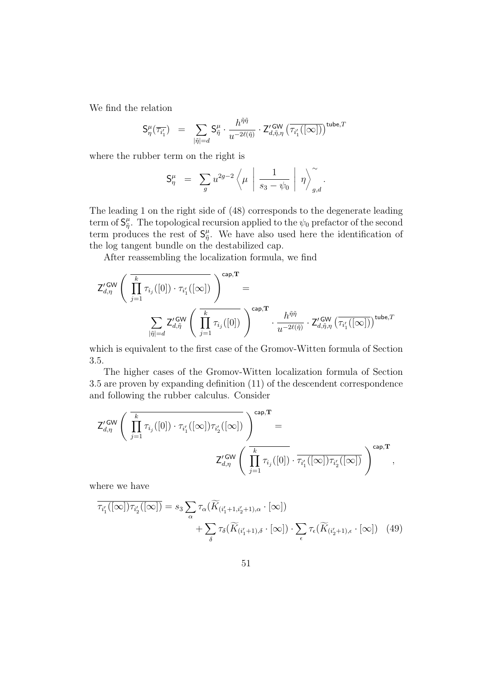We find the relation

$$
\mathsf{S}^\mu_\eta(\overline{\tau_{i_1}'}) \;\; = \;\; \sum_{|\tilde{\eta}| = d} \mathsf{S}^\mu_{\tilde{\eta}} \cdot \frac{h^{\tilde{\eta}\tilde{\eta}}}{u^{-2\ell(\tilde{\eta})}} \cdot \mathsf{Z}^{\prime \, \mathsf{GW}}_{d, \tilde{\eta}, \eta} \left( \overline{\tau_{i_1}'([\infty])} \right)^{\mathsf{tube}, T}
$$

where the rubber term on the right is

$$
\mathsf{S}^\mu_\eta \ = \ \sum_g u^{2g-2} \left\langle \mu \ \bigg| \ \frac{1}{s_3 - \psi_0} \ \bigg| \ \eta \right\rangle_{g,d}^\sim.
$$

The leading 1 on the right side of (48) corresponds to the degenerate leading term of  $\mathsf{S}^\mu_{\tilde{n}}$  $_{\tilde{\eta}}^{\mu}$ . The topological recursion applied to the  $\psi_0$  prefactor of the second term produces the rest of  $S_{\tilde{n}}^{\mu}$  $_{\tilde{\eta}}^{\mu}$ . We have also used here the identification of the log tangent bundle on the destabilized cap.

After reassembling the localization formula, we find

$$
\mathsf{Z}^{\prime\,\mathrm{GW}}_{d,\eta}\left(\overline{\prod_{j=1}^{k}\tau_{i_j}([0])\cdot \tau_{i'_1}([\infty])}}\right)^{\mathsf{cap},\mathbf{T}}=\newline \sum_{|\tilde{\eta}|=d}\mathsf{Z}^{\prime\,\mathrm{GW}}_{d,\tilde{\eta}}\left(\overline{\prod_{j=1}^{k}\tau_{i_j}([0])}\right)^{\mathsf{cap},\mathbf{T}}\cdot\frac{h^{\tilde{\eta}\tilde{\eta}}}{u^{-2\ell(\tilde{\eta})}}\cdot \mathsf{Z}^{\prime\,\mathrm{GW}}_{d,\tilde{\eta},\eta}\left(\overline{\tau_{i'_1}([\infty])}\right)^{\mathsf{tube},T}
$$

which is equivalent to the first case of the Gromov-Witten formula of Section 3.5.

The higher cases of the Gromov-Witten localization formula of Section 3.5 are proven by expanding definition (11) of the descendent correspondence and following the rubber calculus. Consider

$$
\mathsf{Z}^{\prime\operatorname{\mathsf{GW}}}_{d,\eta} \left( \overline{ \prod_{j=1}^k \tau_{i_j}([0]) \cdot \tau_{i_1'}([\infty]) \tau_{i_2'}([\infty])} \overline{\right)^{\operatorname{cap},\mathbf{T}}} = \\ \mathsf{Z}^{\prime\operatorname{\mathsf{GW}}}_{d,\eta} \left( \overline{ \prod_{j=1}^k \tau_{i_j}([0]) \cdot \tau_{i_1'}([\infty]) \tau_{i_2'}([\infty])} \overline{\right)^{\operatorname{cap},\mathbf{T}}} \,,
$$

where we have

$$
\overline{\tau_{i'_1}([\infty])\tau_{i'_2}([\infty])} = s_3 \sum_{\alpha} \tau_{\alpha}(\widetilde{K}_{(i'_1+1,i'_2+1),\alpha} \cdot [\infty]) + \sum_{\delta} \tau_{\delta}(\widetilde{K}_{(i'_1+1),\delta} \cdot [\infty]) \cdot \sum_{\epsilon} \tau_{\epsilon}(\widetilde{K}_{(i'_2+1),\epsilon} \cdot [\infty]) \tag{49}
$$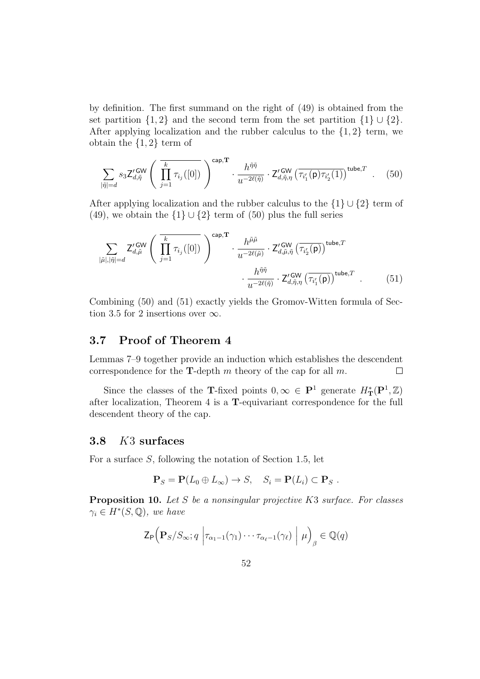by definition. The first summand on the right of (49) is obtained from the set partition  $\{1,2\}$  and the second term from the set partition  $\{1\} \cup \{2\}$ . After applying localization and the rubber calculus to the  $\{1,2\}$  term, we obtain the  $\{1,2\}$  term of

$$
\sum_{|\tilde{\eta}|=d} s_3 \mathsf{Z}_{d,\tilde{\eta}}^{\prime \mathsf{GW}} \left( \overline{\prod_{j=1}^k \tau_{i_j}([0])} \right)^{\mathsf{cap},\mathbf{T}} \cdot \frac{h^{\tilde{\eta}\tilde{\eta}}}{u^{-2\ell(\tilde{\eta})}} \cdot \mathsf{Z}_{d,\tilde{\eta},\eta}^{\prime \mathsf{GW}} \left( \overline{\tau_{i'_1}(\mathsf{p}) \tau_{i'_2}(1)} \right)^{\mathsf{tube},T} \quad . \quad (50)
$$

After applying localization and the rubber calculus to the  $\{1\} \cup \{2\}$  term of (49), we obtain the  $\{1\} \cup \{2\}$  term of (50) plus the full series

$$
\sum_{|\tilde{\mu}|,|\tilde{\eta}|=d} \mathsf{Z}_{d,\tilde{\mu}}^{\prime \mathsf{GW}} \left( \prod_{j=1}^{k} \tau_{i_j}([0]) \right)^{\mathsf{cap},\mathbf{T}} \cdot \frac{h^{\tilde{\mu}\tilde{\mu}}}{u^{-2\ell(\tilde{\mu})}} \cdot \mathsf{Z}_{d,\tilde{\mu},\tilde{\eta}}^{\prime \mathsf{GW}} \left( \tau_{i'_2}(\mathsf{p}) \right)^{\mathsf{tube},T} \cdot \frac{h^{\tilde{\eta}\tilde{\eta}}}{u^{-2\ell(\tilde{\eta})}} \cdot \mathsf{Z}_{d,\tilde{\eta},\eta}^{\prime \mathsf{GW}} \left( \tau_{i'_1}(\mathsf{p}) \right)^{\mathsf{tube},T} . \tag{51}
$$

Combining (50) and (51) exactly yields the Gromov-Witten formula of Section 3.5 for 2 insertions over  $\infty$ .

# 3.7 Proof of Theorem 4

Lemmas 7–9 together provide an induction which establishes the descendent correspondence for the **T**-depth m theory of the cap for all m.  $\Box$ 

Since the classes of the T-fixed points  $0, \infty \in \mathbf{P}^1$  generate  $H^*_{\mathbf{T}}(\mathbf{P}^1, \mathbb{Z})$ after localization, Theorem 4 is a T-equivariant correspondence for the full descendent theory of the cap.

# 3.8 K3 surfaces

For a surface S, following the notation of Section 1.5, let

$$
\mathbf{P}_S = \mathbf{P}(L_0 \oplus L_\infty) \to S, \quad S_i = \mathbf{P}(L_i) \subset \mathbf{P}_S.
$$

Proposition 10. Let S be a nonsingular projective K3 surface. For classes  $\gamma_i \in H^*(S, \mathbb{Q})$ , we have

$$
\mathsf{Z}_{\mathsf{P}}\Big(\mathbf{P}_{S}/S_{\infty};q\ \Big|\tau_{\alpha_1-1}(\gamma_1)\cdots\tau_{\alpha_\ell-1}(\gamma_\ell)\ \Big|\ \mu\Big)_{\beta}\in\mathbb{Q}(q)
$$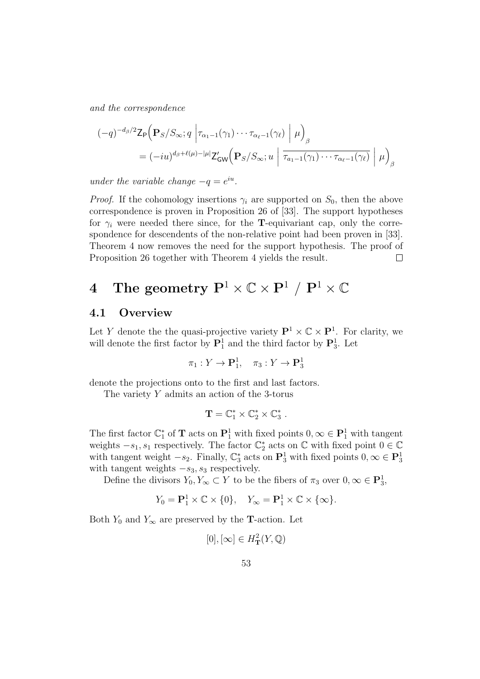and the correspondence

$$
(-q)^{-d_{\beta}/2} \mathsf{Z}_{\mathsf{P}}\Big(\mathbf{P}_{S}/S_{\infty}; q \left|\tau_{\alpha_{1}-1}(\gamma_{1})\cdots\tau_{\alpha_{\ell}-1}(\gamma_{\ell})\right| \mu\Big)_{\beta}
$$
  
=  $(-i u)^{d_{\beta}+\ell(\mu)-|\mu|} \mathsf{Z}_{\mathsf{GW}}'\Big(\mathbf{P}_{S}/S_{\infty}; u \left|\overline{\tau_{a_{1}-1}(\gamma_{1})\cdots\tau_{\alpha_{\ell}-1}(\gamma_{\ell})}\right| \mu\Big)_{\beta}$ 

under the variable change  $-q = e^{iu}$ .

*Proof.* If the cohomology insertions  $\gamma_i$  are supported on  $S_0$ , then the above correspondence is proven in Proposition 26 of [33]. The support hypotheses for  $\gamma_i$  were needed there since, for the **T**-equivariant cap, only the correspondence for descendents of the non-relative point had been proven in [33]. Theorem 4 now removes the need for the support hypothesis. The proof of Proposition 26 together with Theorem 4 yields the result.  $\Box$ 

# 4 The geometry  $\mathbf{P}^1 \times \mathbb{C} \times \mathbf{P}^1 / \mathbf{P}^1 \times \mathbb{C}$

## 4.1 Overview

Let Y denote the the quasi-projective variety  $\mathbf{P}^1 \times \mathbb{C} \times \mathbf{P}^1$ . For clarity, we will denote the first factor by  $\mathbf{P}_1^1$  and the third factor by  $\mathbf{P}_3^1$ . Let

$$
\pi_1: Y \to \mathbf{P}_1^1, \quad \pi_3: Y \to \mathbf{P}_3^1
$$

denote the projections onto to the first and last factors.

The variety Y admits an action of the 3-torus

$$
\mathbf{T}=\mathbb{C}^*_1\times\mathbb{C}^*_2\times\mathbb{C}^*_3\ .
$$

The first factor  $\mathbb{C}_1^*$  of **T** acts on  $\mathbf{P}_1^1$  with fixed points  $0, \infty \in \mathbf{P}_1^1$  with tangent weights  $-s_1$ ,  $s_1$  respectively. The factor  $\mathbb{C}_2^*$  acts on  $\mathbb C$  with fixed point  $0 \in \mathbb C$ with tangent weight  $-s_2$ . Finally,  $\mathbb{C}_3^*$  acts on  $\mathbf{P}_3^1$  with fixed points  $0, \infty \in \mathbf{P}_3^1$ with tangent weights  $-s_3$ ,  $s_3$  respectively.

Define the divisors  $Y_0, Y_\infty \subset Y$  to be the fibers of  $\pi_3$  over  $0, \infty \in \mathbf{P}_3^1$ ,

$$
Y_0 = \mathbf{P}_1^1 \times \mathbb{C} \times \{0\}, \quad Y_{\infty} = \mathbf{P}_1^1 \times \mathbb{C} \times \{\infty\}.
$$

Both  $Y_0$  and  $Y_\infty$  are preserved by the **T**-action. Let

$$
[0], [\infty] \in H^2_{\mathbf{T}}(Y, \mathbb{Q})
$$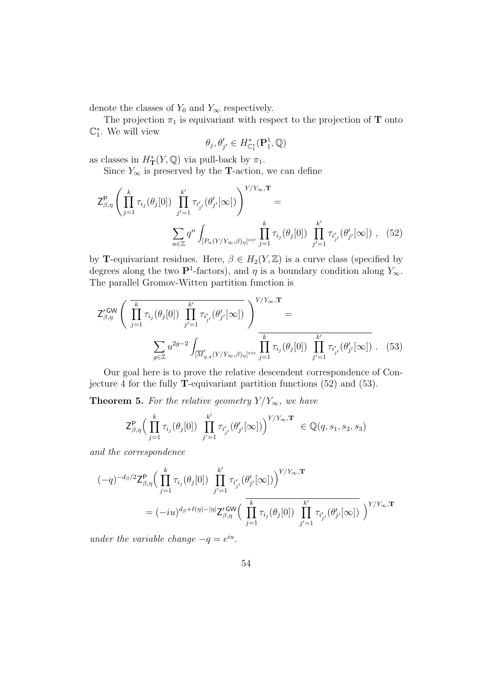denote the classes of  $Y_0$  and  $Y_\infty$  respectively.

The projection  $\pi_1$  is equivariant with respect to the projection of **T** onto  $\mathbb{C}_1^*$ . We will view

$$
\theta_j, \theta'_{j'} \in H_{\mathbb{C}_1^*}^*(\mathbf{P}_1^1, \mathbb{Q})
$$

as classes in  $H^*_{\mathbf{T}}(Y,\mathbb{Q})$  via pull-back by  $\pi_1$ .

Since  $Y_{\infty}$  is preserved by the **T**-action, we can define

$$
Z_{\beta,\eta}^{\mathbf{P}}\left(\prod_{j=1}^{k} \tau_{i_j}(\theta_j[0]) \prod_{j'=1}^{k'} \tau_{i'_{j'}}(\theta'_{j'}[\infty])\right)^{Y/Y_{\infty},\mathbf{T}} =
$$

$$
\sum_{n\in\mathbb{Z}} q^n \int_{[P_n(Y/Y_{\infty},\beta)_\eta]^{\text{vir}}} \prod_{j'=1}^{k} \tau_{i_j}(\theta_j[0]) \prod_{j'=1}^{k'} \tau_{i'_{j'}}(\theta'_{j'}[\infty]), \quad (52)
$$

by **T**-equivariant residues. Here,  $\beta \in H_2(Y, \mathbb{Z})$  is a curve class (specified by degrees along the two  $\mathbf{P}^1$ -factors), and  $\eta$  is a boundary condition along  $Y_{\infty}$ . The parallel Gromov-Witten partition function is

$$
\mathsf{Z}_{\beta,\eta}^{\prime \mathsf{GW}} \left( \overrightarrow{\prod_{j=1}^{k} \tau_{i_j}(\theta_j[0]) \prod_{j'=1}^{k'} \tau_{i'_{j'}}(\theta_{j'}^{\prime}[\infty])} \right)^{Y/Y_{\infty},\mathbf{T}} = \n\sum_{g \in \mathbb{Z}} u^{2g-2} \int_{\left[ \overrightarrow{M}_{g,\star}^{\prime}(Y/Y_{\infty},\beta)_{\eta} \right]^{\text{vir}}} \prod_{j'=1}^{k} \tau_{i_j}(\theta_j[0]) \prod_{j'=1}^{k'} \tau_{i'_{j'}}(\theta_{j'}^{\prime}[\infty]) . \tag{53}
$$

Our goal here is to prove the relative descendent correspondence of Conjecture 4 for the fully T-equivariant partition functions (52) and (53).

**Theorem 5.** For the relative geometry  $Y/Y_{\infty}$ , we have

$$
\mathsf{Z}^\mathsf{P}_{\beta,\eta}\Big(\prod_{j=1}^k\tau_{i_j}(\theta_j[0])\prod_{j'=1}^{k'}\tau_{i'_{j'}}(\theta'_{j'}[\infty])\Big)^{Y/Y_\infty,\mathbf{T}}\ \in \mathbb{Q}(q,s_1,s_2,s_3)
$$

and the correspondence

$$
\begin{aligned} (-q)^{-d_{\beta}/2} \mathsf{Z}^\mathsf{P}_{\beta,\eta} \Big( \prod_{j=1}^k \tau_{i_j}(\theta_j[0]) \prod_{j'=1}^{k'} \tau_{i'_{j'}}(\theta'_{j'}[\infty]) \Big)^{Y/Y_\infty,\mathbf{T}} \\ = (-iu)^{d_{\beta}+\ell(\eta)-|\eta|} \mathsf{Z}'^\mathsf{GW}_{\beta,\eta} \Big( \prod_{j=1}^k \tau_{i_j}(\theta_j[0]) \prod_{j'=1}^{k'} \tau_{i'_{j'}}(\theta'_{j'}[\infty]) \Big)^{Y/Y_\infty,\mathbf{T}} \end{aligned}
$$

under the variable change  $-q = e^{iu}$ .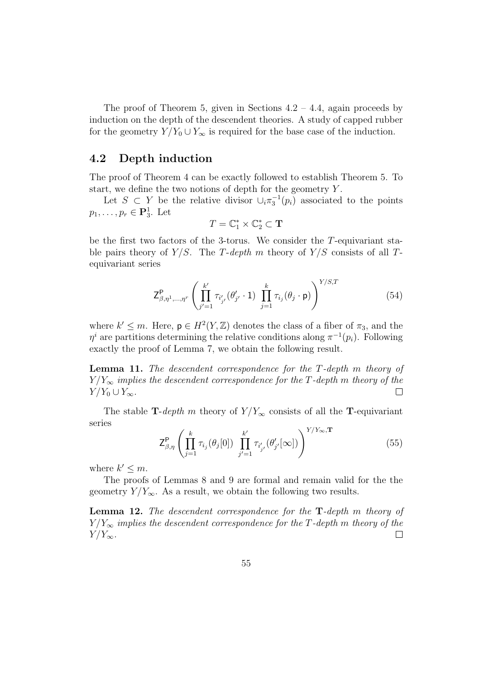The proof of Theorem 5, given in Sections  $4.2 - 4.4$ , again proceeds by induction on the depth of the descendent theories. A study of capped rubber for the geometry  $Y/Y_0 \cup Y_\infty$  is required for the base case of the induction.

#### 4.2 Depth induction

The proof of Theorem 4 can be exactly followed to establish Theorem 5. To start, we define the two notions of depth for the geometry  $Y$ .

Let  $S \subset Y$  be the relative divisor  $\cup_i \pi_3^{-1}(p_i)$  associated to the points  $p_1, \ldots, p_r \in \mathbf{P}_3^1$ . Let

$$
T=\mathbb{C}_1^*\times\mathbb{C}_2^*\subset\mathbf{T}
$$

be the first two factors of the 3-torus. We consider the T-equivariant stable pairs theory of  $Y/S$ . The T-depth m theory of  $Y/S$  consists of all Tequivariant series

$$
Z_{\beta,\eta^{1},\dots,\eta^{r}}^{P} \left( \prod_{j'=1}^{k'} \tau_{i'_{j'}} (\theta'_{j'} \cdot 1) \prod_{j=1}^{k} \tau_{i_j} (\theta_j \cdot p) \right)^{Y/S,T}
$$
(54)

where  $k' \leq m$ . Here,  $p \in H^2(Y, \mathbb{Z})$  denotes the class of a fiber of  $\pi_3$ , and the  $\eta^i$  are partitions determining the relative conditions along  $\pi^{-1}(p_i)$ . Following exactly the proof of Lemma 7, we obtain the following result.

Lemma 11. The descendent correspondence for the T-depth m theory of  $Y/Y_{\infty}$  implies the descendent correspondence for the T-depth m theory of the  $Y/Y_0\cup Y_\infty$ .  $\Box$ 

The stable T-depth m theory of  $Y/Y_{\infty}$  consists of all the T-equivariant series

$$
Z_{\beta,\eta}^{\mathsf{P}}\left(\prod_{j=1}^{k} \tau_{i_j}(\theta_j[0]) \prod_{j'=1}^{k'} \tau_{i'_{j'}}(\theta'_{j'}[\infty])\right)^{Y/Y_{\infty},\mathbf{T}}\tag{55}
$$

where  $k' \leq m$ .

The proofs of Lemmas 8 and 9 are formal and remain valid for the the geometry  $Y/Y_{\infty}$ . As a result, we obtain the following two results.

Lemma 12. The descendent correspondence for the T-depth m theory of  $Y/Y_{\infty}$  implies the descendent correspondence for the T-depth m theory of the  $Y/Y_{\infty}$ .  $\Box$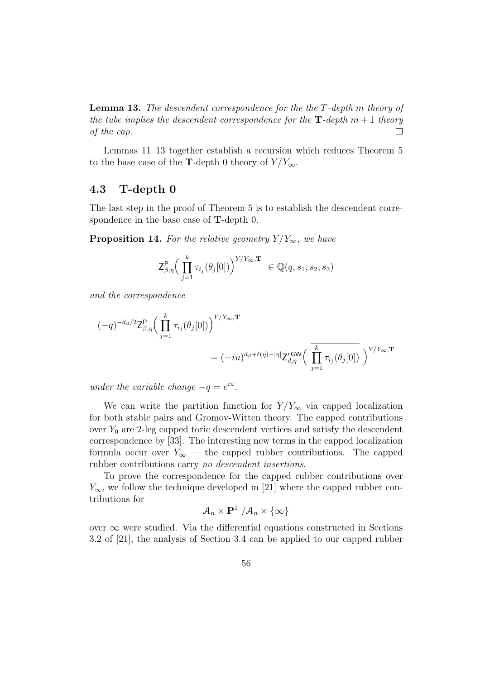Lemma 13. The descendent correspondence for the the T-depth m theory of the tube implies the descendent correspondence for the  $\mathbf{T}\text{-depth}$  m + 1 theory of the cap.  $\Box$ 

Lemmas 11–13 together establish a recursion which reduces Theorem 5 to the base case of the T-depth 0 theory of  $Y/Y_{\infty}$ .

# 4.3 T-depth 0

The last step in the proof of Theorem 5 is to establish the descendent correspondence in the base case of T-depth 0.

**Proposition 14.** For the relative geometry  $Y/Y_{\infty}$ , we have

$$
\mathsf{Z}_{\beta,\eta}^{\mathsf{P}}\Big(\prod_{j=1}^k\tau_{i_j}(\theta_j[0])\Big)^{Y/Y_\infty,\mathbf{T}}\ \in \mathbb{Q}(q,s_1,s_2,s_3)
$$

and the correspondence

$$
\begin{aligned} (-q)^{-d_{\beta}/2} \mathsf{Z}^\mathsf{P}_{\beta,\eta} \Big( \prod_{j=1}^k \tau_{i_j}(\theta_j[0]) \Big)^{Y/Y_\infty,\mathbf{T}} \\ = (-iu)^{d_{\beta}+\ell(\eta)-|\eta|} \mathsf{Z}^{\prime\,\mathsf{GW}}_{d,\eta} \Big( \prod_{j=1}^k \tau_{i_j}(\theta_j[0]) \Big)^{Y/Y_\infty,\mathbf{T}} \end{aligned}
$$

under the variable change  $-q = e^{iu}$ .

We can write the partition function for  $Y/Y_{\infty}$  via capped localization for both stable pairs and Gromov-Witten theory. The capped contributions over  $Y_0$  are 2-leg capped toric descendent vertices and satisfy the descendent correspondence by [33]. The interesting new terms in the capped localization formula occur over  $Y_\infty$  — the capped rubber contributions. The capped rubber contributions carry no descendent insertions.

To prove the correspondence for the capped rubber contributions over  $Y_{\infty}$ , we follow the technique developed in [21] where the capped rubber contributions for

$$
\mathcal{A}_n\times\mathbf{P}^1\not|\mathcal{A}_n\times\{\infty\}
$$

over  $\infty$  were studied. Via the differential equations constructed in Sections 3.2 of [21], the analysis of Section 3.4 can be applied to our capped rubber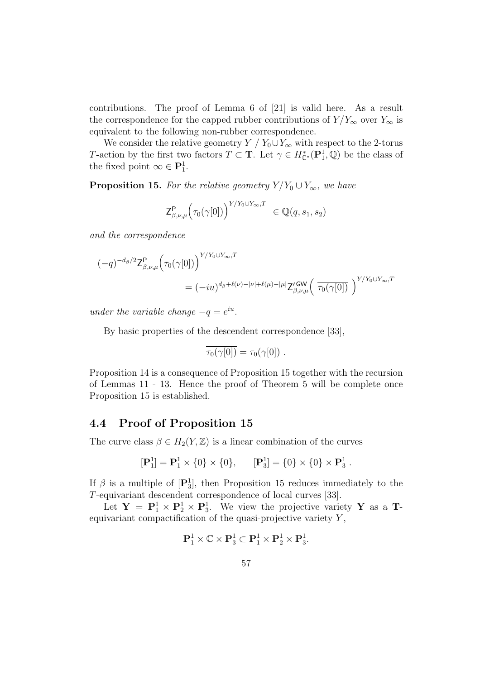contributions. The proof of Lemma 6 of [21] is valid here. As a result the correspondence for the capped rubber contributions of  $Y/Y_{\infty}$  over  $Y_{\infty}$  is equivalent to the following non-rubber correspondence.

We consider the relative geometry  $Y / Y_0 \cup Y_\infty$  with respect to the 2-torus T-action by the first two factors  $T \subset \mathbf{T}$ . Let  $\gamma \in H^*_{\mathbb{C}^*}(\mathbf{P}_1^1, \mathbb{Q})$  be the class of the fixed point  $\infty \in \mathbf{P}_1^1$ .

**Proposition 15.** For the relative geometry  $Y/Y_0 \cup Y_\infty$ , we have

$$
\mathsf{Z}_{\beta,\nu,\mu}^{\mathsf{P}}\Big(\tau_0(\gamma[0])\Big)^{Y/Y_0\cup Y_{\infty},T}\in\mathbb{Q}(q,s_1,s_2)
$$

and the correspondence

$$
(-q)^{-d_{\beta}/2} \mathsf{Z}^{\mathsf{P}}_{\beta,\nu,\mu} \Big( \tau_0(\gamma[0]) \Big)^{Y/Y_0 \cup Y_{\infty},T}
$$
  
= 
$$
(-iu)^{d_{\beta}+\ell(\nu)-|\nu|+\ell(\mu)-|\mu|} \mathsf{Z}'_{\beta,\nu,\mu} \Big( \overline{\tau_0(\gamma[0])} \Big)^{Y/Y_0 \cup Y_{\infty},T}
$$

under the variable change  $-q = e^{iu}$ .

By basic properties of the descendent correspondence [33],

$$
\overline{\tau_0(\gamma[0])} = \tau_0(\gamma[0]) \ .
$$

Proposition 14 is a consequence of Proposition 15 together with the recursion of Lemmas 11 - 13. Hence the proof of Theorem 5 will be complete once Proposition 15 is established.

#### 4.4 Proof of Proposition 15

The curve class  $\beta \in H_2(Y, \mathbb{Z})$  is a linear combination of the curves

$$
[\mathbf{P}_1^1] = \mathbf{P}_1^1 \times \{0\} \times \{0\}, \qquad [\mathbf{P}_3^1] = \{0\} \times \{0\} \times \mathbf{P}_3^1.
$$

If  $\beta$  is a multiple of  $[\mathbf{P}_3^1]$ , then Proposition 15 reduces immediately to the T-equivariant descendent correspondence of local curves [33].

Let  $Y = P_1^1 \times P_2^1 \times P_3^1$ . We view the projective variety Y as a Tequivariant compactification of the quasi-projective variety  $Y$ ,

$$
\mathbf{P}_1^1 \times \mathbb{C} \times \mathbf{P}_3^1 \subset \mathbf{P}_1^1 \times \mathbf{P}_2^1 \times \mathbf{P}_3^1.
$$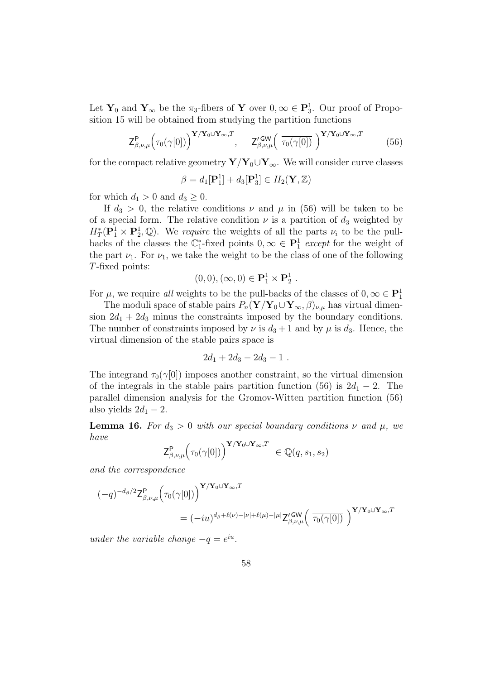Let  $Y_0$  and  $Y_\infty$  be the  $\pi_3$ -fibers of Y over  $0, \infty \in \mathbb{P}^1_3$ . Our proof of Proposition 15 will be obtained from studying the partition functions

$$
\mathsf{Z}^{\mathsf{P}}_{\beta,\nu,\mu} \Big( \tau_0(\gamma[0]) \Big)^{\mathbf{Y}/\mathbf{Y}_0 \cup \mathbf{Y}_{\infty},T}, \quad \mathsf{Z}'^{\mathsf{GW}}_{\beta,\nu,\mu} \Big( \overline{\tau_0(\gamma[0])} \Big)^{\mathbf{Y}/\mathbf{Y}_0 \cup \mathbf{Y}_{\infty},T} \tag{56}
$$

for the compact relative geometry  $Y/Y_0\cup Y_\infty$ . We will consider curve classes

$$
\beta = d_1[\mathbf{P}_1^1] + d_3[\mathbf{P}_3^1] \in H_2(\mathbf{Y}, \mathbb{Z})
$$

for which  $d_1 > 0$  and  $d_3 \geq 0$ .

If  $d_3 > 0$ , the relative conditions  $\nu$  and  $\mu$  in (56) will be taken to be of a special form. The relative condition  $\nu$  is a partition of  $d_3$  weighted by  $H^*_T(\mathbf{P}_1^1 \times \mathbf{P}_2^1, \mathbb{Q})$ . We require the weights of all the parts  $\nu_i$  to be the pullbacks of the classes the  $\mathbb{C}_1^*$ -fixed points  $0, \infty \in \mathbb{P}^1$  except for the weight of the part  $\nu_1$ . For  $\nu_1$ , we take the weight to be the class of one of the following T-fixed points:

$$
(0,0),(\infty,0)\in\mathbf{P}_1^1\times\mathbf{P}_2^1.
$$

For  $\mu$ , we require all weights to be the pull-backs of the classes of  $0, \infty \in \mathbb{P}^1_1$ 

The moduli space of stable pairs  $P_n(\mathbf{Y}/\mathbf{Y}_0\cup \mathbf{Y}_{\infty}, \beta)_{\nu,\mu}$  has virtual dimension  $2d_1 + 2d_3$  minus the constraints imposed by the boundary conditions. The number of constraints imposed by  $\nu$  is  $d_3 + 1$  and by  $\mu$  is  $d_3$ . Hence, the virtual dimension of the stable pairs space is

$$
2d_1+2d_3-2d_3-1.
$$

The integrand  $\tau_0(\gamma[0])$  imposes another constraint, so the virtual dimension of the integrals in the stable pairs partition function (56) is  $2d_1 - 2$ . The parallel dimension analysis for the Gromov-Witten partition function (56) also yields  $2d_1 - 2$ .

**Lemma 16.** For  $d_3 > 0$  with our special boundary conditions  $\nu$  and  $\mu$ , we have

$$
\mathsf{Z}^\mathsf{P}_{\beta,\nu,\mu}\Big( \tau_0(\gamma[0]) \Big)^{{\mathbf{Y}}/{\mathbf{Y}}_0 \cup {\mathbf{Y}}_\infty,T} \ \in \mathbb{Q}(q,s_1,s_2)
$$

and the correspondence

$$
(-q)^{-d_{\beta}/2} \mathsf{Z}^{\mathsf{P}}_{\beta,\nu,\mu} \Big( \tau_0(\gamma[0]) \Big)^{\mathbf{Y}/\mathbf{Y}_0 \cup \mathbf{Y}_{\infty},T}
$$
  

$$
= (-iu)^{d_{\beta}+\ell(\nu)-|\nu|+\ell(\mu)-|\mu|} \mathsf{Z}'_{\beta,\nu,\mu}^{\mathsf{GW}} \Big( \overline{\tau_0(\gamma[0])} \Big)^{\mathbf{Y}/\mathbf{Y}_0 \cup \mathbf{Y}_{\infty},T}
$$

under the variable change  $-q = e^{iu}$ .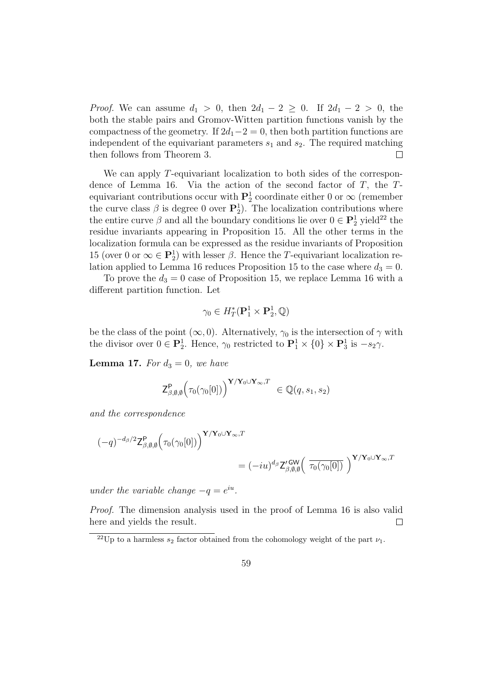*Proof.* We can assume  $d_1 > 0$ , then  $2d_1 - 2 \geq 0$ . If  $2d_1 - 2 > 0$ , the both the stable pairs and Gromov-Witten partition functions vanish by the compactness of the geometry. If  $2d_1-2=0$ , then both partition functions are independent of the equivariant parameters  $s_1$  and  $s_2$ . The required matching then follows from Theorem 3.  $\Box$ 

We can apply T-equivariant localization to both sides of the correspondence of Lemma 16. Via the action of the second factor of  $T$ , the  $T$ equivariant contributions occur with  $\mathbf{P}_2^1$  coordinate either 0 or  $\infty$  (remember the curve class  $\beta$  is degree 0 over  $\mathbf{P}_2^1$ . The localization contributions where the entire curve  $\beta$  and all the boundary conditions lie over  $0 \in \mathbf{P}_2^1$  yield<sup>22</sup> the residue invariants appearing in Proposition 15. All the other terms in the localization formula can be expressed as the residue invariants of Proposition 15 (over 0 or  $\infty \in \mathbf{P}_2^1$ ) with lesser  $\beta$ . Hence the T-equivariant localization relation applied to Lemma 16 reduces Proposition 15 to the case where  $d_3 = 0$ .

To prove the  $d_3 = 0$  case of Proposition 15, we replace Lemma 16 with a different partition function. Let

$$
\gamma_0 \in H^*_T(\mathbf{P}_1^1 \times \mathbf{P}_2^1, \mathbb{Q})
$$

be the class of the point  $(\infty, 0)$ . Alternatively,  $\gamma_0$  is the intersection of  $\gamma$  with the divisor over  $0 \in \mathbf{P}_2^1$ . Hence,  $\gamma_0$  restricted to  $\mathbf{P}_1^1 \times \{0\} \times \mathbf{P}_3^1$  is  $-s_2\gamma$ .

**Lemma 17.** For  $d_3 = 0$ , we have

$$
\mathsf{Z}^\mathsf{P}_{\beta, \emptyset, \emptyset}\Big(\tau_0(\gamma_0[0])\Big)^{\mathbf{Y}/\mathbf{Y}_0 \cup \mathbf{Y}_\infty, T} \ \in \mathbb{Q}(q, s_1, s_2)
$$

and the correspondence

$$
(-q)^{-d_{\beta}/2} \mathsf{Z}^{\mathsf{P}}_{\beta,\emptyset,\emptyset} \Big( \tau_0(\gamma_0[0]) \Big)^{\mathbf{Y}/\mathbf{Y}_0 \cup \mathbf{Y}_{\infty},T} = (-iu)^{d_{\beta}} \mathsf{Z}'_{\beta,\emptyset,\emptyset} \Big( \overline{\tau_0(\gamma_0[0])} \Big)^{\mathbf{Y}/\mathbf{Y}_0 \cup \mathbf{Y}_{\infty},T}
$$

under the variable change  $-q = e^{iu}$ .

Proof. The dimension analysis used in the proof of Lemma 16 is also valid here and yields the result.  $\Box$ 

<sup>&</sup>lt;sup>22</sup>Up to a harmless  $s_2$  factor obtained from the cohomology weight of the part  $\nu_1$ .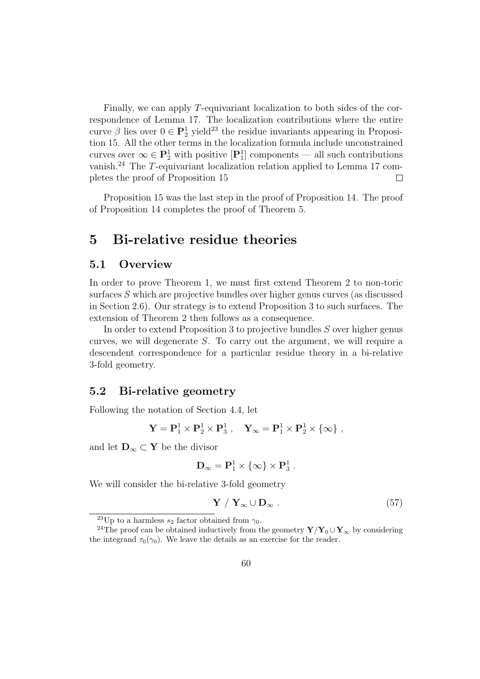Finally, we can apply T-equivariant localization to both sides of the correspondence of Lemma 17. The localization contributions where the entire curve  $\beta$  lies over  $0 \in \mathbf{P}_2^1$  yield<sup>23</sup> the residue invariants appearing in Proposition 15. All the other terms in the localization formula include unconstrained curves over  $\infty \in \mathbb{P}^1_2$  with positive  $[\mathbb{P}^1_1]$  components — all such contributions vanish.<sup>24</sup> The  $T$ -equivariant localization relation applied to Lemma 17 completes the proof of Proposition 15  $\Box$ 

Proposition 15 was the last step in the proof of Proposition 14. The proof of Proposition 14 completes the proof of Theorem 5.

# 5 Bi-relative residue theories

#### 5.1 Overview

In order to prove Theorem 1, we must first extend Theorem 2 to non-toric surfaces S which are projective bundles over higher genus curves (as discussed in Section 2.6). Our strategy is to extend Proposition 3 to such surfaces. The extension of Theorem 2 then follows as a consequence.

In order to extend Proposition 3 to projective bundles S over higher genus curves, we will degenerate S. To carry out the argument, we will require a descendent correspondence for a particular residue theory in a bi-relative 3-fold geometry.

#### 5.2 Bi-relative geometry

Following the notation of Section 4.4, let

$$
\mathbf{Y} = \mathbf{P}_1^1 \times \mathbf{P}_2^1 \times \mathbf{P}_3^1 \ , \quad \mathbf{Y}_\infty = \mathbf{P}_1^1 \times \mathbf{P}_2^1 \times \{\infty\} \ ,
$$

and let  $D_{\infty} \subset Y$  be the divisor

$$
D_\infty=P_1^1\times\{\infty\}\times P_3^1\;.
$$

We will consider the bi-relative 3-fold geometry

$$
\mathbf{Y} / \mathbf{Y}_{\infty} \cup \mathbf{D}_{\infty} . \tag{57}
$$

<sup>&</sup>lt;sup>23</sup>Up to a harmless  $s_2$  factor obtained from  $\gamma_0$ .

<sup>&</sup>lt;sup>24</sup>The proof can be obtained inductively from the geometry  $\mathbf{Y}/\mathbf{Y}_0 \cup \mathbf{Y}_{\infty}$  by considering the integrand  $\tau_0(\gamma_0)$ . We leave the details as an exercise for the reader.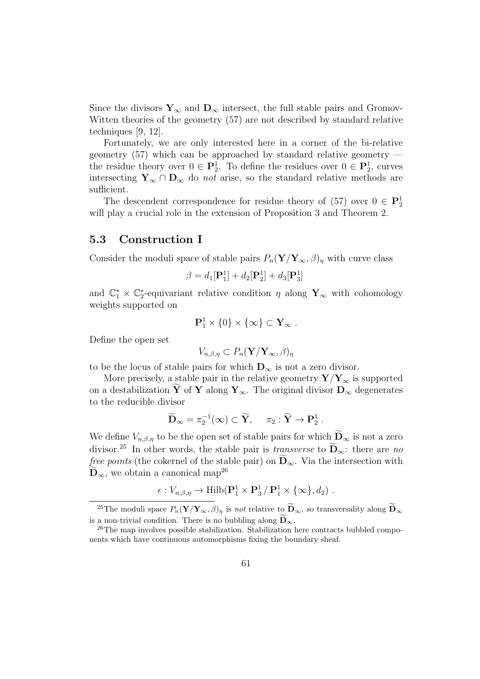Since the divisors  $Y_{\infty}$  and  $D_{\infty}$  intersect, the full stable pairs and Gromov-Witten theories of the geometry (57) are not described by standard relative techniques [9, 12].

Fortunately, we are only interested here in a corner of the bi-relative geometry (57) which can be approached by standard relative geometry the residue theory over  $0 \in \mathbf{P}_2^1$ . To define the residues over  $0 \in \mathbf{P}_2^1$ , curves intersecting  $Y_\infty \cap D_\infty$  do *not* arise, so the standard relative methods are sufficient.

The descendent correspondence for residue theory of  $(57)$  over  $0 \in \mathbf{P}_2^1$ will play a crucial role in the extension of Proposition 3 and Theorem 2.

# 5.3 Construction I

Consider the moduli space of stable pairs  $P_n(\mathbf{Y}/\mathbf{Y}_{\infty}, \beta)_\eta$  with curve class

$$
\beta = d_1[\mathbf{P}_1^1] + d_2[\mathbf{P}_2^1] + d_3[\mathbf{P}_3^1]
$$

and  $\mathbb{C}_1^* \times \mathbb{C}_2^*$ -equivariant relative condition  $\eta$  along  $\mathbf{Y}_{\infty}$  with cohomology weights supported on

$$
\mathbf{P}_1^1 \times \{0\} \times \{\infty\} \subset \mathbf{Y}_{\infty} .
$$

Define the open set

$$
V_{n,\beta,\eta} \subset P_n(\mathbf{Y}/\mathbf{Y}_{\infty},\beta)_{\eta}
$$

to be the locus of stable pairs for which  $\mathbf{D}_{\infty}$  is not a zero divisor.

More precisely, a stable pair in the relative geometry  $\mathbf{Y}/\mathbf{Y}_{\infty}$  is supported on a destabilization  $\widetilde{Y}$  of Y along Y<sub>∞</sub>. The original divisor  $D_{\infty}$  degenerates to the reducible divisor

$$
\widetilde{\mathbf{D}}_{\infty} = \pi_2^{-1}(\infty) \subset \widetilde{\mathbf{Y}}, \quad \pi_2 : \widetilde{\mathbf{Y}} \to \mathbf{P}_2^1.
$$

We define  $V_{n,\beta,\eta}$  to be the open set of stable pairs for which  $\widetilde{\mathbf{D}}_{\infty}$  is not a zero divisor.<sup>25</sup> In other words, the stable pair is *transverse* to  $\mathbf{D}_{\infty}$ : there are no *free points* (the cokernel of the stable pair) on  $D_{\infty}$ . Via the intersection with  $\mathbf{D}_{\infty}$ , we obtain a canonical map<sup>26</sup>

$$
\epsilon: V_{n,\beta,\eta} \to \text{Hilb}(\mathbf{P}_1^1 \times \mathbf{P}_3^1 / \mathbf{P}_1^1 \times \{\infty\}, d_2) .
$$

<sup>&</sup>lt;sup>25</sup>The moduli space  $P_n(\mathbf{Y}/\mathbf{Y}_{\infty}, \beta)$ <sub>n</sub> is not relative to  $\widetilde{\mathbf{D}}_{\infty}$ , so transversality along  $\widetilde{\mathbf{D}}_{\infty}$ is a non-trivial condition. There is no bubbling along  $\widetilde{\mathbf{D}}_{\infty}$ .

<sup>26</sup>The map involves possible stabilization. Stabilization here contracts bubbled components which have continuous automorphisms fixing the boundary sheaf.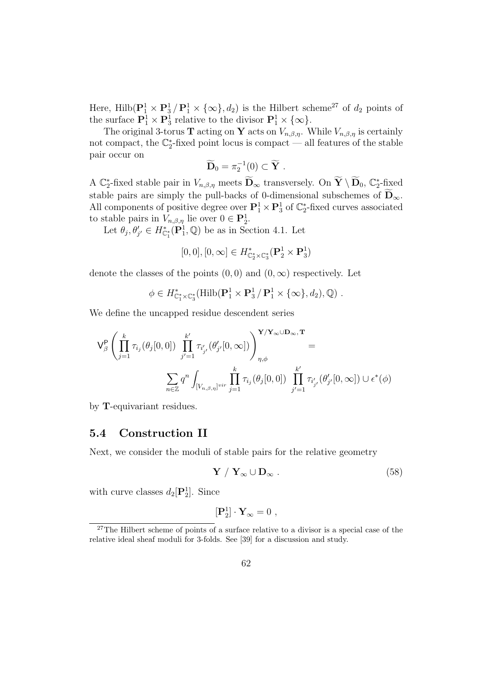Here, Hilb( $\mathbf{P}_1^1 \times \mathbf{P}_3^1 / \mathbf{P}_1^1 \times \{\infty\}, d_2$ ) is the Hilbert scheme<sup>27</sup> of  $d_2$  points of the surface  $\mathbf{P}_1^1 \times \mathbf{P}_3^1$  relative to the divisor  $\mathbf{P}_1^1 \times \{\infty\}.$ 

The original 3-torus **T** acting on **Y** acts on  $V_{n,\beta,\eta}$ . While  $V_{n,\beta,\eta}$  is certainly not compact, the  $\mathbb{C}_2^*$ -fixed point locus is compact — all features of the stable pair occur on

$$
\widetilde{\mathbf{D}}_0 = \pi_2^{-1}(0) \subset \widetilde{\mathbf{Y}} \ .
$$

A  $\mathbb{C}_2^*$ -fixed stable pair in  $V_{n,\beta,\eta}$  meets  $\widetilde{\mathbf{D}}_{\infty}$  transversely. On  $\widetilde{\mathbf{Y}} \setminus \widetilde{\mathbf{D}}_0$ ,  $\mathbb{C}_2^*$ -fixed stable pairs are simply the pull-backs of 0-dimensional subschemes of  $\bar{D}_{\infty}$ . All components of positive degree over  $\mathbf{P}_1^1 \times \mathbf{P}_3^1$  of  $\mathbb{C}_2^*$ -fixed curves associated to stable pairs in  $V_{n,\beta,\eta}$  lie over  $0 \in \mathbf{P}_2^1$ .

Let  $\theta_j, \theta'_{j'} \in H_{\mathbb{C}_1^*}^*(\mathbf{P}_1^1, \mathbb{Q})$  be as in Section 4.1. Let

$$
[0,0],[0,\infty]\in H^*_{\mathbb{C}_2^*\times\mathbb{C}_3^*}(\mathbf{P}_2^1\times\mathbf{P}_3^1)
$$

denote the classes of the points  $(0,0)$  and  $(0,\infty)$  respectively. Let

$$
\phi \in H_{\mathbb{C}_1^*\times \mathbb{C}_3^*}^*(\text{Hilb}(\mathbf{P}_1^1 \times \mathbf{P}_3^1/\mathbf{P}_1^1 \times {\{\infty\}}, d_2), \mathbb{Q}) .
$$

We define the uncapped residue descendent series

$$
\mathsf{V}^\mathsf{P}_\beta\left(\prod_{j=1}^k\tau_{i_j}(\theta_j[0,0])\prod_{j'=1}^{k'}\tau_{i'_{j'}}(\theta'_{j'}[0,\infty])\right)_{\eta,\phi}^{\mathbf{Y}/\mathbf{Y}_\infty\cup\mathbf{D}_\infty,\mathbf{T}}=\\\sum_{n\in\mathbb{Z}}q^n\int_{[V_{n,\beta,\eta}]^{vir}}\prod_{j=1}^k\tau_{i_j}(\theta_j[0,0])\prod_{j'=1}^{k'}\tau_{i'_{j'}}(\theta'_{j'}[0,\infty])\cup\epsilon^*(\phi)
$$

by T-equivariant residues.

#### 5.4 Construction II

Next, we consider the moduli of stable pairs for the relative geometry

$$
\mathbf{Y} / \mathbf{Y}_{\infty} \cup \mathbf{D}_{\infty} . \tag{58}
$$

with curve classes  $d_2[\mathbf{P}_2^1]$ . Since

$$
[\mathbf{P}_2^1] \cdot \mathbf{Y}_{\infty} = 0 \ ,
$$

<sup>&</sup>lt;sup>27</sup>The Hilbert scheme of points of a surface relative to a divisor is a special case of the relative ideal sheaf moduli for 3-folds. See [39] for a discussion and study.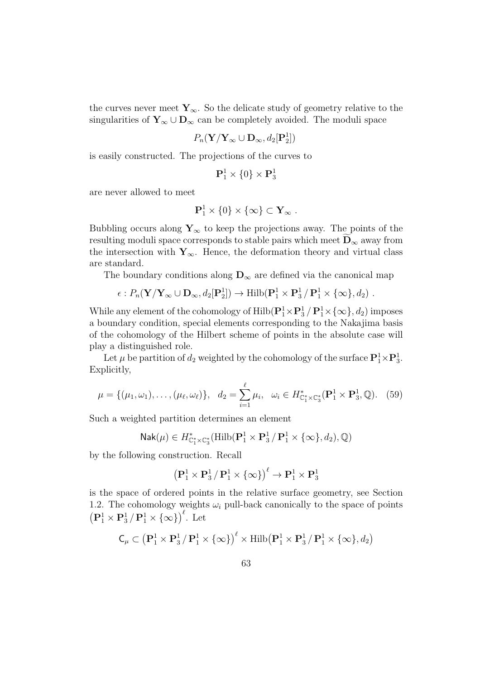the curves never meet  $Y_{\infty}$ . So the delicate study of geometry relative to the singularities of  $Y_\infty \cup D_\infty$  can be completely avoided. The moduli space

$$
P_n(\mathbf{Y}/\mathbf{Y}_{\infty} \cup \mathbf{D}_{\infty}, d_2[\mathbf{P}_2^1])
$$

is easily constructed. The projections of the curves to

$$
\mathbf{P}_1^1 \times \{0\} \times \mathbf{P}_3^1
$$

are never allowed to meet

$$
\mathbf{P}_1^1\times\{0\}\times\{\infty\}\subset\mathbf{Y}_{\infty}\;.
$$

Bubbling occurs along  $Y_{\infty}$  to keep the projections away. The points of the resulting moduli space corresponds to stable pairs which meet  $D_{\infty}$  away from the intersection with  $\mathbf{Y}_{\infty}$ . Hence, the deformation theory and virtual class are standard.

The boundary conditions along  $D_{\infty}$  are defined via the canonical map

$$
\epsilon: P_n(\mathbf{Y}/\mathbf{Y}_{\infty} \cup \mathbf{D}_{\infty}, d_2[\mathbf{P}_2^1]) \to \mathrm{Hilb}(\mathbf{P}_1^1 \times \mathbf{P}_3^1 / \mathbf{P}_1^1 \times {\alpha} \setminus d_2).
$$

While any element of the cohomology of  $\text{Hilb}(\mathbf{P}_1^1 \times \mathbf{P}_3^1 / \mathbf{P}_1^1 \times \{\infty\}, d_2)$  imposes a boundary condition, special elements corresponding to the Nakajima basis of the cohomology of the Hilbert scheme of points in the absolute case will play a distinguished role.

Let  $\mu$  be partition of  $d_2$  weighted by the cohomology of the surface  $\mathbf{P}_1^1 \times \mathbf{P}_3^1$ . Explicitly,

$$
\mu = \{(\mu_1, \omega_1), \dots, (\mu_\ell, \omega_\ell)\}, \quad d_2 = \sum_{i=1}^\ell \mu_i, \quad \omega_i \in H^*_{\mathbb{C}_1^* \times \mathbb{C}_3^*}(\mathbf{P}_1^1 \times \mathbf{P}_3^1, \mathbb{Q}). \tag{59}
$$

Such a weighted partition determines an element

$$
\mathsf{Nak}(\mu) \in H^*_{\mathbb{C}_1^* \times \mathbb{C}_3^*}(\mathrm{Hilb}(\mathbf{P}_1^1 \times \mathbf{P}_3^1 / \mathbf{P}_1^1 \times \{\infty\}, d_2), \mathbb{Q})
$$

by the following construction. Recall

$$
\left(\mathbf{P}_1^1 \times \mathbf{P}_3^1 / \mathbf{P}_1^1 \times \{\infty\}\right)^{\ell} \to \mathbf{P}_1^1 \times \mathbf{P}_3^1
$$

is the space of ordered points in the relative surface geometry, see Section 1.2. The cohomology weights  $\omega_i$  pull-back canonically to the space of points  $\left(\mathbf{P}_1^1 \times \mathbf{P}_3^1 / \mathbf{P}_1^1 \times \{\infty\}\right)^{\ell}$ . Let

$$
\mathsf{C}_{\mu} \subset \left(\mathbf{P}_{1}^{1} \times \mathbf{P}_{3}^{1} / \mathbf{P}_{1}^{1} \times \{\infty\}\right)^{\ell} \times \mathrm{Hilb}(\mathbf{P}_{1}^{1} \times \mathbf{P}_{3}^{1} / \mathbf{P}_{1}^{1} \times \{\infty\}, d_{2}\right)
$$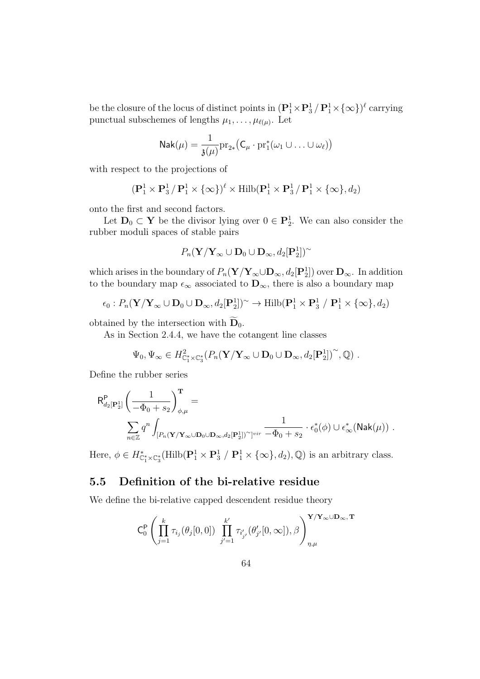be the closure of the locus of distinct points in  $(\mathbf{P}_1^1 \times \mathbf{P}_3^1 / \mathbf{P}_1^1 \times \{\infty\})^{\ell}$  carrying punctual subschemes of lengths  $\mu_1, \ldots, \mu_{\ell(\mu)}$ . Let

$$
\mathsf{Nak}(\mu) = \frac{1}{\mathfrak{z}(\mu)} \mathrm{pr}_{2*} \big( \mathsf{C}_\mu \cdot \mathrm{pr}_1^*(\omega_1 \cup \ldots \cup \omega_\ell) \big)
$$

with respect to the projections of

$$
(\mathbf{P}_1^1 \times \mathbf{P}_3^1 / \mathbf{P}_1^1 \times \{\infty\})^{\ell} \times \text{Hilb}(\mathbf{P}_1^1 \times \mathbf{P}_3^1 / \mathbf{P}_1^1 \times \{\infty\}, d_2)
$$

onto the first and second factors.

Let  $D_0 \subset Y$  be the divisor lying over  $0 \in P_2^1$ . We can also consider the rubber moduli spaces of stable pairs

$$
P_n(\mathbf{Y}/\mathbf{Y}_{\infty} \cup \mathbf{D}_0 \cup \mathbf{D}_{\infty}, d_2[\mathbf{P}_2^1])^{\sim}
$$

which arises in the boundary of  $P_n(Y/Y_\infty \cup D_\infty, d_2[P_2^1])$  over  $D_\infty$ . In addition to the boundary map  $\epsilon_{\infty}$  associated to  $\mathbf{D}_{\infty}$ , there is also a boundary map

$$
\epsilon_0: P_n(\mathbf{Y}/\mathbf{Y}_{\infty} \cup \mathbf{D}_0 \cup \mathbf{D}_{\infty}, d_2[\mathbf{P}_2^1])^{\sim} \to \mathrm{Hilb}(\mathbf{P}_1^1 \times \mathbf{P}_3^1 / \mathbf{P}_1^1 \times {\{\infty\}}, d_2)
$$

obtained by the intersection with  $\mathbf{D}_0$ .

As in Section 2.4.4, we have the cotangent line classes

$$
\Psi_0, \Psi_{\infty} \in H^2_{\mathbb{C}_1^* \times \mathbb{C}_3^*} (P_n(\mathbf{Y}/\mathbf{Y}_{\infty} \cup \mathbf{D}_0 \cup \mathbf{D}_{\infty}, d_2[\mathbf{P}_2^1])^{\sim}, \mathbb{Q}) .
$$

Define the rubber series

$$
\begin{aligned} \mathsf{R}_{d_2[\mathbf{P}_2^1]}^{\mathbf{P}} \left( \frac{1}{-\Phi_0 + s_2} \right)_{\phi,\mu}^{\mathbf{T}} = \\ \sum_{n \in \mathbb{Z}} q^n \int_{[P_n(\mathbf{Y}/\mathbf{Y}_\infty \cup \mathbf{D}_0 \cup \mathbf{D}_\infty, d_2[\mathbf{P}_2^1])^\sim]^{vir}} \frac{1}{-\Phi_0 + s_2} \cdot \epsilon_0^*(\phi) \cup \epsilon_\infty^*(\mathrm{Nak}(\mu)) \end{aligned} \; .
$$

Here,  $\phi \in H_{\mathbb{C}_1^* \times \mathbb{C}_3^*}^*$  (Hilb( $\mathbf{P}_1^1 \times \mathbf{P}_3^1 / \mathbf{P}_1^1 \times \{\infty\}, d_2$ ),  $\mathbb{Q}$ ) is an arbitrary class.

# 5.5 Definition of the bi-relative residue

We define the bi-relative capped descendent residue theory

$$
\mathsf{C}_{0}^{\mathsf{P}}\left(\prod_{j=1}^{k}\tau_{i_{j}}(\theta_{j}[0,0])\prod_{j'=1}^{k'}\tau_{i'_{j'}}(\theta'_{j'}[0,\infty]),\beta\right)_{\eta,\mu}^{\mathbf{Y}/\mathbf{Y}_{\infty}\cup\mathbf{D}_{\infty},\mathbf{T}}
$$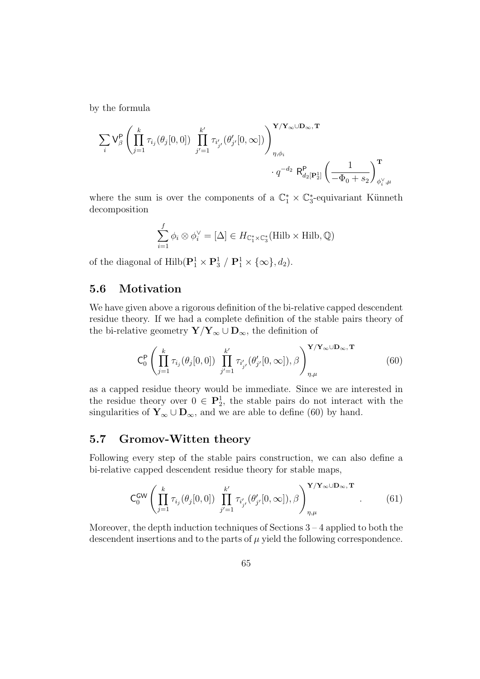by the formula

$$
\begin{aligned} \sum_i \mathsf{V}^\mathsf{P}_\beta\left(\prod_{j=1}^k \tau_{i_j}(\theta_j[0,0]) \prod_{j'=1}^{k'} \tau_{i'_{j'}}(\theta'_{j'}[0,\infty])\right)_{\eta,\phi_i}^{\mathbf{Y}/\mathbf{Y}_\infty\cup\mathbf{D}_\infty,\mathbf{T}} \\ \cdot q^{-d_2}\;\mathsf{R}^\mathsf{P}_{d_2[\mathbf{P}_2^1]}\left(\frac{1}{-\Phi_0+s_2}\right)_{\phi_i^\vee,\mu}^{\mathbf{T}} \end{aligned}
$$

where the sum is over the components of a  $\mathbb{C}_1^* \times \mathbb{C}_3^*$ -equivariant Künneth decomposition

$$
\sum_{i=1}^{f} \phi_i \otimes \phi_i^{\vee} = [\Delta] \in H_{\mathbb{C}_1^* \times \mathbb{C}_3^*}(\mathrm{Hilb} \times \mathrm{Hilb}, \mathbb{Q})
$$

of the diagonal of  $\text{Hilb}(\mathbf{P}_1^1 \times \mathbf{P}_3^1 / \mathbf{P}_1^1 \times {\infty}, d_2)$ .

# 5.6 Motivation

We have given above a rigorous definition of the bi-relative capped descendent residue theory. If we had a complete definition of the stable pairs theory of the bi-relative geometry  $\mathbf{Y}/\mathbf{Y}_{\infty} \cup \mathbf{D}_{\infty}$ , the definition of

$$
\mathsf{C}_{0}^{\mathsf{P}}\left(\prod_{j=1}^{k}\tau_{i_{j}}(\theta_{j}[0,0])\prod_{j'=1}^{k'}\tau_{i'_{j'}}(\theta'_{j'}[0,\infty]),\beta\right)_{\eta,\mu}^{\mathbf{Y}/\mathbf{Y}_{\infty}\cup\mathbf{D}_{\infty},\mathbf{T}}(60)
$$

as a capped residue theory would be immediate. Since we are interested in the residue theory over  $0 \in \mathbf{P}_2^1$ , the stable pairs do not interact with the singularities of  $Y_\infty \cup D_\infty$ , and we are able to define (60) by hand.

# 5.7 Gromov-Witten theory

Following every step of the stable pairs construction, we can also define a bi-relative capped descendent residue theory for stable maps,

$$
\mathsf{C}_{0}^{\mathsf{GW}}\left(\prod_{j=1}^{k}\tau_{i_{j}}(\theta_{j}[0,0])\prod_{j'=1}^{k'}\tau_{i'_{j'}}(\theta'_{j'}[0,\infty]),\beta\right)_{\eta,\mu}^{\mathbf{Y}/\mathbf{Y}_{\infty}\cup\mathbf{D}_{\infty},\mathbf{T}}.\tag{61}
$$

Moreover, the depth induction techniques of Sections  $3 - 4$  applied to both the descendent insertions and to the parts of  $\mu$  yield the following correspondence.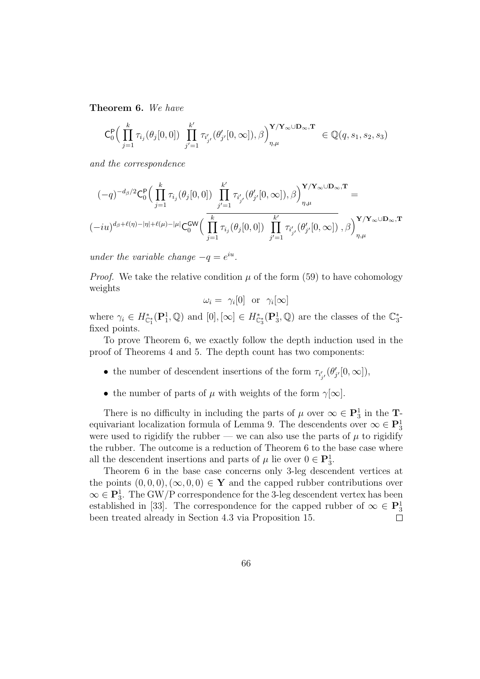Theorem 6. We have

$$
\mathsf{C}_{0}^{\mathsf{P}}\Big(\prod_{j=1}^{k} \tau_{i_j}(\theta_j[0,0]) \prod_{j'=1}^{k'} \tau_{i'_{j'}}(\theta'_{j'}[0,\infty]),\beta\Big)_{\eta,\mu}^{\mathbf{Y}/\mathbf{Y}_{\infty}\cup\mathbf{D}_{\infty},\mathbf{T}} \in \mathbb{Q}(q,s_1,s_2,s_3)
$$

and the correspondence

$$
\begin{aligned} &(-q)^{-d_{\beta}/2}\mathsf{C}^{\mathsf{P}}_{0}\Big(\prod_{j=1}^{k}\tau_{i_{j}}(\theta_{j}[0,0])\prod_{j'=1}^{k'}\tau_{i'_{j'}}(\theta'_{j'}[0,\infty]),\beta\Big)^{\mathbf{Y}/\mathbf{Y}_{\infty}\cup\mathbf{D}_{\infty},\mathbf{T}}\\ &(-iu)^{d_{\beta}+\ell(\eta)-|\eta|+\ell(\mu)-|\mu|}\mathsf{C}_{0}^{\mathsf{GW}}\Big(\prod_{j=1}^{k}\tau_{i_{j}}(\theta_{j}[0,0])\prod_{j'=1}^{k'}\tau_{i'_{j'}}(\theta'_{j'}[0,\infty])\;,\beta\Big)^{\mathbf{Y}/\mathbf{Y}_{\infty}\cup\mathbf{D}_{\infty},\mathbf{T}}\\ \end{aligned}
$$

under the variable change  $-q = e^{iu}$ .

*Proof.* We take the relative condition  $\mu$  of the form (59) to have cohomology weights

$$
\omega_i = \gamma_i[0] \text{ or } \gamma_i[\infty]
$$

where  $\gamma_i \in H_{\mathbb{C}_1^*}^*(\mathbf{P}_1^1, \mathbb{Q})$  and  $[0], [\infty] \in H_{\mathbb{C}_3^*}^*(\mathbf{P}_3^1, \mathbb{Q})$  are the classes of the  $\mathbb{C}_3^*$ fixed points.

To prove Theorem 6, we exactly follow the depth induction used in the proof of Theorems 4 and 5. The depth count has two components:

- the number of descendent insertions of the form  $\tau_{i'_{j'}}(\theta'_{j'}[0,\infty])$ ,
- the number of parts of  $\mu$  with weights of the form  $\gamma[\infty]$ .

There is no difficulty in including the parts of  $\mu$  over  $\infty \in \mathbb{P}^1_3$  in the **T**equivariant localization formula of Lemma 9. The descendents over  $\infty \in \mathbb{P}^1_3$ were used to rigidify the rubber — we can also use the parts of  $\mu$  to rigidify the rubber. The outcome is a reduction of Theorem 6 to the base case where all the descendent insertions and parts of  $\mu$  lie over  $0 \in \mathbf{P}_3^1$ .

Theorem 6 in the base case concerns only 3-leg descendent vertices at the points  $(0, 0, 0), (\infty, 0, 0) \in Y$  and the capped rubber contributions over  $\infty \in \mathbb{P}_3^1$ . The GW/P correspondence for the 3-leg descendent vertex has been established in [33]. The correspondence for the capped rubber of  $\infty \in \mathbb{P}^1_3$ been treated already in Section 4.3 via Proposition 15.  $\Box$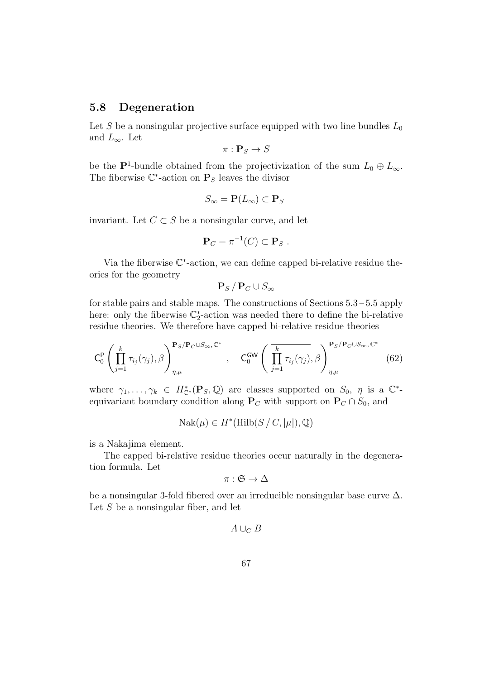#### 5.8 Degeneration

Let S be a nonsingular projective surface equipped with two line bundles  $L_0$ and  $L_{\infty}$ . Let

$$
\pi: \mathbf{P}_S \to S
$$

be the  $\mathbf{P}^1$ -bundle obtained from the projectivization of the sum  $L_0 \oplus L_{\infty}$ . The fiberwise  $\mathbb{C}^*$ -action on  $\mathbf{P}_S$  leaves the divisor

$$
S_{\infty} = \mathbf{P}(L_{\infty}) \subset \mathbf{P}_S
$$

invariant. Let  $C \subset S$  be a nonsingular curve, and let

$$
\mathbf{P}_C = \pi^{-1}(C) \subset \mathbf{P}_S .
$$

Via the fiberwise  $\mathbb{C}^*$ -action, we can define capped bi-relative residue theories for the geometry

$$
\mathbf{P}_S\,/\,\mathbf{P}_C\cup S_{\infty}
$$

for stable pairs and stable maps. The constructions of Sections 5.3 – 5.5 apply here: only the fiberwise  $\mathbb{C}_2^*$ -action was needed there to define the bi-relative residue theories. We therefore have capped bi-relative residue theories

$$
C_0^P \left( \prod_{j=1}^k \tau_{i_j}(\gamma_j), \beta \right)_{\eta, \mu}^{\mathbf{P}_S / \mathbf{P}_C \cup S_{\infty}, \mathbb{C}^*}, \quad C_0^{GW} \left( \overline{\prod_{j=1}^k \tau_{i_j}(\gamma_j)}, \beta \right)_{\eta, \mu}^{\mathbf{P}_S / \mathbf{P}_C \cup S_{\infty}, \mathbb{C}^*} (62)
$$

where  $\gamma_1,\ldots,\gamma_k \in H_{\mathbb{C}^*}^*(\mathbf{P}_S,\mathbb{Q})$  are classes supported on  $S_0$ ,  $\eta$  is a  $\mathbb{C}^*$ equivariant boundary condition along  $P_C$  with support on  $P_C \cap S_0$ , and

$$
Nak(\mu) \in H^*(\mathrm{Hilb}(S/C, |\mu|), \mathbb{Q})
$$

is a Nakajima element.

The capped bi-relative residue theories occur naturally in the degeneration formula. Let

$$
\pi:\mathfrak{S}\to\Delta
$$

be a nonsingular 3-fold fibered over an irreducible nonsingular base curve ∆. Let  $S$  be a nonsingular fiber, and let

$$
A\cup_C B
$$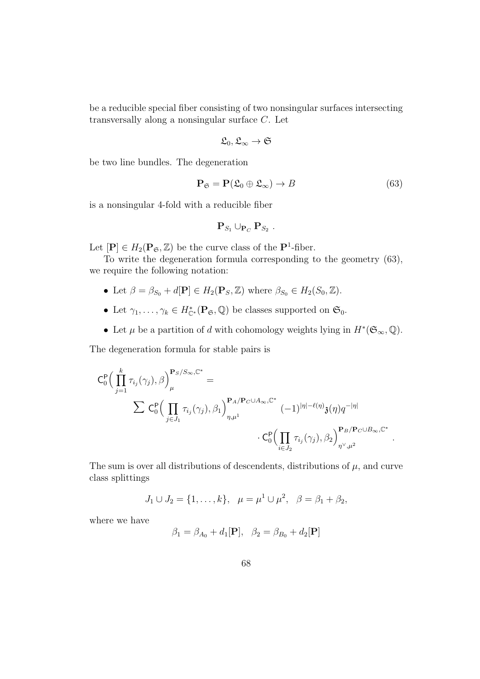be a reducible special fiber consisting of two nonsingular surfaces intersecting transversally along a nonsingular surface C. Let

$$
\mathfrak{L}_0, \mathfrak{L}_\infty \to \mathfrak{S}
$$

be two line bundles. The degeneration

$$
\mathbf{P}_{\mathfrak{S}} = \mathbf{P}(\mathfrak{L}_0 \oplus \mathfrak{L}_{\infty}) \to B \tag{63}
$$

is a nonsingular 4-fold with a reducible fiber

$$
\mathbf{P}_{S_1} \cup_{\mathbf{P}_C} \mathbf{P}_{S_2} .
$$

Let  $[\mathbf{P}] \in H_2(\mathbf{P}_{\mathfrak{S}}, \mathbb{Z})$  be the curve class of the  $\mathbf{P}^1$ -fiber.

To write the degeneration formula corresponding to the geometry (63), we require the following notation:

- Let  $\beta = \beta_{S_0} + d[\mathbf{P}] \in H_2(\mathbf{P}_S, \mathbb{Z})$  where  $\beta_{S_0} \in H_2(S_0, \mathbb{Z})$ .
- Let  $\gamma_1, \ldots, \gamma_k \in H_{\mathbb{C}^*}^*(\mathbf{P}_{\mathfrak{S}}, \mathbb{Q})$  be classes supported on  $\mathfrak{S}_0$ .
- Let  $\mu$  be a partition of d with cohomology weights lying in  $H^*(\mathfrak{S}_{\infty}, \mathbb{Q})$ .

The degeneration formula for stable pairs is

$$
\begin{split} \mathsf{C}^\mathsf{P}_0 \Big( & \prod_{j=1}^k \tau_{i_j}(\gamma_j), \beta \Big)^\mathbf{P}_\mu{}^{S/S_\infty, \mathbb{C}^*} = \\ & \qquad \qquad \sum \mathsf{C}^\mathsf{P}_0 \Big( \prod_{j \in J_1} \tau_{i_j}(\gamma_j), \beta_1 \Big)^\mathbf{P}_{{\eta}, \mu^1} {}^{\mathbf{P}_A/\mathbf{P}_C \cup A_\infty, \mathbb{C}^*} \left( -1 \right)^{|\eta| - \ell(\eta)} \mathfrak{z}(\eta) q^{-|\eta|} \\ & \qquad \qquad \cdot \mathsf{C}^\mathsf{P}_0 \Big( \prod_{i \in J_2} \tau_{i_j}(\gamma_j), \beta_2 \Big)^\mathbf{P}_{{\eta}^\vee, \mu^2} {}^{\mathbf{P}_B/\mathbf{P}_C \cup B_\infty, \mathbb{C}^*} \ . \end{split}
$$

The sum is over all distributions of descendents, distributions of  $\mu$ , and curve class splittings

$$
J_1 \cup J_2 = \{1, \ldots, k\}, \ \ \mu = \mu^1 \cup \mu^2, \ \ \beta = \beta_1 + \beta_2,
$$

where we have

$$
\beta_1 = \beta_{A_0} + d_1[\mathbf{P}], \ \ \beta_2 = \beta_{B_0} + d_2[\mathbf{P}]
$$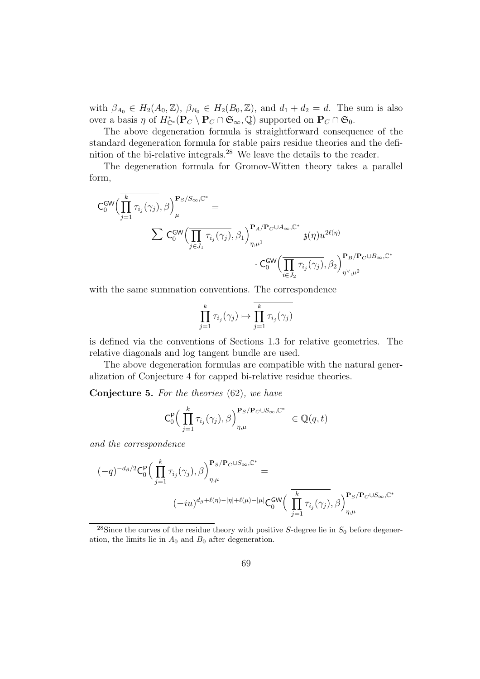with  $\beta_{A_0} \in H_2(A_0, \mathbb{Z}), \ \beta_{B_0} \in H_2(B_0, \mathbb{Z}), \text{ and } d_1 + d_2 = d.$  The sum is also over a basis  $\eta$  of  $H^*_{\mathbb{C}^*}(\mathbf{P}_C \setminus \mathbf{P}_C \cap \mathfrak{S}_{\infty}, \mathbb{Q})$  supported on  $\mathbf{P}_C \cap \mathfrak{S}_0$ .

The above degeneration formula is straightforward consequence of the standard degeneration formula for stable pairs residue theories and the definition of the bi-relative integrals.<sup>28</sup> We leave the details to the reader.

The degeneration formula for Gromov-Witten theory takes a parallel form,

$$
\begin{aligned} \mathsf{C}_0^{\mathsf{GW}}\Big(&\overline{\prod_{j=1}^k\tau_{i_j}(\gamma_j)},\beta\Big)^{\mathbf{P}_S/S_\infty,\mathbb{C}^*}_{\mu} = \\ &\qquad \qquad \sum\mathsf{C}_0^{\mathsf{GW}}\Big(\overline{\prod_{j\in J_1}\tau_{i_j}(\gamma_j)},\beta_1\Big)^{\mathbf{P}_A/\mathbf{P}_C\cup A_\infty,\mathbb{C}^*}_{\eta,\mu^1} \mathfrak{z}(\eta)u^{2\ell(\eta)} \\ &\qquad \qquad \cdot \mathsf{C}_0^{\mathsf{GW}}\Big(\overline{\prod_{i\in J_2}\tau_{i_j}(\gamma_j)},\beta_2\Big)^{\mathbf{P}_B/\mathbf{P}_C\cup B_\infty,\mathbb{C}^*}_{\eta^\vee,\mu^2} \end{aligned}
$$

with the same summation conventions. The correspondence

$$
\prod_{j=1}^k \tau_{i_j}(\gamma_j) \mapsto \overline{\prod_{j=1}^k \tau_{i_j}(\gamma_j)}
$$

is defined via the conventions of Sections 1.3 for relative geometries. The relative diagonals and log tangent bundle are used.

The above degeneration formulas are compatible with the natural generalization of Conjecture 4 for capped bi-relative residue theories.

Conjecture 5. For the theories (62), we have

$$
\mathsf{C}_{0}^{\mathsf{P}}\Big(\prod_{j=1}^{k} \tau_{i_{j}}(\gamma_{j}),\beta\Big)_{\eta,\mu}^{\mathbf{P}_{S}/\mathbf{P}_{C}\cup S_{\infty},\mathbb{C}^{*}}\in\mathbb{Q}(q,t)
$$

and the correspondence

$$
\begin{aligned} (-q)^{-d_{\beta}/2} \mathsf{C}^{\mathsf{P}}_{0} \Big(\prod_{j=1}^{k} \tau_{i_{j}}(\gamma_{j}),\beta\Big)^{\mathbf{P}_{S}/\mathbf{P}_{C}\cup S_{\infty},\mathbb{C}^{*}}_{\eta,\mu} = \\ (-iu)^{d_{\beta}+\ell(\eta)-|\eta|+\ell(\mu)-|\mu|} \mathsf{C}^{\mathsf{GW}}_{0} \Big(\prod_{j=1}^{k} \tau_{i_{j}}(\gamma_{j}),\beta\Big)^{\mathbf{P}_{S}/\mathbf{P}_{C}\cup S_{\infty},\mathbb{C}^{*}}_{\eta,\mu} \end{aligned}
$$

<sup>28</sup>Since the curves of the residue theory with positive S-degree lie in  $S_0$  before degeneration, the limits lie in  $A_0$  and  $B_0$  after degeneration.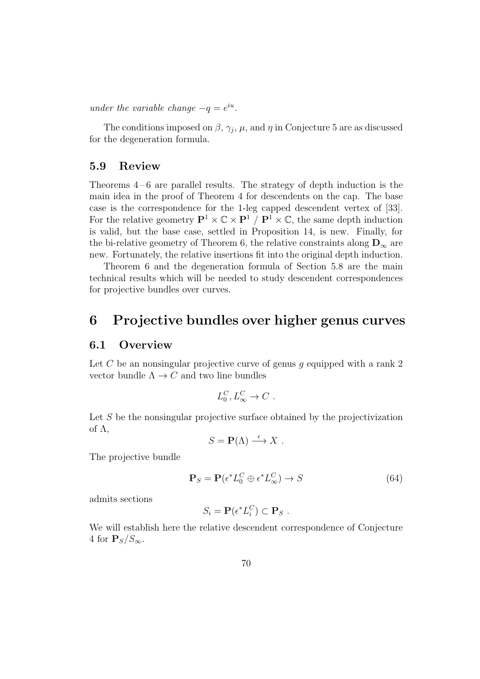under the variable change  $-q = e^{iu}$ .

The conditions imposed on  $\beta$ ,  $\gamma_j$ ,  $\mu$ , and  $\eta$  in Conjecture 5 are as discussed for the degeneration formula.

#### 5.9 Review

Theorems  $4-6$  are parallel results. The strategy of depth induction is the main idea in the proof of Theorem 4 for descendents on the cap. The base case is the correspondence for the 1-leg capped descendent vertex of [33]. For the relative geometry  $\mathbf{P}^1 \times \mathbb{C} \times \mathbf{P}^1 \times \mathbb{C}$ , the same depth induction is valid, but the base case, settled in Proposition 14, is new. Finally, for the bi-relative geometry of Theorem 6, the relative constraints along  $\mathbf{D}_{\infty}$  are new. Fortunately, the relative insertions fit into the original depth induction.

Theorem 6 and the degeneration formula of Section 5.8 are the main technical results which will be needed to study descendent correspondences for projective bundles over curves.

# 6 Projective bundles over higher genus curves

#### 6.1 Overview

Let C be an nonsingular projective curve of genus g equipped with a rank 2 vector bundle  $\Lambda \to C$  and two line bundles

$$
L_0^C, L_\infty^C \to C \ .
$$

Let S be the nonsingular projective surface obtained by the projectivization of  $\Lambda$ ,

$$
S = \mathbf{P}(\Lambda) \stackrel{\epsilon}{\longrightarrow} X .
$$

The projective bundle

$$
\mathbf{P}_S = \mathbf{P}(\epsilon^* L_0^C \oplus \epsilon^* L_\infty^C) \to S \tag{64}
$$

admits sections

$$
S_i = \mathbf{P}(\epsilon^* L_i^C) \subset \mathbf{P}_S .
$$

We will establish here the relative descendent correspondence of Conjecture 4 for  $P_S/S_{\infty}$ .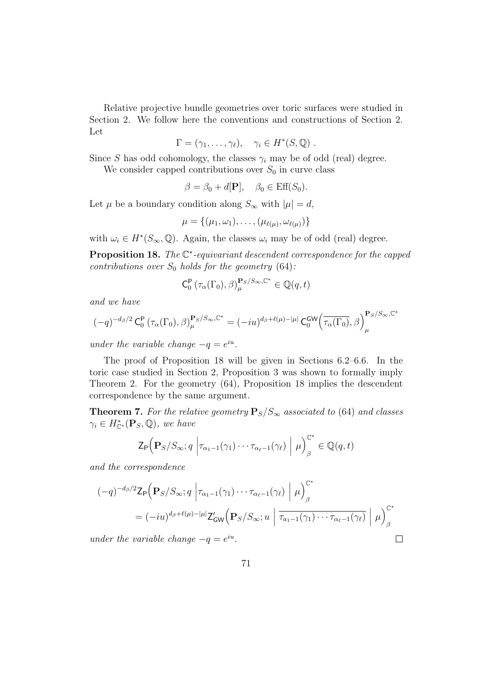Relative projective bundle geometries over toric surfaces were studied in Section 2. We follow here the conventions and constructions of Section 2. Let

$$
\Gamma = (\gamma_1, \ldots, \gamma_\ell), \quad \gamma_i \in H^*(S, \mathbb{Q}) \ .
$$

Since S has odd cohomology, the classes  $\gamma_i$  may be of odd (real) degree.

We consider capped contributions over  $S_0$  in curve class

$$
\beta = \beta_0 + d[\mathbf{P}], \quad \beta_0 \in \text{Eff}(S_0).
$$

Let  $\mu$  be a boundary condition along  $S_{\infty}$  with  $|\mu|=d$ ,

$$
\mu=\{(\mu_1,\omega_1),\ldots,(\mu_{\ell(\mu)},\omega_{\ell(\mu)})\}
$$

with  $\omega_i \in H^*(S_\infty, \mathbb{Q})$ . Again, the classes  $\omega_i$  may be of odd (real) degree.

**Proposition 18.** The  $\mathbb{C}^*$ -equivariant descendent correspondence for the capped contributions over  $S_0$  holds for the geometry (64):

$$
\mathsf{C}_{0}^{\mathsf{P}}\left(\tau_{\alpha}(\Gamma_{0}),\beta\right)_{\mu}^{\mathbf{P}_{S}/S_{\infty},\mathbb{C}^{*}}\in\mathbb{Q}(q,t)
$$

and we have

$$
(-q)^{-d_{\beta}/2}\mathbf{C}^{\mathbf{P}}_0\left(\tau_{\alpha}(\Gamma_0),\beta\right)^{\mathbf{P}_S/S_{\infty},\mathbb{C}^*}_{\mu} = (-iu)^{d_{\beta}+\ell(\mu)-|\mu|}\mathbf{C}^{\mathbf{GW}}_0\left(\overline{\tau_{\alpha}(\Gamma_0)},\beta\right)^{\mathbf{P}_S/S_{\infty},\mathbb{C}^*}_{\mu}
$$

under the variable change  $-q = e^{iu}$ .

The proof of Proposition 18 will be given in Sections 6.2–6.6. In the toric case studied in Section 2, Proposition 3 was shown to formally imply Theorem 2. For the geometry (64), Proposition 18 implies the descendent correspondence by the same argument.

**Theorem 7.** For the relative geometry  $\mathbf{P}_S/S_\infty$  associated to (64) and classes  $\gamma_i \in H_{\mathbb{C}^*}^*(\mathbf{P}_S, \mathbb{Q}),$  we have

$$
\mathsf{Z}_{\mathsf{P}}\Big(\mathbf{P}_{S}/S_{\infty};q\left|\tau_{\alpha_1-1}(\gamma_1)\cdots\tau_{\alpha_\ell-1}(\gamma_\ell)\right|\mu\Big)_{\beta}^{\mathbb{C}^*}\in\mathbb{Q}(q,t)
$$

and the correspondence

$$
(-q)^{-d_{\beta}/2} \mathsf{Z}_{\mathsf{P}}\Big(\mathbf{P}_{S}/S_{\infty}; q \left|\tau_{\alpha_{1}-1}(\gamma_{1})\cdots\tau_{\alpha_{\ell}-1}(\gamma_{\ell})\right| \mu\Big)_{\beta}^{\mathbb{C}^{*}}
$$
  
=  $(-iu)^{d_{\beta}+\ell(\mu)-|\mu|} \mathsf{Z}'_{\mathsf{GW}}\Big(\mathbf{P}_{S}/S_{\infty}; u \left|\overline{\tau_{a_{1}-1}(\gamma_{1})\cdots\tau_{\alpha_{\ell}-1}(\gamma_{\ell})}\right| \mu\Big)_{\beta}^{\mathbb{C}^{*}}$   
*nder the variable change*  $-q = e^{iu}$ .

under the variable change  $-q = e^{iu}$ .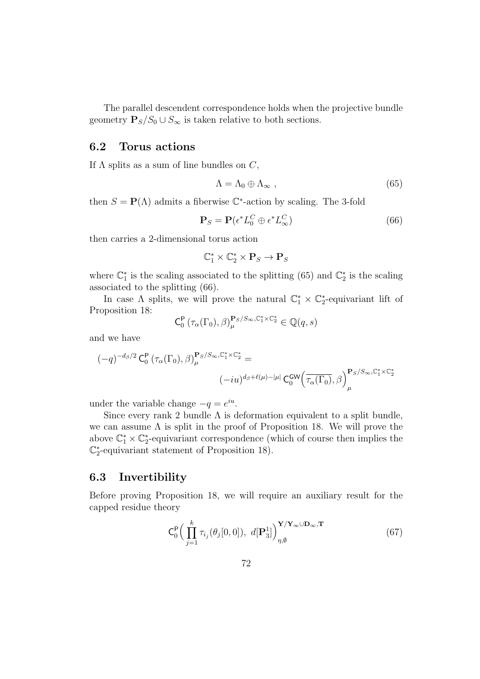The parallel descendent correspondence holds when the projective bundle geometry  $P_S/S_0 \cup S_\infty$  is taken relative to both sections.

#### 6.2 Torus actions

If  $\Lambda$  splits as a sum of line bundles on  $C$ ,

$$
\Lambda = \Lambda_0 \oplus \Lambda_\infty , \qquad (65)
$$

then  $S = \mathbf{P}(\Lambda)$  admits a fiberwise  $\mathbb{C}^*$ -action by scaling. The 3-fold

$$
\mathbf{P}_S = \mathbf{P}(\epsilon^* L_0^C \oplus \epsilon^* L_\infty^C) \tag{66}
$$

then carries a 2-dimensional torus action

$$
\mathbb{C}^*_1\times\mathbb{C}^*_2\times\mathbf{P}_S\to\mathbf{P}_S
$$

where  $\mathbb{C}_1^*$  is the scaling associated to the splitting (65) and  $\mathbb{C}_2^*$  is the scaling associated to the splitting (66).

In case  $\Lambda$  splits, we will prove the natural  $\mathbb{C}_1^* \times \mathbb{C}_2^*$ -equivariant lift of Proposition 18:

$$
\mathsf{C}^{\mathsf{P}}_0\left(\tau_\alpha(\Gamma_0),\beta\right)^{\mathbf{P}_S/S_\infty,\mathbb{C}^*_1\times\mathbb{C}^*_2}_{\mu}\in\mathbb{Q}(q,s)
$$

and we have

$$
\begin{aligned} (-q)^{-d_{\beta}/2}\operatorname{C}_{0}^{\mathsf{P}}\left(\tau_{\alpha}(\Gamma_{0}),\beta\right)_{\mu}^{\mathbf{P}_{S}/S_{\infty},\mathbb{C}_{1}^{*}\times\mathbb{C}_{2}^{*}} &= \\ & (-iu)^{d_{\beta}+\ell(\mu)-|\mu|}\operatorname{C}_{0}^{\mathsf{GW}}\!\left(\overline{\tau_{\alpha}(\Gamma_{0})},\beta\right)_{\mu}^{\mathbf{P}_{S}/S_{\infty},\mathbb{C}_{1}^{*}\times\mathbb{C}_{2}^{*}} \end{aligned}
$$

under the variable change  $-q = e^{iu}$ .

Since every rank 2 bundle  $\Lambda$  is deformation equivalent to a split bundle, we can assume  $\Lambda$  is split in the proof of Proposition 18. We will prove the above  $\mathbb{C}_1^* \times \mathbb{C}_2^*$ -equivariant correspondence (which of course then implies the  $\mathbb{C}_2^*$ -equivariant statement of Proposition 18).

## 6.3 Invertibility

Before proving Proposition 18, we will require an auxiliary result for the capped residue theory

$$
C_0^P\Big(\prod_{j=1}^k \tau_{i_j}(\theta_j[0,0]),\ d[P_3^1]\Big)_{\eta,\emptyset}^{\mathbf{Y}/\mathbf{Y}_{\infty}\cup\mathbf{D}_{\infty},\mathbf{T}}
$$
(67)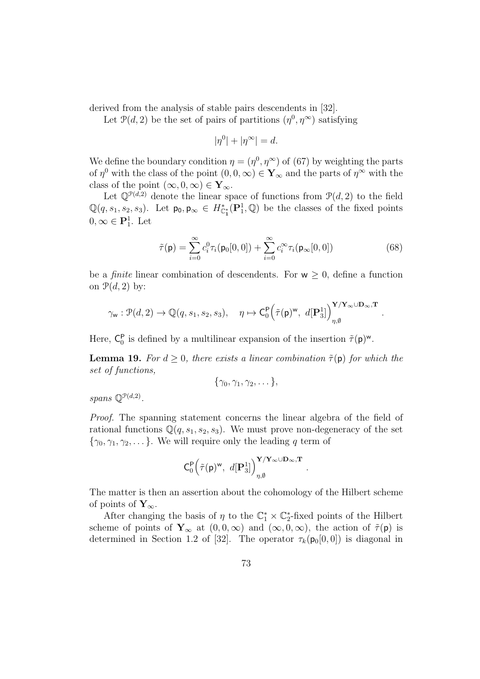derived from the analysis of stable pairs descendents in [32].

Let  $\mathcal{P}(d, 2)$  be the set of pairs of partitions  $(\eta^0, \eta^\infty)$  satisfying

$$
|\eta^0| + |\eta^\infty| = d.
$$

We define the boundary condition  $\eta = (\eta^0, \eta^{\infty})$  of (67) by weighting the parts of  $\eta^0$  with the class of the point  $(0,0,\infty) \in \mathbf{Y}_{\infty}$  and the parts of  $\eta^{\infty}$  with the class of the point  $(\infty, 0, \infty) \in Y_\infty$ .

Let  $\mathbb{Q}^{p(d,2)}$  denote the linear space of functions from  $\mathcal{P}(d,2)$  to the field  $\mathbb{Q}(q,s_1,s_2,s_3)$ . Let  $\mathsf{p}_0, \mathsf{p}_{\infty} \in H_{\mathbb{C}_1^*}^*(\mathbf{P}_1^1,\mathbb{Q})$  be the classes of the fixed points  $0, \infty \in \mathbf{P}_1^1$ . Let

$$
\tilde{\tau}(\mathbf{p}) = \sum_{i=0}^{\infty} c_i^0 \tau_i(\mathbf{p}_0[0,0]) + \sum_{i=0}^{\infty} c_i^{\infty} \tau_i(\mathbf{p}_{\infty}[0,0])
$$
\n(68)

.

be a *finite* linear combination of descendents. For  $w \geq 0$ , define a function on  $\mathcal{P}(d, 2)$  by:

$$
\gamma_{\mathsf w}: \mathcal P(d,2) \to \mathbb Q(q,s_1,s_2,s_3), \quad \eta \mapsto \mathsf C_0^\mathsf P\Big( \tilde \tau(\mathsf p)^\mathsf w, \ d[\mathbf P_3^1] \Big)_{\eta,\emptyset}^{\mathbf Y/\mathbf Y_\infty \cup \mathbf D_\infty,\mathbf T}
$$

Here,  $C_0^P$  is defined by a multilinear expansion of the insertion  $\tilde{\tau}(p)^w$ .

**Lemma 19.** For  $d > 0$ , there exists a linear combination  $\tilde{\tau}(\mathbf{p})$  for which the set of functions,

$$
\{\gamma_0,\gamma_1,\gamma_2,\dots\},\
$$

spans  $\mathbb{Q}^{\mathcal{P}(d,2)}$ .

Proof. The spanning statement concerns the linear algebra of the field of rational functions  $\mathbb{Q}(q, s_1, s_2, s_3)$ . We must prove non-degeneracy of the set  $\{\gamma_0, \gamma_1, \gamma_2, \dots\}$ . We will require only the leading q term of

$$
C_0^{\mathbf{P}}\Big(\tilde{\tau}(\mathbf{p})^{\mathbf{w}},\ d[\mathbf{P}_3^1]\Big)_{\eta,\emptyset}^{\mathbf{Y}/\mathbf{Y}_\infty\cup\mathbf{D}_\infty,\mathbf{T}}
$$

.

The matter is then an assertion about the cohomology of the Hilbert scheme of points of  $Y_{\infty}$ .

After changing the basis of  $\eta$  to the  $\mathbb{C}_1^* \times \mathbb{C}_2^*$ -fixed points of the Hilbert scheme of points of  $Y_\infty$  at  $(0, 0, \infty)$  and  $(\infty, 0, \infty)$ , the action of  $\tilde{\tau}(\mathsf{p})$  is determined in Section 1.2 of [32]. The operator  $\tau_k(\mathbf{p}_0[0,0])$  is diagonal in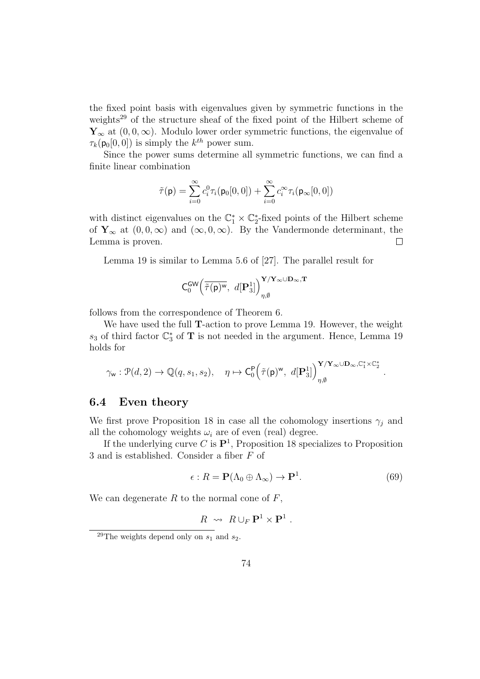the fixed point basis with eigenvalues given by symmetric functions in the weights<sup>29</sup> of the structure sheaf of the fixed point of the Hilbert scheme of  $\mathbf{Y}_{\infty}$  at  $(0,0,\infty)$ . Modulo lower order symmetric functions, the eigenvalue of  $\tau_k(\mathsf{p}_0[0,0])$  is simply the  $k^{th}$  power sum.

Since the power sums determine all symmetric functions, we can find a finite linear combination

$$
\tilde{\tau}(\mathbf{p}) = \sum_{i=0}^{\infty} c_i^0 \tau_i(\mathbf{p}_0[0,0]) + \sum_{i=0}^{\infty} c_i^{\infty} \tau_i(\mathbf{p}_{\infty}[0,0])
$$

with distinct eigenvalues on the  $\mathbb{C}_1^* \times \mathbb{C}_2^*$ -fixed points of the Hilbert scheme of  $\mathbf{Y}_{\infty}$  at  $(0,0,\infty)$  and  $(\infty,0,\infty)$ . By the Vandermonde determinant, the Lemma is proven.  $\Box$ 

Lemma 19 is similar to Lemma 5.6 of [27]. The parallel result for

$$
C_0^{\text{GW}}\Big(\overline{\tilde{\tau}(\mathbf{p})^{\text{w}}},\ d[\mathbf{P}_3^1]\Big)_{\eta,\emptyset}^{\mathbf{Y}/\mathbf{Y}_{\infty}\cup\mathbf{D}_{\infty},\mathbf{T}}
$$

follows from the correspondence of Theorem 6.

We have used the full T-action to prove Lemma 19. However, the weight  $s_3$  of third factor  $\mathbb{C}^*_3$  of  $\mathbf T$  is not needed in the argument. Hence, Lemma 19 holds for

$$
\gamma_{\mathsf w}: \mathcal P(d,2) \rightarrow \mathbb Q(q,s_1,s_2), \quad \eta \mapsto \mathsf C_0^{\mathsf P}\Big( \tilde\tau(\mathsf p)^{\mathsf w}, \ d[\mathbf P_3^1]\Big)_{\eta,\emptyset}^{\mathbf Y/\mathbf Y_\infty \cup \mathbf D_\infty, \mathbb C_1^* \times \mathbb C_2^*}
$$

#### 6.4 Even theory

We first prove Proposition 18 in case all the cohomology insertions  $\gamma_i$  and all the cohomology weights  $\omega_i$  are of even (real) degree.

If the underlying curve C is  $\mathbf{P}^1$ , Proposition 18 specializes to Proposition 3 and is established. Consider a fiber F of

$$
\epsilon: R = \mathbf{P}(\Lambda_0 \oplus \Lambda_\infty) \to \mathbf{P}^1. \tag{69}
$$

.

.

We can degenerate  $R$  to the normal cone of  $F$ ,

$$
R \rightsquigarrow R \cup_F \mathbf{P}^1 \times \mathbf{P}^1
$$

<sup>&</sup>lt;sup>29</sup>The weights depend only on  $s_1$  and  $s_2$ .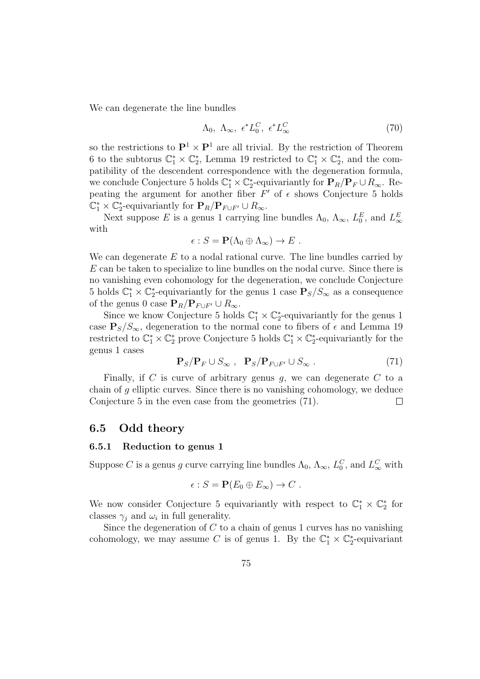We can degenerate the line bundles

$$
\Lambda_0, \ \Lambda_\infty, \ \epsilon^* L_0^C, \ \epsilon^* L_\infty^C \tag{70}
$$

so the restrictions to  $\mathbf{P}^1 \times \mathbf{P}^1$  are all trivial. By the restriction of Theorem 6 to the subtorus  $\mathbb{C}_1^* \times \mathbb{C}_2^*$ , Lemma 19 restricted to  $\mathbb{C}_1^* \times \mathbb{C}_2^*$ , and the compatibility of the descendent correspondence with the degeneration formula, we conclude Conjecture 5 holds  $\mathbb{C}_1^* \times \mathbb{C}_2^*$ -equivariantly for  $\mathbf{P}_R/\mathbf{P}_F \cup R_\infty$ . Repeating the argument for another fiber  $F'$  of  $\epsilon$  shows Conjecture 5 holds  $\mathbb{C}_1^* \times \mathbb{C}_2^*$ -equivariantly for  $\mathbf{P}_R / \mathbf{P}_{F \cup F'} \cup R_\infty$ .

Next suppose E is a genus 1 carrying line bundles  $\Lambda_0$ ,  $\Lambda_{\infty}$ ,  $L_0^E$ , and  $L_{\infty}^E$ with

$$
\epsilon: S = \mathbf{P}(\Lambda_0 \oplus \Lambda_\infty) \to E .
$$

We can degenerate  $E$  to a nodal rational curve. The line bundles carried by E can be taken to specialize to line bundles on the nodal curve. Since there is no vanishing even cohomology for the degeneration, we conclude Conjecture 5 holds  $\mathbb{C}_1^* \times \mathbb{C}_2^*$ -equivariantly for the genus 1 case  $\mathbf{P}_S/S_\infty$  as a consequence of the genus 0 case  $\mathbf{P}_R/\mathbf{P}_{F\cup F'} \cup R_{\infty}$ .

Since we know Conjecture 5 holds  $\mathbb{C}_1^* \times \mathbb{C}_2^*$ -equivariantly for the genus 1 case  $P_S/S_{\infty}$ , degeneration to the normal cone to fibers of  $\epsilon$  and Lemma 19 restricted to  $\mathbb{C}_1^* \times \mathbb{C}_2^*$  prove Conjecture 5 holds  $\mathbb{C}_1^* \times \mathbb{C}_2^*$ -equivariantly for the genus 1 cases

$$
\mathbf{P}_S / \mathbf{P}_F \cup S_{\infty} , \quad \mathbf{P}_S / \mathbf{P}_{F \cup F'} \cup S_{\infty} . \tag{71}
$$

Finally, if C is curve of arbitrary genus q, we can degenerate C to a chain of g elliptic curves. Since there is no vanishing cohomology, we deduce Conjecture 5 in the even case from the geometries (71).  $\Box$ 

### 6.5 Odd theory

#### 6.5.1 Reduction to genus 1

Suppose C is a genus g curve carrying line bundles  $\Lambda_0$ ,  $\Lambda_\infty$ ,  $L_0^C$ , and  $L_\infty^C$  with

$$
\epsilon: S = \mathbf{P}(E_0 \oplus E_\infty) \to C .
$$

We now consider Conjecture 5 equivariantly with respect to  $\mathbb{C}_1^* \times \mathbb{C}_2^*$  for classes  $\gamma_j$  and  $\omega_i$  in full generality.

Since the degeneration of  $C$  to a chain of genus 1 curves has no vanishing cohomology, we may assume C is of genus 1. By the  $\mathbb{C}_1^* \times \mathbb{C}_2^*$ -equivariant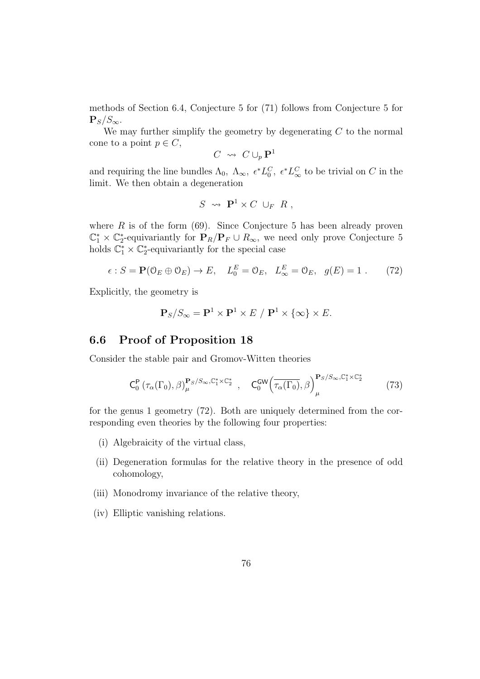methods of Section 6.4, Conjecture 5 for (71) follows from Conjecture 5 for  ${\bf P}_S/S_{\infty}.$ 

We may further simplify the geometry by degenerating  $C$  to the normal cone to a point  $p \in C$ ,

$$
C \rightsquigarrow C \cup_p \mathbf{P}^1
$$

and requiring the line bundles  $\Lambda_0$ ,  $\Lambda_{\infty}$ ,  $\epsilon^* L_0^C$ ,  $\epsilon^* L_{\infty}^C$  to be trivial on C in the limit. We then obtain a degeneration

$$
S \rightsquigarrow \mathbf{P}^1 \times C \cup_F R ,
$$

where  $R$  is of the form (69). Since Conjecture 5 has been already proven  $\mathbb{C}_1^* \times \mathbb{C}_2^*$ -equivariantly for  $\mathbf{P}_R/\mathbf{P}_F \cup R_\infty$ , we need only prove Conjecture 5 holds  $\mathbb{C}_1^* \times \mathbb{C}_2^*$ -equivariantly for the special case

$$
\epsilon : S = \mathbf{P}(\mathbb{O}_E \oplus \mathbb{O}_E) \to E, \quad L_0^E = \mathbb{O}_E, \quad L_\infty^E = \mathbb{O}_E, \quad g(E) = 1 \tag{72}
$$

Explicitly, the geometry is

$$
\mathbf{P}_S/S_{\infty} = \mathbf{P}^1 \times \mathbf{P}^1 \times E / \mathbf{P}^1 \times \{\infty\} \times E.
$$

### 6.6 Proof of Proposition 18

Consider the stable pair and Gromov-Witten theories

$$
C_0^{\mathsf{P}}\left(\tau_{\alpha}(\Gamma_0),\beta\right)_{\mu}^{\mathbf{P}_S/S_{\infty},\mathbb{C}_1^*\times\mathbb{C}_2^*},\quad C_0^{\mathsf{GW}}\left(\overline{\tau_{\alpha}(\Gamma_0)},\beta\right)_{\mu}^{\mathbf{P}_S/S_{\infty},\mathbb{C}_1^*\times\mathbb{C}_2^*}\tag{73}
$$

for the genus 1 geometry (72). Both are uniquely determined from the corresponding even theories by the following four properties:

- (i) Algebraicity of the virtual class,
- (ii) Degeneration formulas for the relative theory in the presence of odd cohomology,
- (iii) Monodromy invariance of the relative theory,
- (iv) Elliptic vanishing relations.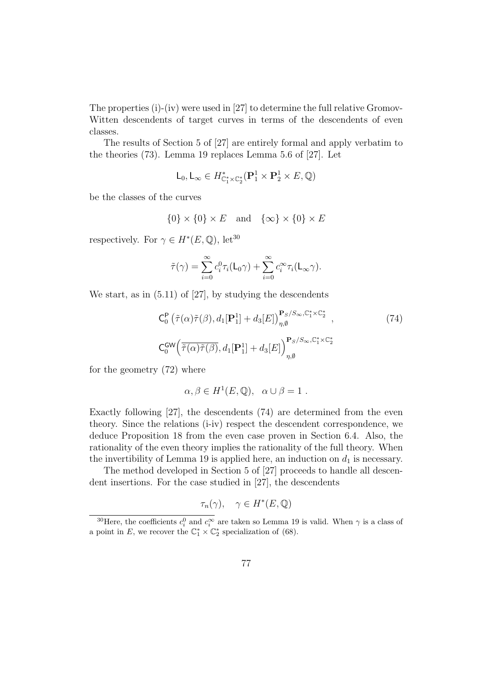The properties (i)-(iv) were used in [27] to determine the full relative Gromov-Witten descendents of target curves in terms of the descendents of even classes.

The results of Section 5 of [27] are entirely formal and apply verbatim to the theories (73). Lemma 19 replaces Lemma 5.6 of [27]. Let

$$
\mathsf{L}_0, \mathsf{L}_{\infty} \in H^*_{\mathbb{C}_1^* \times \mathbb{C}_2^*}(\mathbf{P}_1^1 \times \mathbf{P}_2^1 \times E, \mathbb{Q})
$$

be the classes of the curves

$$
\{0\} \times \{0\} \times E \quad \text{and} \quad \{\infty\} \times \{0\} \times E
$$

respectively. For  $\gamma \in H^*(E, \mathbb{Q})$ , let<sup>30</sup>

$$
\tilde{\tau}(\gamma) = \sum_{i=0}^{\infty} c_i^0 \tau_i(\mathsf{L}_0 \gamma) + \sum_{i=0}^{\infty} c_i^{\infty} \tau_i(\mathsf{L}_{\infty} \gamma).
$$

We start, as in (5.11) of [27], by studying the descendents

$$
C_0^P\left(\tilde{\tau}(\alpha)\tilde{\tau}(\beta), d_1[\mathbf{P}_1^1] + d_3[E]\right)_{\eta, \emptyset}^{\mathbf{P}_S/S_{\infty}, \mathbb{C}_1^* \times \mathbb{C}_2^*},
$$
\n
$$
C_0^{GW}\left(\tilde{\tau}(\alpha)\tilde{\tau}(\beta), d_1[\mathbf{P}_1^1] + d_3[E]\right)_{\eta, \emptyset}^{\mathbf{P}_S/S_{\infty}, \mathbb{C}_1^* \times \mathbb{C}_2^*}
$$
\n(74)

for the geometry (72) where

$$
\alpha, \beta \in H^1(E, \mathbb{Q}), \ \alpha \cup \beta = 1.
$$

Exactly following [27], the descendents (74) are determined from the even theory. Since the relations (i-iv) respect the descendent correspondence, we deduce Proposition 18 from the even case proven in Section 6.4. Also, the rationality of the even theory implies the rationality of the full theory. When the invertibility of Lemma 19 is applied here, an induction on  $d_1$  is necessary.

The method developed in Section 5 of [27] proceeds to handle all descendent insertions. For the case studied in [27], the descendents

$$
\tau_n(\gamma), \quad \gamma \in H^*(E, \mathbb{Q})
$$

<sup>&</sup>lt;sup>30</sup>Here, the coefficients  $c_i^0$  and  $c_i^{\infty}$  are taken so Lemma 19 is valid. When  $\gamma$  is a class of a point in E, we recover the  $\mathbb{C}_1^* \times \mathbb{C}_2^*$  specialization of (68).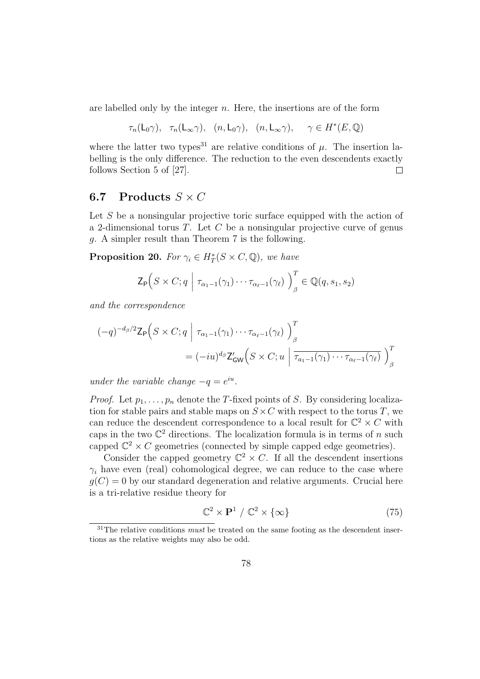are labelled only by the integer  $n$ . Here, the insertions are of the form

 $\tau_n(\mathsf{L}_0\gamma)$ ,  $\tau_n(\mathsf{L}_{\infty}\gamma)$ ,  $(n, \mathsf{L}_0\gamma)$ ,  $(n, \mathsf{L}_{\infty}\gamma)$ ,  $\gamma \in H^*(E, \mathbb{Q})$ 

where the latter two types<sup>31</sup> are relative conditions of  $\mu$ . The insertion labelling is the only difference. The reduction to the even descendents exactly follows Section 5 of [27].  $\Box$ 

### 6.7 Products  $S \times C$

Let  $S$  be a nonsingular projective toric surface equipped with the action of a 2-dimensional torus  $T$ . Let  $C$  be a nonsingular projective curve of genus g. A simpler result than Theorem 7 is the following.

**Proposition 20.** For  $\gamma_i \in H^*_T(S \times C, \mathbb{Q})$ , we have

$$
\mathsf{Z}_{\mathsf{P}}\Big(S \times C; q \mid \tau_{\alpha_1 - 1}(\gamma_1) \cdots \tau_{\alpha_{\ell} - 1}(\gamma_{\ell})\Big)_{\beta}^T \in \mathbb{Q}(q, s_1, s_2)
$$

and the correspondence

$$
(-q)^{-d_{\beta}/2} \mathsf{Z}_{\mathsf{P}}\Big(S \times C; q \mid \tau_{\alpha_1 - 1}(\gamma_1) \cdots \tau_{\alpha_\ell - 1}(\gamma_\ell) \Big)_{\beta}^T
$$
  
= 
$$
(-iu)^{d_{\beta}} \mathsf{Z}_{\mathsf{GW}}'\Big(S \times C; u \mid \overline{\tau_{a_1 - 1}(\gamma_1) \cdots \tau_{\alpha_\ell - 1}(\gamma_\ell)} \Big)_{\beta}^T
$$

under the variable change  $-q = e^{iu}$ .

*Proof.* Let  $p_1, \ldots, p_n$  denote the T-fixed points of S. By considering localization for stable pairs and stable maps on  $S \times C$  with respect to the torus T, we can reduce the descendent correspondence to a local result for  $\mathbb{C}^2 \times C$  with caps in the two  $\mathbb{C}^2$  directions. The localization formula is in terms of n such capped  $\mathbb{C}^2 \times C$  geometries (connected by simple capped edge geometries).

Consider the capped geometry  $\mathbb{C}^2 \times C$ . If all the descendent insertions  $\gamma_i$  have even (real) cohomological degree, we can reduce to the case where  $q(C) = 0$  by our standard degeneration and relative arguments. Crucial here is a tri-relative residue theory for

$$
\mathbb{C}^2 \times \mathbf{P}^1 / \mathbb{C}^2 \times \{\infty\} \tag{75}
$$

 $31$ The relative conditions *must* be treated on the same footing as the descendent insertions as the relative weights may also be odd.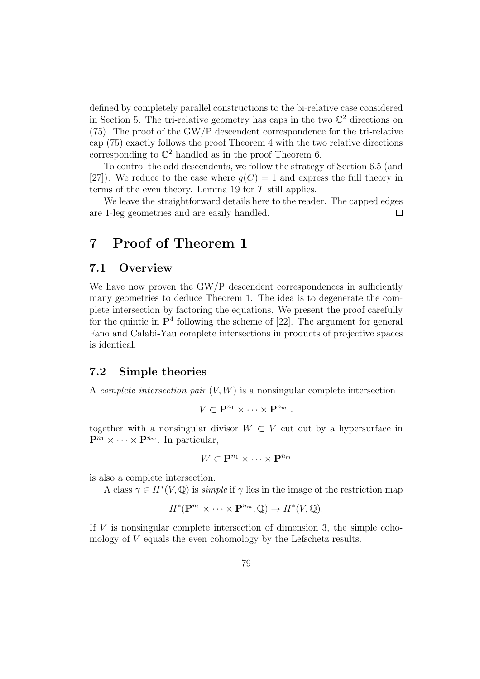defined by completely parallel constructions to the bi-relative case considered in Section 5. The tri-relative geometry has caps in the two  $\mathbb{C}^2$  directions on (75). The proof of the GW/P descendent correspondence for the tri-relative cap (75) exactly follows the proof Theorem 4 with the two relative directions corresponding to  $\mathbb{C}^2$  handled as in the proof Theorem 6.

To control the odd descendents, we follow the strategy of Section 6.5 (and [27]). We reduce to the case where  $q(C) = 1$  and express the full theory in terms of the even theory. Lemma 19 for  $T$  still applies.

We leave the straightforward details here to the reader. The capped edges are 1-leg geometries and are easily handled. П

# 7 Proof of Theorem 1

#### 7.1 Overview

We have now proven the GW/P descendent correspondences in sufficiently many geometries to deduce Theorem 1. The idea is to degenerate the complete intersection by factoring the equations. We present the proof carefully for the quintic in  $\mathbf{P}^4$  following the scheme of [22]. The argument for general Fano and Calabi-Yau complete intersections in products of projective spaces is identical.

### 7.2 Simple theories

A *complete intersection pair*  $(V, W)$  is a nonsingular complete intersection

$$
V\subset \mathbf{P}^{n_1}\times\cdots\times\mathbf{P}^{n_m}.
$$

together with a nonsingular divisor  $W \subset V$  cut out by a hypersurface in  $\mathbf{P}^{n_1} \times \cdots \times \mathbf{P}^{n_m}$ . In particular,

$$
W\subset \mathbf{P}^{n_1}\times\cdots\times\mathbf{P}^{n_m}
$$

is also a complete intersection.

A class  $\gamma \in H^*(V, \mathbb{Q})$  is *simple* if  $\gamma$  lies in the image of the restriction map

$$
H^*(\mathbf{P}^{n_1} \times \cdots \times \mathbf{P}^{n_m}, \mathbb{Q}) \to H^*(V, \mathbb{Q}).
$$

If V is nonsingular complete intersection of dimension 3, the simple cohomology of V equals the even cohomology by the Lefschetz results.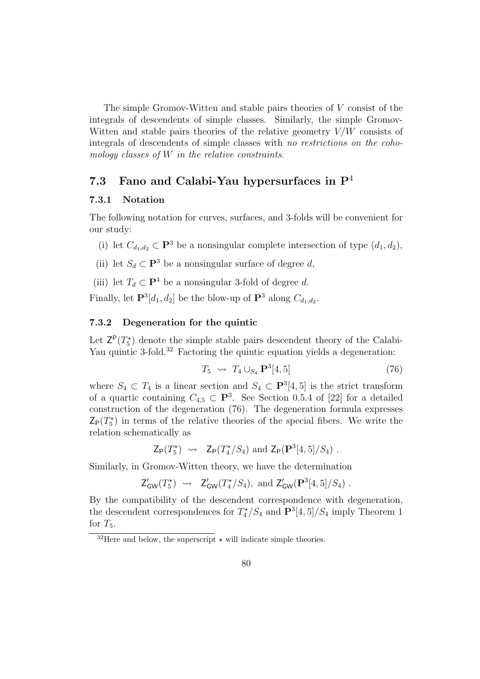The simple Gromov-Witten and stable pairs theories of V consist of the integrals of descendents of simple classes. Similarly, the simple Gromov-Witten and stable pairs theories of the relative geometry  $V/W$  consists of integrals of descendents of simple classes with no restrictions on the cohomology classes of  $W$  in the relative constraints.

### 7.3 Fano and Calabi-Yau hypersurfaces in  $P<sup>4</sup>$

#### 7.3.1 Notation

The following notation for curves, surfaces, and 3-folds will be convenient for our study:

- (i) let  $C_{d_1,d_2} \subset \mathbf{P}^3$  be a nonsingular complete intersection of type  $(d_1, d_2)$ ,
- (ii) let  $S_d \subset \mathbf{P}^3$  be a nonsingular surface of degree d,

(iii) let  $T_d \subset \mathbf{P}^4$  be a nonsingular 3-fold of degree d.

Finally, let  $\mathbf{P}^3[d_1, d_2]$  be the blow-up of  $\mathbf{P}^3$  along  $C_{d_1, d_2}$ .

#### 7.3.2 Degeneration for the quintic

Let  $Z^{\mathsf{P}}(T_5^{\star})$  denote the simple stable pairs descendent theory of the Calabi-Yau quintic 3-fold.<sup>32</sup> Factoring the quintic equation yields a degeneration:

$$
T_5 \rightsquigarrow T_4 \cup_{S_4} \mathbf{P}^3[4,5] \tag{76}
$$

where  $S_4 \subset T_4$  is a linear section and  $S_4 \subset \mathbf{P}^3[4, 5]$  is the strict transform of a quartic containing  $C_{4,5} \subset \mathbf{P}^3$ . See Section 0.5.4 of [22] for a detailed construction of the degeneration (76). The degeneration formula expresses  $Z_{\mathsf{P}}(T_5^{\star})$  in terms of the relative theories of the special fibers. We write the relation schematically as

$$
\mathsf{Z}_{\mathsf{P}}(T_5^{\star}) \rightsquigarrow \mathsf{Z}_{\mathsf{P}}(T_4^{\star}/S_4) \text{ and } \mathsf{Z}_{\mathsf{P}}(\mathbf{P}^3[4,5]/S_4) .
$$

Similarly, in Gromov-Witten theory, we have the determination

$$
\mathsf{Z}^{\prime}_{\mathsf{GW}}(T_5^{\star}) \rightsquigarrow \mathsf{Z}^{\prime}_{\mathsf{GW}}(T_4^{\star}/S_4), \text{ and } \mathsf{Z}^{\prime}_{\mathsf{GW}}(\mathbf{P}^3[4,5]/S_4) .
$$

By the compatibility of the descendent correspondence with degeneration, the descendent correspondences for  $T_4^*/S_4$  and  $\mathbf{P}^3[4,5]/S_4$  imply Theorem 1 for  $T_5$ .

<sup>&</sup>lt;sup>32</sup>Here and below, the superscript  $\star$  will indicate simple theories.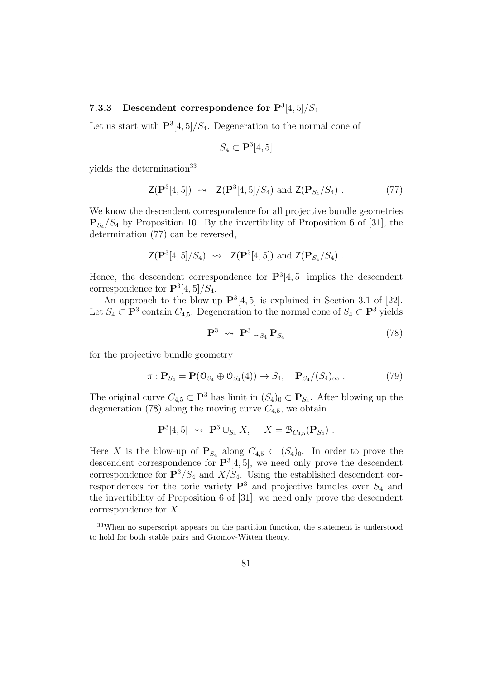### 7.3.3 Descendent correspondence for  $P^3[4,5]/S_4$

Let us start with  $\mathbf{P}^3[4,5]/S_4$ . Degeneration to the normal cone of

$$
S_4 \subset \mathbf{P}^3[4,5]
$$

yields the determination<sup>33</sup>

$$
Z(\mathbf{P}^3[4,5]) \rightsquigarrow Z(\mathbf{P}^3[4,5]/S_4)
$$
 and  $Z(\mathbf{P}_{S_4}/S_4)$ . (77)

We know the descendent correspondence for all projective bundle geometries  $\mathbf{P}_{S_4}/S_4$  by Proposition 10. By the invertibility of Proposition 6 of [31], the determination (77) can be reversed,

$$
\mathsf{Z}(\mathbf{P}^3[4,5]/S_4) \rightsquigarrow \mathsf{Z}(\mathbf{P}^3[4,5]) \text{ and } \mathsf{Z}(\mathbf{P}_{S_4}/S_4) .
$$

Hence, the descendent correspondence for  $\mathbf{P}^3[4,5]$  implies the descendent correspondence for  $\mathbf{P}^{3}[4,5]/S_4$ .

An approach to the blow-up  $\mathbf{P}^3[4,5]$  is explained in Section 3.1 of [22]. Let  $S_4 \subset \mathbf{P}^3$  contain  $C_{4,5}$ . Degeneration to the normal cone of  $S_4 \subset \mathbf{P}^3$  yields

$$
\mathbf{P}^3 \rightsquigarrow \mathbf{P}^3 \cup_{S_4} \mathbf{P}_{S_4} \tag{78}
$$

for the projective bundle geometry

$$
\pi: \mathbf{P}_{S_4} = \mathbf{P}(\mathbf{0}_{S_4} \oplus \mathbf{0}_{S_4}(4)) \to S_4, \quad \mathbf{P}_{S_4}/(S_4)_{\infty} . \tag{79}
$$

The original curve  $C_{4,5} \subset \mathbf{P}^3$  has limit in  $(S_4)_0 \subset \mathbf{P}_{S_4}$ . After blowing up the degeneration (78) along the moving curve  $C_{4,5}$ , we obtain

$$
\mathbf{P}^3[4,5] \rightsquigarrow \mathbf{P}^3 \cup_{S_4} X, \quad X = \mathcal{B}_{C_{4,5}}(\mathbf{P}_{S_4}) .
$$

Here X is the blow-up of  $P_{S_4}$  along  $C_{4,5} \subset (S_4)_0$ . In order to prove the descendent correspondence for  $\mathbf{P}^3[4,5]$ , we need only prove the descendent correspondence for  $\mathbf{P}^3/S_4$  and  $X/S_4$ . Using the established descendent correspondences for the toric variety  $\mathbf{P}^3$  and projective bundles over  $S_4$  and the invertibility of Proposition 6 of [31], we need only prove the descendent correspondence for X.

<sup>33</sup>When no superscript appears on the partition function, the statement is understood to hold for both stable pairs and Gromov-Witten theory.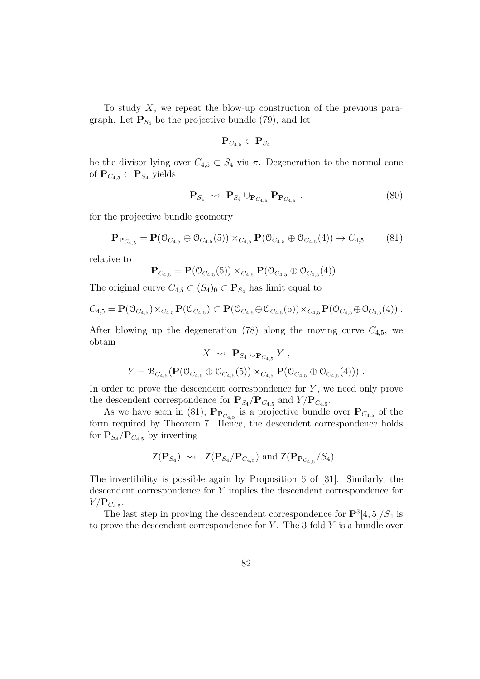To study X, we repeat the blow-up construction of the previous paragraph. Let  $\mathbf{P}_{S_4}$  be the projective bundle (79), and let

$$
\mathbf{P}_{C_{4,5}} \subset \mathbf{P}_{S_4}
$$

be the divisor lying over  $C_{4,5} \subset S_4$  via  $\pi$ . Degeneration to the normal cone of  $\mathbf{P}_{C_{4,5}} \subset \mathbf{P}_{S_4}$  yields

$$
\mathbf{P}_{S_4} \rightsquigarrow \mathbf{P}_{S_4} \cup_{\mathbf{P}_{C_{4,5}}} \mathbf{P}_{\mathbf{P}_{C_{4,5}}}.
$$
\n(80)

for the projective bundle geometry

$$
\mathbf{P}_{\mathbf{P}_{C_{4,5}}} = \mathbf{P}(\mathbf{0}_{C_{4,5}} \oplus \mathbf{0}_{C_{4,5}}(5)) \times_{C_{4,5}} \mathbf{P}(\mathbf{0}_{C_{4,5}} \oplus \mathbf{0}_{C_{4,5}}(4)) \to C_{4,5} \tag{81}
$$

relative to

$$
\mathbf{P}_{C_{4,5}} = \mathbf{P}(\mathcal{O}_{C_{4,5}}(5)) \times_{C_{4,5}} \mathbf{P}(\mathcal{O}_{C_{4,5}} \oplus \mathcal{O}_{C_{4,5}}(4)) .
$$

The original curve  $C_{4,5} \subset (S_4)_0 \subset \mathbf{P}_{S_4}$  has limit equal to

$$
C_{4,5} = \mathbf{P}(\mathcal{O}_{C_{4,5}}) \times_{C_{4,5}} \mathbf{P}(\mathcal{O}_{C_{4,5}}) \subset \mathbf{P}(\mathcal{O}_{C_{4,5}} \oplus \mathcal{O}_{C_{4,5}}(5)) \times_{C_{4,5}} \mathbf{P}(\mathcal{O}_{C_{4,5}} \oplus \mathcal{O}_{C_{4,5}}(4)) .
$$

After blowing up the degeneration (78) along the moving curve  $C_{4,5}$ , we obtain

$$
X \rightsquigarrow \mathbf{P}_{S_4} \cup_{\mathbf{P}_{C_{4,5}}} Y ,
$$
  

$$
Y = \mathcal{B}_{C_{4,5}}(\mathbf{P}(\mathcal{O}_{C_{4,5}} \oplus \mathcal{O}_{C_{4,5}}(5)) \times_{C_{4,5}} \mathbf{P}(\mathcal{O}_{C_{4,5}} \oplus \mathcal{O}_{C_{4,5}}(4))) .
$$

In order to prove the descendent correspondence for  $Y$ , we need only prove the descendent correspondence for  $\mathbf{P}_{S_4}/\mathbf{P}_{C_{4,5}}$  and  $Y/\mathbf{P}_{C_{4,5}}$ .

As we have seen in (81),  $\mathbf{P}_{\mathbf{P}_{C_{4,5}}}$  is a projective bundle over  $\mathbf{P}_{C_{4,5}}$  of the form required by Theorem 7. Hence, the descendent correspondence holds for  $P_{S_4}/P_{C_{4,5}}$  by inverting

$$
\mathsf{Z}(\mathbf{P}_{S_4}) \rightsquigarrow \mathsf{Z}(\mathbf{P}_{S_4}/\mathbf{P}_{C_{4,5}}) \text{ and } \mathsf{Z}(\mathbf{P}_{\mathbf{P}_{C_{4,5}}}/S_4) .
$$

The invertibility is possible again by Proposition 6 of [31]. Similarly, the descendent correspondence for Y implies the descendent correspondence for  $Y/\mathbf{P}_{C_{4,5}}$ .

The last step in proving the descendent correspondence for  $\mathbf{P}^3[4,5]/S_4$  is to prove the descendent correspondence for  $Y$ . The 3-fold  $Y$  is a bundle over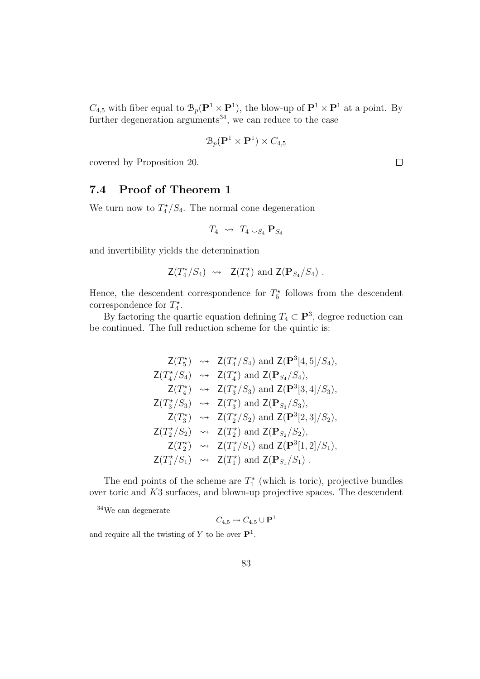$C_{4,5}$  with fiber equal to  $\mathcal{B}_p(\mathbf{P}^1 \times \mathbf{P}^1)$ , the blow-up of  $\mathbf{P}^1 \times \mathbf{P}^1$  at a point. By further degeneration arguments<sup>34</sup>, we can reduce to the case

$$
\mathcal{B}_p(\mathbf{P}^1 \times \mathbf{P}^1) \times C_{4,5}
$$

covered by Proposition 20.

 $\Box$ 

## 7.4 Proof of Theorem 1

We turn now to  $T_4^*/S_4$ . The normal cone degeneration

$$
T_4 \rightsquigarrow T_4 \cup_{S_4} \mathbf{P}_{S_4}
$$

and invertibility yields the determination

$$
Z(T_4^*/S_4) \rightsquigarrow Z(T_4^*)
$$
 and  $Z(\mathbf{P}_{S_4}/S_4)$ .

Hence, the descendent correspondence for  $T_5^{\star}$  follows from the descendent correspondence for  $T_4^*$ .

By factoring the quartic equation defining  $T_4 \subset \mathbf{P}^3$ , degree reduction can be continued. The full reduction scheme for the quintic is:

$$
Z(T_5^{\star}) \rightsquigarrow Z(T_4^{\star}/S_4) \text{ and } Z(\mathbf{P}^3[4,5]/S_4),
$$
  
\n
$$
Z(T_4^{\star}/S_4) \rightsquigarrow Z(T_4^{\star}) \text{ and } Z(\mathbf{P}_{S_4}/S_4),
$$
  
\n
$$
Z(T_4^{\star}) \rightsquigarrow Z(T_3^{\star}/S_3) \text{ and } Z(\mathbf{P}^3[3,4]/S_3),
$$
  
\n
$$
Z(T_3^{\star}/S_3) \rightsquigarrow Z(T_3^{\star}) \text{ and } Z(\mathbf{P}_{S_3}/S_3),
$$
  
\n
$$
Z(T_3^{\star}) \rightsquigarrow Z(T_2^{\star}/S_2) \text{ and } Z(\mathbf{P}^3[2,3]/S_2),
$$
  
\n
$$
Z(T_2^{\star}/S_2) \rightsquigarrow Z(T_2^{\star}) \text{ and } Z(\mathbf{P}_{S_2}/S_2),
$$
  
\n
$$
Z(T_2^{\star}) \rightsquigarrow Z(T_1^{\star}/S_1) \text{ and } Z(\mathbf{P}^3[1,2]/S_1),
$$
  
\n
$$
Z(T_1^{\star}/S_1) \rightsquigarrow Z(T_1^{\star}) \text{ and } Z(\mathbf{P}_{S_1}/S_1).
$$

The end points of the scheme are  $T_1^*$  (which is toric), projective bundles over toric and K3 surfaces, and blown-up projective spaces. The descendent

<sup>34</sup>We can degenerate

 $C_{4,5} \rightsquigarrow C_{4,5} \cup {\textbf P}^1$ 

and require all the twisting of Y to lie over  $\mathbf{P}^1$ .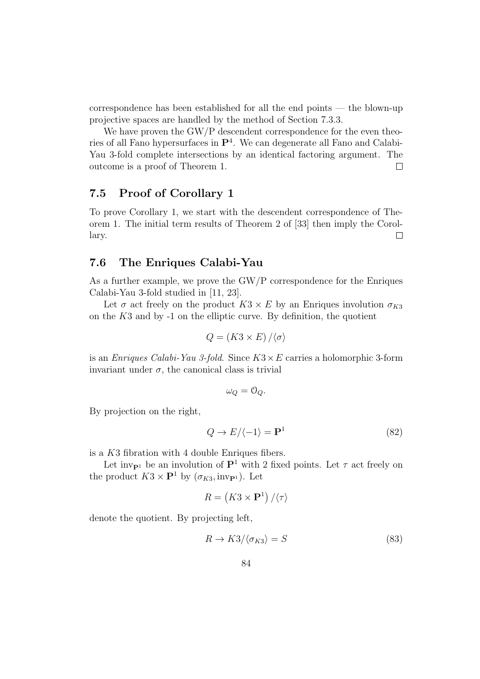correspondence has been established for all the end points — the blown-up projective spaces are handled by the method of Section 7.3.3.

We have proven the GW/P descendent correspondence for the even theories of all Fano hypersurfaces in  $\mathbf{P}^4$ . We can degenerate all Fano and Calabi-Yau 3-fold complete intersections by an identical factoring argument. The outcome is a proof of Theorem 1. П

### 7.5 Proof of Corollary 1

To prove Corollary 1, we start with the descendent correspondence of Theorem 1. The initial term results of Theorem 2 of [33] then imply the Corollary.  $\Box$ 

### 7.6 The Enriques Calabi-Yau

As a further example, we prove the GW/P correspondence for the Enriques Calabi-Yau 3-fold studied in [11, 23].

Let  $\sigma$  act freely on the product  $K3 \times E$  by an Enriques involution  $\sigma_{K3}$ on the  $K3$  and by  $-1$  on the elliptic curve. By definition, the quotient

$$
Q = (K3 \times E) / \langle \sigma \rangle
$$

is an *Enriques Calabi-Yau 3-fold.* Since  $K3 \times E$  carries a holomorphic 3-form invariant under  $\sigma$ , the canonical class is trivial

$$
\omega_Q = \mathcal{O}_Q.
$$

By projection on the right,

$$
Q \to E/\langle -1 \rangle = \mathbf{P}^1 \tag{82}
$$

is a K3 fibration with 4 double Enriques fibers.

Let inv<sub>P<sup>1</sub></sup> be an involution of  $\mathbf{P}^1$  with 2 fixed points. Let  $\tau$  act freely on</sub> the product  $K3 \times \mathbf{P}^1$  by  $(\sigma_{K3}, \text{inv}_{\mathbf{P}^1})$ . Let

$$
R = \left(K3 \times \mathbf{P}^1\right) / \langle \tau \rangle
$$

denote the quotient. By projecting left,

$$
R \to K3/\langle \sigma_{K3} \rangle = S \tag{83}
$$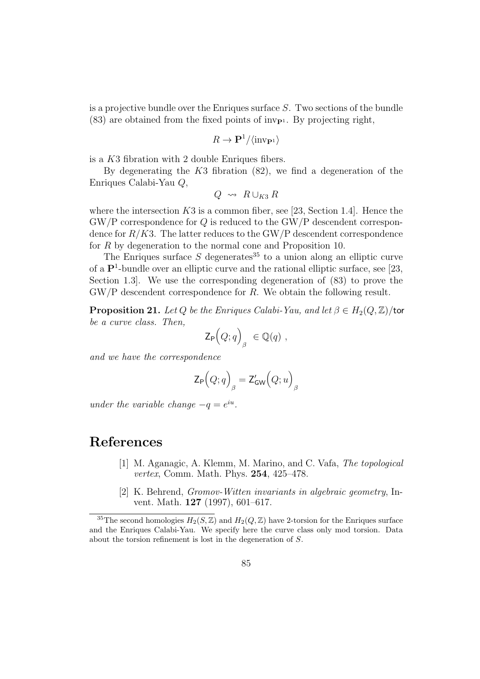is a projective bundle over the Enriques surface  $S$ . Two sections of the bundle  $(83)$  are obtained from the fixed points of inv<sub>P1</sub>. By projecting right,

$$
R \to \mathbf{P}^1 / \langle \text{inv}_{\mathbf{P}^1} \rangle
$$

is a K3 fibration with 2 double Enriques fibers.

By degenerating the  $K3$  fibration  $(82)$ , we find a degeneration of the Enriques Calabi-Yau Q,

$$
Q \;\rightsquigarrow\; R\cup_{K3} R
$$

where the intersection  $K3$  is a common fiber, see [23, Section 1.4]. Hence the  $\text{GW}/\text{P}$  correspondence for Q is reduced to the GW/P descendent correspondence for  $R/K3$ . The latter reduces to the GW/P descendent correspondence for R by degeneration to the normal cone and Proposition 10.

The Enriques surface S degenerates<sup>35</sup> to a union along an elliptic curve of a  $\mathbf{P}^1$ -bundle over an elliptic curve and the rational elliptic surface, see [23, Section 1.3]. We use the corresponding degeneration of (83) to prove the GW/P descendent correspondence for R. We obtain the following result.

**Proposition 21.** Let Q be the Enriques Calabi-Yau, and let  $\beta \in H_2(Q, \mathbb{Z})$ /tor be a curve class. Then,

$$
\mathsf{Z}_{\mathsf{P}}\Big(Q;q\Big)_{\beta} \ \in \mathbb{Q}(q) \ ,
$$

and we have the correspondence

$$
\mathsf{Z}_{\mathsf{P}}\Big(Q;q\Big)_\beta=\mathsf{Z}'_\mathsf{GW}\Big(Q;u\Big)_\beta
$$

under the variable change  $-q = e^{iu}$ .

## References

- [1] M. Aganagic, A. Klemm, M. Marino, and C. Vafa, The topological vertex, Comm. Math. Phys. 254, 425–478.
- [2] K. Behrend, Gromov-Witten invariants in algebraic geometry, Invent. Math. 127 (1997), 601–617.

<sup>&</sup>lt;sup>35</sup>The second homologies  $H_2(S, \mathbb{Z})$  and  $H_2(Q, \mathbb{Z})$  have 2-torsion for the Enriques surface and the Enriques Calabi-Yau. We specify here the curve class only mod torsion. Data about the torsion refinement is lost in the degeneration of S.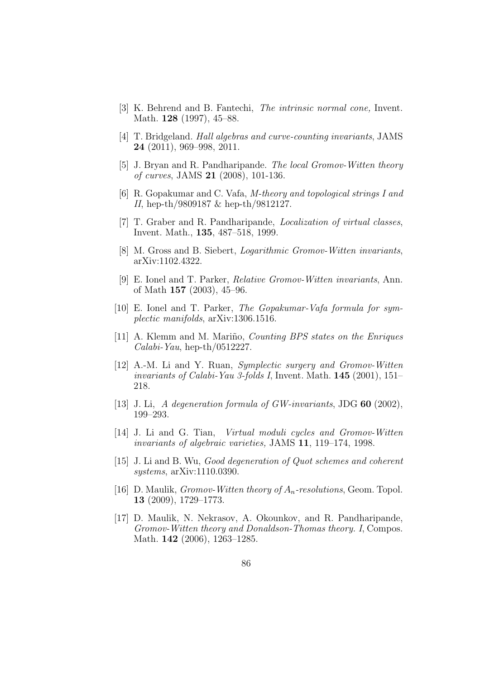- [3] K. Behrend and B. Fantechi, The intrinsic normal cone, Invent. Math. **128** (1997), 45–88.
- [4] T. Bridgeland. Hall algebras and curve-counting invariants, JAMS 24 (2011), 969–998, 2011.
- [5] J. Bryan and R. Pandharipande. The local Gromov-Witten theory of curves, JAMS 21 (2008), 101-136.
- [6] R. Gopakumar and C. Vafa, M-theory and topological strings I and II, hep-th/9809187 & hep-th/9812127.
- [7] T. Graber and R. Pandharipande, Localization of virtual classes, Invent. Math., 135, 487–518, 1999.
- [8] M. Gross and B. Siebert, Logarithmic Gromov-Witten invariants, arXiv:1102.4322.
- [9] E. Ionel and T. Parker, Relative Gromov-Witten invariants, Ann. of Math 157 (2003), 45–96.
- [10] E. Ionel and T. Parker, The Gopakumar-Vafa formula for symplectic manifolds, arXiv:1306.1516.
- [11] A. Klemm and M. Mariño, *Counting BPS states on the Enriques*  $Calabi-Yau$ , hep-th/0512227.
- [12] A.-M. Li and Y. Ruan, Symplectic surgery and Gromov-Witten invariants of Calabi-Yau 3-folds I, Invent. Math.  $145$  (2001), 151– 218.
- [13] J. Li, A degeneration formula of GW-invariants, JDG 60 (2002), 199–293.
- [14] J. Li and G. Tian, Virtual moduli cycles and Gromov-Witten invariants of algebraic varieties, JAMS 11, 119–174, 1998.
- [15] J. Li and B. Wu, Good degeneration of Quot schemes and coherent systems, arXiv:1110.0390.
- [16] D. Maulik, *Gromov-Witten theory of*  $A_n$ *-resolutions*, Geom. Topol. 13 (2009), 1729–1773.
- [17] D. Maulik, N. Nekrasov, A. Okounkov, and R. Pandharipande, Gromov-Witten theory and Donaldson-Thomas theory. I, Compos. Math. 142 (2006), 1263–1285.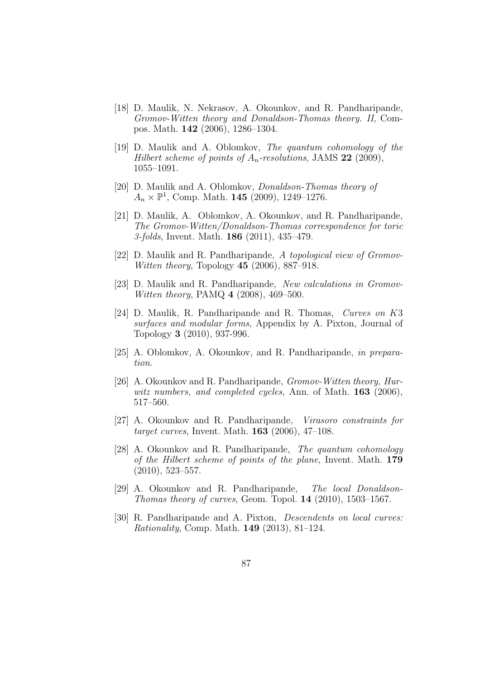- [18] D. Maulik, N. Nekrasov, A. Okounkov, and R. Pandharipande, Gromov-Witten theory and Donaldson-Thomas theory. II, Compos. Math. 142 (2006), 1286–1304.
- [19] D. Maulik and A. Oblomkov, The quantum cohomology of the Hilbert scheme of points of  $A_n$ -resolutions, JAMS 22 (2009), 1055–1091.
- [20] D. Maulik and A. Oblomkov, Donaldson-Thomas theory of  $A_n \times \mathbb{P}^1$ , Comp. Math. **145** (2009), 1249–1276.
- [21] D. Maulik, A. Oblomkov, A. Okounkov, and R. Pandharipande, The Gromov-Witten/Donaldson-Thomas correspondence for toric 3-folds, Invent. Math. 186 (2011), 435–479.
- [22] D. Maulik and R. Pandharipande, A topological view of Gromov-Witten theory, Topology **45** (2006), 887–918.
- [23] D. Maulik and R. Pandharipande, New calculations in Gromov-Witten theory, PAMQ 4 (2008), 469–500.
- [24] D. Maulik, R. Pandharipande and R. Thomas, Curves on K3 surfaces and modular forms, Appendix by A. Pixton, Journal of Topology 3 (2010), 937-996.
- [25] A. Oblomkov, A. Okounkov, and R. Pandharipande, in preparation.
- [26] A. Okounkov and R. Pandharipande, *Gromov-Witten theory*, *Hur*witz numbers, and completed cycles, Ann. of Math. 163 (2006), 517–560.
- [27] A. Okounkov and R. Pandharipande, Virasoro constraints for target curves, Invent. Math. 163 (2006), 47–108.
- [28] A. Okounkov and R. Pandharipande, *The quantum cohomology* of the Hilbert scheme of points of the plane, Invent. Math. 179 (2010), 523–557.
- [29] A. Okounkov and R. Pandharipande, The local Donaldson-Thomas theory of curves, Geom. Topol. 14 (2010), 1503–1567.
- [30] R. Pandharipande and A. Pixton, Descendents on local curves: Rationality, Comp. Math. 149 (2013), 81–124.